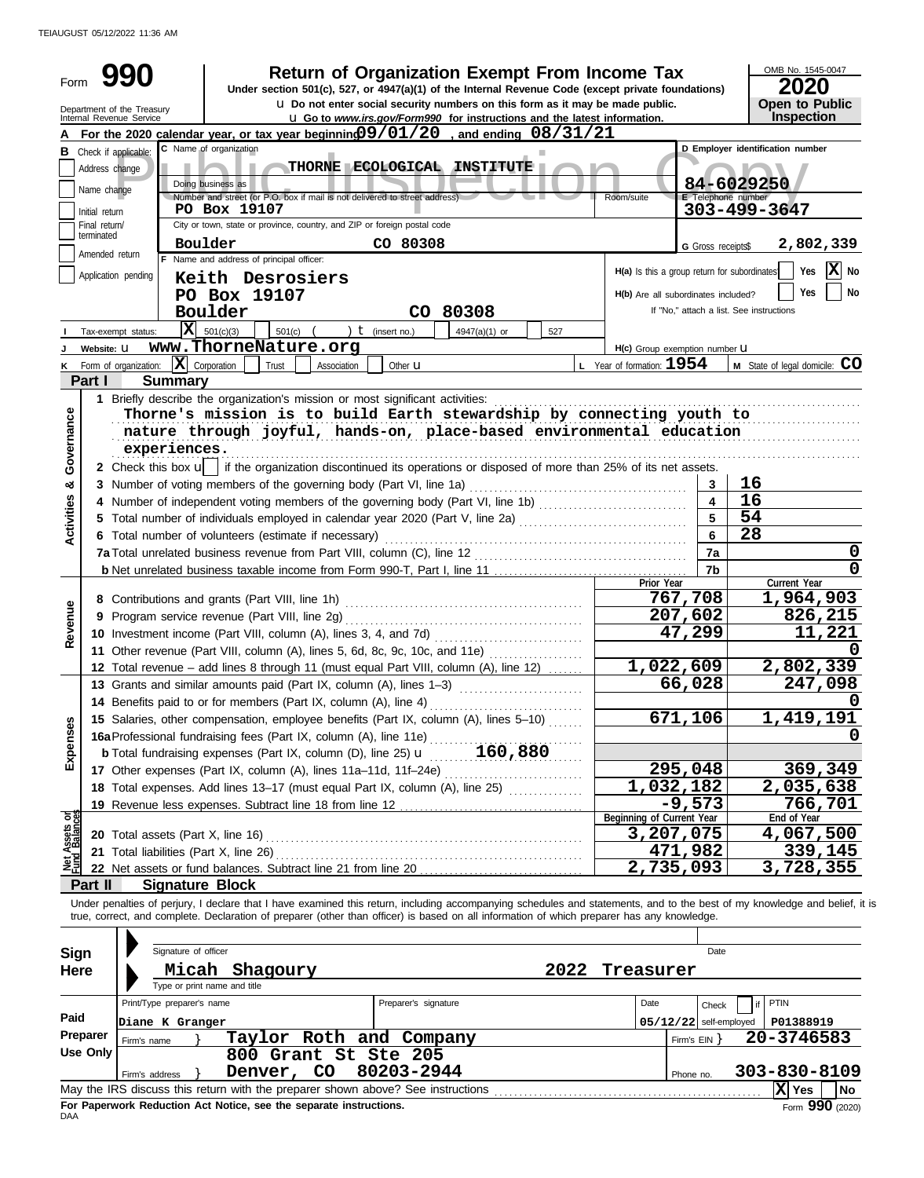TEIAUGUST 05/12/2022 11:36 AM

| Form                           |                 |                                                        |                                                                                                 | <b>Return of Organization Exempt From Income Tax</b><br>Under section 501(c), 527, or 4947(a)(1) of the Internal Revenue Code (except private foundations)<br>u Do not enter social security numbers on this form as it may be made public.                                                                              |      |                                              |                              | OMB No. 1545-0047<br>2020<br><b>Open to Public</b> |  |  |  |
|--------------------------------|-----------------|--------------------------------------------------------|-------------------------------------------------------------------------------------------------|--------------------------------------------------------------------------------------------------------------------------------------------------------------------------------------------------------------------------------------------------------------------------------------------------------------------------|------|----------------------------------------------|------------------------------|----------------------------------------------------|--|--|--|
|                                |                 | Department of the Treasury<br>Internal Revenue Service |                                                                                                 | <b>u</b> Go to www.irs.gov/Form990 for instructions and the latest information.                                                                                                                                                                                                                                          |      |                                              |                              | Inspection                                         |  |  |  |
|                                |                 |                                                        |                                                                                                 | For the 2020 calendar year, or tax year beginning $99/01/20$ , and ending $08/31/21$                                                                                                                                                                                                                                     |      |                                              |                              |                                                    |  |  |  |
|                                |                 | <b>B</b> Check if applicable:                          | C Name of organization                                                                          |                                                                                                                                                                                                                                                                                                                          |      |                                              |                              | D Emplover identification number                   |  |  |  |
|                                | Address change  |                                                        |                                                                                                 | THORNE ECOLOGICAL INSTITUTE                                                                                                                                                                                                                                                                                              |      |                                              |                              |                                                    |  |  |  |
|                                | Name change     |                                                        | Doing business as<br>Number and street (or P.O. box if mail is not delivered to street address) |                                                                                                                                                                                                                                                                                                                          |      | Room/suite                                   | E Telephone number           | 84-6029250                                         |  |  |  |
|                                | Initial return  |                                                        | PO Box 19107                                                                                    |                                                                                                                                                                                                                                                                                                                          |      |                                              |                              | 303-499-3647                                       |  |  |  |
|                                | Final return/   |                                                        | City or town, state or province, country, and ZIP or foreign postal code                        |                                                                                                                                                                                                                                                                                                                          |      |                                              |                              |                                                    |  |  |  |
|                                | terminated      |                                                        | Boulder                                                                                         | CO 80308                                                                                                                                                                                                                                                                                                                 |      |                                              | G Gross receipts\$           | 2,802,339                                          |  |  |  |
|                                | Amended return  |                                                        | F Name and address of principal officer:                                                        |                                                                                                                                                                                                                                                                                                                          |      |                                              |                              | $ \mathbf{X} $ No<br>Yes                           |  |  |  |
|                                |                 | Application pending                                    | Keith Desrosiers                                                                                |                                                                                                                                                                                                                                                                                                                          |      | H(a) Is this a group return for subordinates |                              |                                                    |  |  |  |
|                                |                 |                                                        | PO Box 19107                                                                                    |                                                                                                                                                                                                                                                                                                                          |      | H(b) Are all subordinates included?          |                              | <b>Yes</b><br>No                                   |  |  |  |
|                                |                 |                                                        | Boulder                                                                                         | CO 80308                                                                                                                                                                                                                                                                                                                 |      |                                              |                              | If "No," attach a list. See instructions           |  |  |  |
|                                |                 | Tax-exempt status:                                     | $ \mathbf{X} $ 501(c)(3)<br>501(c)                                                              | ) $t$ (insert no.)<br>4947(a)(1) or                                                                                                                                                                                                                                                                                      | 527  |                                              |                              |                                                    |  |  |  |
|                                | Website: U      |                                                        | www.ThorneNature.org                                                                            |                                                                                                                                                                                                                                                                                                                          |      | H(c) Group exemption number <b>U</b>         |                              |                                                    |  |  |  |
|                                |                 | Form of organization:                                  | $\overline{\mathbf{X}}$ Corporation<br>Trust<br>Association                                     | Other $\mathbf u$                                                                                                                                                                                                                                                                                                        |      | L Year of formation: $1954$                  |                              | M State of legal domicile: CO                      |  |  |  |
|                                | Part I          | <b>Summary</b>                                         |                                                                                                 |                                                                                                                                                                                                                                                                                                                          |      |                                              |                              |                                                    |  |  |  |
|                                |                 |                                                        | 1 Briefly describe the organization's mission or most significant activities:                   |                                                                                                                                                                                                                                                                                                                          |      |                                              |                              |                                                    |  |  |  |
| Governance                     |                 |                                                        |                                                                                                 | Thorne's mission is to build Earth stewardship by connecting youth to                                                                                                                                                                                                                                                    |      |                                              |                              |                                                    |  |  |  |
|                                |                 | experiences.                                           |                                                                                                 | nature through joyful, hands-on, place-based environmental education                                                                                                                                                                                                                                                     |      |                                              |                              |                                                    |  |  |  |
|                                |                 |                                                        |                                                                                                 |                                                                                                                                                                                                                                                                                                                          |      |                                              |                              |                                                    |  |  |  |
|                                |                 |                                                        |                                                                                                 | 2 Check this box u   if the organization discontinued its operations or disposed of more than 25% of its net assets.                                                                                                                                                                                                     |      |                                              |                              | 16                                                 |  |  |  |
| න්                             |                 |                                                        | 3 Number of voting members of the governing body (Part VI, line 1a)                             |                                                                                                                                                                                                                                                                                                                          |      |                                              | 3<br>$\overline{\mathbf{4}}$ | 16                                                 |  |  |  |
|                                |                 |                                                        |                                                                                                 |                                                                                                                                                                                                                                                                                                                          |      |                                              |                              | 54                                                 |  |  |  |
| <b>Activities</b>              |                 |                                                        | 6 Total number of volunteers (estimate if necessary)                                            |                                                                                                                                                                                                                                                                                                                          |      |                                              | 6                            | 28                                                 |  |  |  |
|                                |                 |                                                        |                                                                                                 |                                                                                                                                                                                                                                                                                                                          | 7a   | 0                                            |                              |                                                    |  |  |  |
|                                |                 |                                                        |                                                                                                 |                                                                                                                                                                                                                                                                                                                          |      |                                              | 7b                           | 0                                                  |  |  |  |
|                                |                 |                                                        |                                                                                                 |                                                                                                                                                                                                                                                                                                                          |      | Prior Year                                   |                              | Current Year                                       |  |  |  |
|                                |                 |                                                        |                                                                                                 |                                                                                                                                                                                                                                                                                                                          |      |                                              | 767,708                      | 1,964,903                                          |  |  |  |
|                                |                 |                                                        |                                                                                                 |                                                                                                                                                                                                                                                                                                                          |      |                                              | 207,602                      | 826,215                                            |  |  |  |
| Revenue                        |                 |                                                        |                                                                                                 | 10 Investment income (Part VIII, column (A), lines 3, 4, and 7d) [11, 12, 12, 12, 12, 12, 12, 13, 13, 13, 13, 1                                                                                                                                                                                                          |      |                                              | 47,299                       | 11,221                                             |  |  |  |
|                                |                 |                                                        |                                                                                                 | 11 Other revenue (Part VIII, column (A), lines 5, 6d, 8c, 9c, 10c, and 11e)                                                                                                                                                                                                                                              |      |                                              |                              |                                                    |  |  |  |
|                                |                 |                                                        |                                                                                                 | 12 Total revenue - add lines 8 through 11 (must equal Part VIII, column (A), line 12)                                                                                                                                                                                                                                    |      | 1,022,609                                    |                              | 2,802,339                                          |  |  |  |
|                                |                 |                                                        | 13 Grants and similar amounts paid (Part IX, column (A), lines 1-3)                             |                                                                                                                                                                                                                                                                                                                          |      |                                              | 66,028                       | 247,098                                            |  |  |  |
|                                |                 |                                                        |                                                                                                 | 14 Benefits paid to or for members (Part IX, column (A), line 4)                                                                                                                                                                                                                                                         |      |                                              |                              | 0                                                  |  |  |  |
| Expenses                       |                 |                                                        |                                                                                                 | 15 Salaries, other compensation, employee benefits (Part IX, column (A), lines 5-10)                                                                                                                                                                                                                                     |      |                                              | 671,106                      | 1,419,191                                          |  |  |  |
|                                |                 |                                                        |                                                                                                 |                                                                                                                                                                                                                                                                                                                          |      |                                              |                              |                                                    |  |  |  |
|                                |                 |                                                        |                                                                                                 |                                                                                                                                                                                                                                                                                                                          |      |                                              | 295,048                      | 369,349                                            |  |  |  |
|                                |                 |                                                        |                                                                                                 | 17 Other expenses (Part IX, column (A), lines 11a-11d, 11f-24e)<br>18 Total expenses. Add lines 13-17 (must equal Part IX, column (A), line 25)                                                                                                                                                                          |      | 1,032,182                                    |                              | 2,035,638                                          |  |  |  |
|                                |                 |                                                        |                                                                                                 |                                                                                                                                                                                                                                                                                                                          |      |                                              | $-9,573$                     | 766,701                                            |  |  |  |
|                                |                 |                                                        |                                                                                                 |                                                                                                                                                                                                                                                                                                                          |      | Beginning of Current Year                    |                              | End of Year                                        |  |  |  |
| Net Assets or<br>Fund Balances |                 |                                                        |                                                                                                 |                                                                                                                                                                                                                                                                                                                          |      | 3,207,075                                    |                              | 4,067,500                                          |  |  |  |
|                                |                 | 21 Total liabilities (Part X, line 26)                 |                                                                                                 |                                                                                                                                                                                                                                                                                                                          |      |                                              | 471,982                      | 339,145                                            |  |  |  |
|                                |                 |                                                        |                                                                                                 |                                                                                                                                                                                                                                                                                                                          |      | 2,735,093                                    |                              | $\overline{3,728,355}$                             |  |  |  |
|                                | Part II         | <b>Signature Block</b>                                 |                                                                                                 |                                                                                                                                                                                                                                                                                                                          |      |                                              |                              |                                                    |  |  |  |
|                                |                 |                                                        |                                                                                                 | Under penalties of perjury, I declare that I have examined this return, including accompanying schedules and statements, and to the best of my knowledge and belief, it is<br>true, correct, and complete. Declaration of preparer (other than officer) is based on all information of which preparer has any knowledge. |      |                                              |                              |                                                    |  |  |  |
|                                |                 |                                                        |                                                                                                 |                                                                                                                                                                                                                                                                                                                          |      |                                              |                              |                                                    |  |  |  |
| Sign                           |                 | Signature of officer                                   |                                                                                                 |                                                                                                                                                                                                                                                                                                                          |      |                                              | Date                         |                                                    |  |  |  |
| Here                           |                 |                                                        | Micah Shagoury                                                                                  |                                                                                                                                                                                                                                                                                                                          | 2022 | Treasurer                                    |                              |                                                    |  |  |  |
|                                |                 | Type or print name and title                           |                                                                                                 |                                                                                                                                                                                                                                                                                                                          |      |                                              |                              |                                                    |  |  |  |
|                                |                 | Print/Type preparer's name                             |                                                                                                 | Preparer's signature                                                                                                                                                                                                                                                                                                     |      | Date                                         | Check                        | PTIN                                               |  |  |  |
| Paid                           |                 | Diane K Granger                                        |                                                                                                 |                                                                                                                                                                                                                                                                                                                          |      |                                              | $05/12/22$ self-employed     | P01388919                                          |  |  |  |
|                                | Preparer        | Firm's name                                            | Taylor Roth and Company                                                                         |                                                                                                                                                                                                                                                                                                                          |      |                                              | Firm's $EIN$ }               | 20-3746583                                         |  |  |  |
|                                | <b>Use Only</b> |                                                        | 800 Grant St Ste 205                                                                            |                                                                                                                                                                                                                                                                                                                          |      |                                              |                              |                                                    |  |  |  |
|                                |                 | Firm's address                                         | Denver, CO                                                                                      | 80203-2944                                                                                                                                                                                                                                                                                                               |      |                                              | Phone no.                    | 303-830-8109                                       |  |  |  |
|                                |                 |                                                        |                                                                                                 |                                                                                                                                                                                                                                                                                                                          |      |                                              |                              | X Yes<br><b>No</b>                                 |  |  |  |

| --- ----<br>ovo Gianc Sc Sce 200<br>Denver, CO 80203-2944<br>Firm's address     | Phone no. | 303-830-8109  |                 |
|---------------------------------------------------------------------------------|-----------|---------------|-----------------|
| May the IRS discuss this return with the preparer shown above? See instructions |           | $ X $ Yes $ $ | l No            |
| For Paperwork Reduction Act Notice, see the separate instructions.<br>DAA       |           |               | Form 990 (2020) |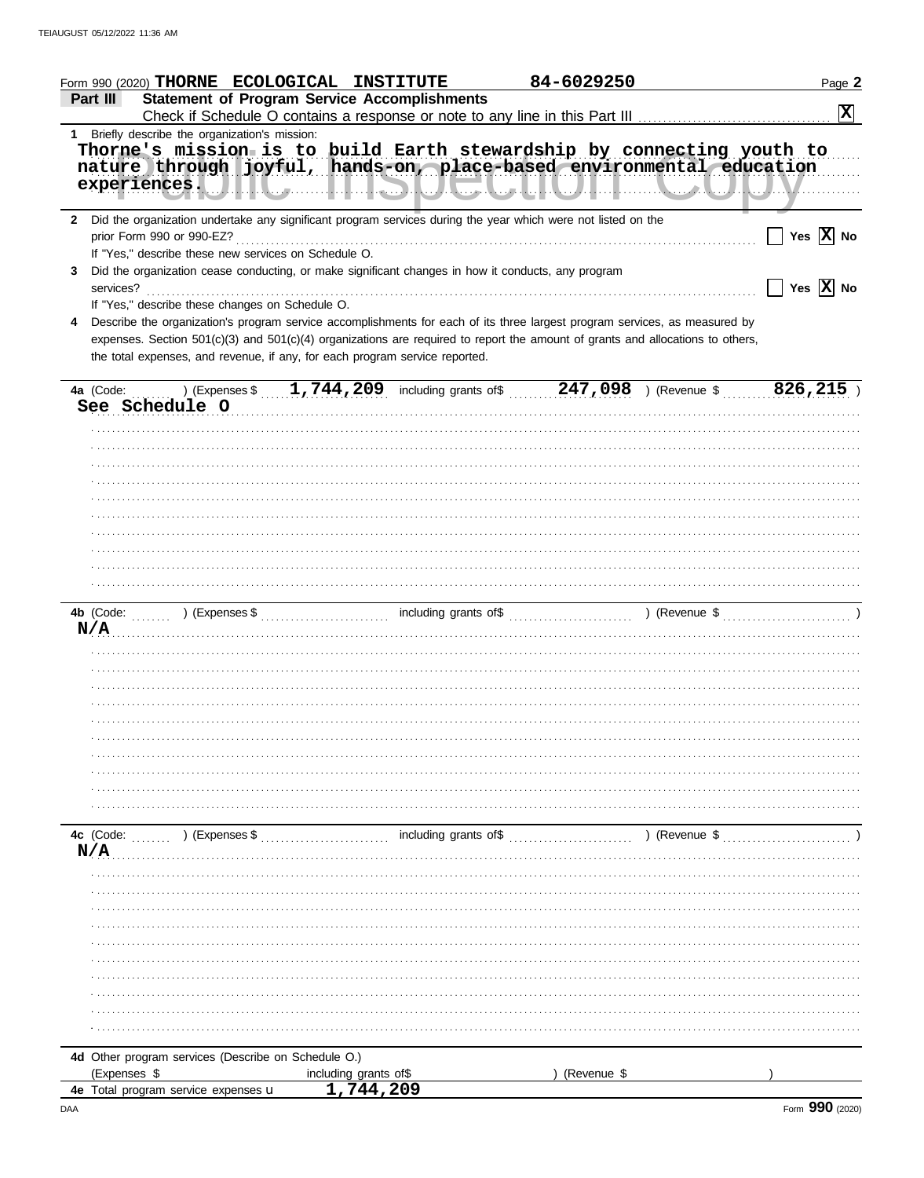|                | Form 990 (2020) THORNE ECOLOGICAL INSTITUTE                                                                                                                                                                                                                                                                                                 |                                                     | 84-6029250  | Page 2                                                                                               |
|----------------|---------------------------------------------------------------------------------------------------------------------------------------------------------------------------------------------------------------------------------------------------------------------------------------------------------------------------------------------|-----------------------------------------------------|-------------|------------------------------------------------------------------------------------------------------|
| Part III       |                                                                                                                                                                                                                                                                                                                                             | <b>Statement of Program Service Accomplishments</b> |             |                                                                                                      |
|                |                                                                                                                                                                                                                                                                                                                                             |                                                     |             | $\boxed{\mathbf{X}}$                                                                                 |
| 1.             | Briefly describe the organization's mission:                                                                                                                                                                                                                                                                                                |                                                     |             |                                                                                                      |
|                | Thorne's mission is to build Earth stewardship by connecting youth to<br>nature through joyful, hands-on, place-based environmental education                                                                                                                                                                                               |                                                     |             | experiences. J.I.I. J. J. L. L. D. L. L. L. L. L. L. J. L. L. L. J. L. L. L. L. L. L. L. L. L. L. V. |
|                | 2 Did the organization undertake any significant program services during the year which were not listed on the<br>prior Form 990 or 990-EZ?<br>If "Yes," describe these new services on Schedule O.                                                                                                                                         |                                                     |             | Yes $\overline{X}$ No                                                                                |
| 3<br>services? | Did the organization cease conducting, or make significant changes in how it conducts, any program                                                                                                                                                                                                                                          |                                                     |             | Yes $\overline{X}$ No<br>$\blacksquare$                                                              |
|                | If "Yes," describe these changes on Schedule O.                                                                                                                                                                                                                                                                                             |                                                     |             |                                                                                                      |
|                | Describe the organization's program service accomplishments for each of its three largest program services, as measured by<br>expenses. Section 501(c)(3) and 501(c)(4) organizations are required to report the amount of grants and allocations to others,<br>the total expenses, and revenue, if any, for each program service reported. |                                                     |             |                                                                                                      |
| 4a (Code:      |                                                                                                                                                                                                                                                                                                                                             |                                                     |             | (Expenses \$ 1,744,209 including grants of \$ 247,098 ) (Revenue \$ 826,215 )                        |
|                | See Schedule O                                                                                                                                                                                                                                                                                                                              |                                                     |             |                                                                                                      |
|                |                                                                                                                                                                                                                                                                                                                                             |                                                     |             |                                                                                                      |
|                |                                                                                                                                                                                                                                                                                                                                             |                                                     |             |                                                                                                      |
|                |                                                                                                                                                                                                                                                                                                                                             |                                                     |             |                                                                                                      |
|                |                                                                                                                                                                                                                                                                                                                                             |                                                     |             |                                                                                                      |
|                |                                                                                                                                                                                                                                                                                                                                             |                                                     |             |                                                                                                      |
|                |                                                                                                                                                                                                                                                                                                                                             |                                                     |             |                                                                                                      |
|                |                                                                                                                                                                                                                                                                                                                                             |                                                     |             |                                                                                                      |
|                |                                                                                                                                                                                                                                                                                                                                             |                                                     |             |                                                                                                      |
|                |                                                                                                                                                                                                                                                                                                                                             |                                                     |             |                                                                                                      |
|                |                                                                                                                                                                                                                                                                                                                                             |                                                     |             |                                                                                                      |
|                |                                                                                                                                                                                                                                                                                                                                             |                                                     |             |                                                                                                      |
|                |                                                                                                                                                                                                                                                                                                                                             |                                                     |             |                                                                                                      |
|                | N/A                                                                                                                                                                                                                                                                                                                                         |                                                     |             |                                                                                                      |
|                |                                                                                                                                                                                                                                                                                                                                             |                                                     |             |                                                                                                      |
|                |                                                                                                                                                                                                                                                                                                                                             |                                                     |             |                                                                                                      |
|                |                                                                                                                                                                                                                                                                                                                                             |                                                     |             |                                                                                                      |
|                |                                                                                                                                                                                                                                                                                                                                             |                                                     |             |                                                                                                      |
|                |                                                                                                                                                                                                                                                                                                                                             |                                                     |             |                                                                                                      |
|                |                                                                                                                                                                                                                                                                                                                                             |                                                     |             |                                                                                                      |
|                |                                                                                                                                                                                                                                                                                                                                             |                                                     |             |                                                                                                      |
|                |                                                                                                                                                                                                                                                                                                                                             |                                                     |             |                                                                                                      |
|                |                                                                                                                                                                                                                                                                                                                                             |                                                     |             |                                                                                                      |
|                |                                                                                                                                                                                                                                                                                                                                             |                                                     |             |                                                                                                      |
|                |                                                                                                                                                                                                                                                                                                                                             |                                                     |             |                                                                                                      |
| 4c (Code:      | ) (Expenses \$                                                                                                                                                                                                                                                                                                                              | including grants of\$                               |             | ) (Revenue \$                                                                                        |
| N/A            |                                                                                                                                                                                                                                                                                                                                             |                                                     |             |                                                                                                      |
|                |                                                                                                                                                                                                                                                                                                                                             |                                                     |             |                                                                                                      |
|                |                                                                                                                                                                                                                                                                                                                                             |                                                     |             |                                                                                                      |
|                |                                                                                                                                                                                                                                                                                                                                             |                                                     |             |                                                                                                      |
|                |                                                                                                                                                                                                                                                                                                                                             |                                                     |             |                                                                                                      |
|                |                                                                                                                                                                                                                                                                                                                                             |                                                     |             |                                                                                                      |
|                |                                                                                                                                                                                                                                                                                                                                             |                                                     |             |                                                                                                      |
|                |                                                                                                                                                                                                                                                                                                                                             |                                                     |             |                                                                                                      |
|                |                                                                                                                                                                                                                                                                                                                                             |                                                     |             |                                                                                                      |
|                |                                                                                                                                                                                                                                                                                                                                             |                                                     |             |                                                                                                      |
|                |                                                                                                                                                                                                                                                                                                                                             |                                                     |             |                                                                                                      |
|                |                                                                                                                                                                                                                                                                                                                                             |                                                     |             |                                                                                                      |
|                |                                                                                                                                                                                                                                                                                                                                             |                                                     |             |                                                                                                      |
|                | 4d Other program services (Describe on Schedule O.)<br>(Expenses \$                                                                                                                                                                                                                                                                         |                                                     |             |                                                                                                      |
|                | 4e Total program service expenses u                                                                                                                                                                                                                                                                                                         | including grants of\$<br>1,744,209                  | (Revenue \$ |                                                                                                      |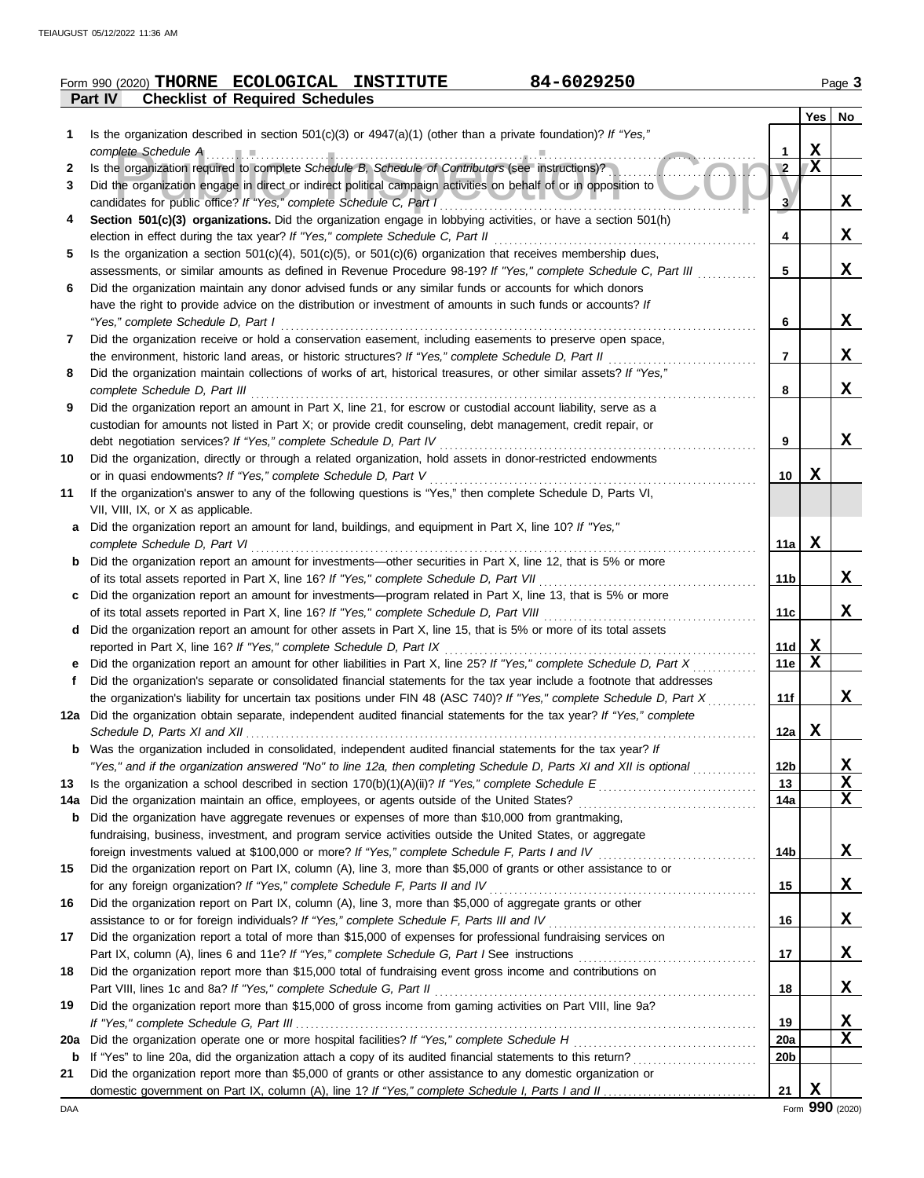|     | 84-6029250<br>Form 990 (2020) THORNE ECOLOGICAL INSTITUTE                                                                                                                                                                                         |                 |                         | Page 3   |
|-----|---------------------------------------------------------------------------------------------------------------------------------------------------------------------------------------------------------------------------------------------------|-----------------|-------------------------|----------|
|     | <b>Checklist of Required Schedules</b><br><b>Part IV</b>                                                                                                                                                                                          |                 |                         |          |
|     |                                                                                                                                                                                                                                                   |                 |                         | Yes   No |
| 1   | Is the organization described in section $501(c)(3)$ or $4947(a)(1)$ (other than a private foundation)? If "Yes,"                                                                                                                                 |                 |                         |          |
|     |                                                                                                                                                                                                                                                   | 1               | X                       |          |
| 2   | Is the organization required to complete Schedule B, Schedule of Contributors (see instructions)?                                                                                                                                                 | $\overline{2}$  | $\overline{\mathbf{x}}$ |          |
| 3   | Did the organization engage in direct or indirect political campaign activities on behalf of or in opposition to                                                                                                                                  |                 |                         |          |
|     | candidates for public office? If "Yes," complete Schedule C, Part I                                                                                                                                                                               | 3               |                         | X        |
| 4   | Section 501(c)(3) organizations. Did the organization engage in lobbying activities, or have a section 501(h)                                                                                                                                     | 4               |                         | X        |
| 5   | election in effect during the tax year? If "Yes," complete Schedule C, Part II<br>Is the organization a section $501(c)(4)$ , $501(c)(5)$ , or $501(c)(6)$ organization that receives membership dues,                                            |                 |                         |          |
|     | assessments, or similar amounts as defined in Revenue Procedure 98-19? If "Yes," complete Schedule C, Part III                                                                                                                                    | 5               |                         | X        |
| 6   | Did the organization maintain any donor advised funds or any similar funds or accounts for which donors                                                                                                                                           |                 |                         |          |
|     | have the right to provide advice on the distribution or investment of amounts in such funds or accounts? If                                                                                                                                       |                 |                         |          |
|     | "Yes," complete Schedule D, Part I                                                                                                                                                                                                                | 6               |                         | x        |
| 7   | Did the organization receive or hold a conservation easement, including easements to preserve open space,                                                                                                                                         |                 |                         |          |
|     | the environment, historic land areas, or historic structures? If "Yes," complete Schedule D, Part II                                                                                                                                              | 7               |                         | x        |
| 8   | Did the organization maintain collections of works of art, historical treasures, or other similar assets? If "Yes,"                                                                                                                               |                 |                         |          |
|     | complete Schedule D, Part III                                                                                                                                                                                                                     | 8               |                         | x        |
| 9   | Did the organization report an amount in Part X, line 21, for escrow or custodial account liability, serve as a                                                                                                                                   |                 |                         |          |
|     | custodian for amounts not listed in Part X; or provide credit counseling, debt management, credit repair, or                                                                                                                                      |                 |                         |          |
|     | debt negotiation services? If "Yes," complete Schedule D, Part IV                                                                                                                                                                                 | 9               |                         | X        |
| 10  | Did the organization, directly or through a related organization, hold assets in donor-restricted endowments                                                                                                                                      |                 |                         |          |
|     | or in quasi endowments? If "Yes," complete Schedule D, Part V<br>If the organization's answer to any of the following questions is "Yes," then complete Schedule D, Parts VI,                                                                     | 10              | x                       |          |
| 11  | VII, VIII, IX, or X as applicable.                                                                                                                                                                                                                |                 |                         |          |
| a   | Did the organization report an amount for land, buildings, and equipment in Part X, line 10? If "Yes,"                                                                                                                                            |                 |                         |          |
|     | complete Schedule D, Part VI                                                                                                                                                                                                                      | 11a             | X                       |          |
| b   | Did the organization report an amount for investments-other securities in Part X, line 12, that is 5% or more                                                                                                                                     |                 |                         |          |
|     |                                                                                                                                                                                                                                                   | 11b             |                         | x        |
| c   | Did the organization report an amount for investments—program related in Part X, line 13, that is 5% or more                                                                                                                                      |                 |                         |          |
|     |                                                                                                                                                                                                                                                   | 11c             |                         | X        |
| d   | Did the organization report an amount for other assets in Part X, line 15, that is 5% or more of its total assets                                                                                                                                 |                 |                         |          |
|     | reported in Part X, line 16? If "Yes," complete Schedule D, Part IX                                                                                                                                                                               | 11d             | $\mathbf x$             |          |
|     | Did the organization report an amount for other liabilities in Part X, line 25? If "Yes," complete Schedule D, Part X                                                                                                                             | <b>11e</b>      | $\mathbf X$             |          |
|     | Did the organization's separate or consolidated financial statements for the tax year include a footnote that addresses                                                                                                                           |                 |                         |          |
|     | the organization's liability for uncertain tax positions under FIN 48 (ASC 740)? If "Yes," complete Schedule D, Part X<br>12a Did the organization obtain separate, independent audited financial statements for the tax year? If "Yes," complete | 11f             |                         | x        |
|     |                                                                                                                                                                                                                                                   | 12a             | X                       |          |
| b   | Was the organization included in consolidated, independent audited financial statements for the tax year? If                                                                                                                                      |                 |                         |          |
|     | "Yes," and if the organization answered "No" to line 12a, then completing Schedule D, Parts XI and XII is optional                                                                                                                                | 12b             |                         | X        |
| 13  |                                                                                                                                                                                                                                                   | 13              |                         | X        |
| 14a | Did the organization maintain an office, employees, or agents outside of the United States?                                                                                                                                                       | 14a             |                         | X        |
| b   | Did the organization have aggregate revenues or expenses of more than \$10,000 from grantmaking,                                                                                                                                                  |                 |                         |          |
|     | fundraising, business, investment, and program service activities outside the United States, or aggregate                                                                                                                                         |                 |                         |          |
|     |                                                                                                                                                                                                                                                   | 14b             |                         | X        |
| 15  | Did the organization report on Part IX, column (A), line 3, more than \$5,000 of grants or other assistance to or                                                                                                                                 |                 |                         |          |
|     | for any foreign organization? If "Yes," complete Schedule F, Parts II and IV                                                                                                                                                                      | 15              |                         | X        |
| 16  | Did the organization report on Part IX, column (A), line 3, more than \$5,000 of aggregate grants or other                                                                                                                                        |                 |                         |          |
|     |                                                                                                                                                                                                                                                   | 16              |                         | X        |
| 17  | Did the organization report a total of more than \$15,000 of expenses for professional fundraising services on                                                                                                                                    | 17              |                         | X        |
| 18  | Did the organization report more than \$15,000 total of fundraising event gross income and contributions on                                                                                                                                       |                 |                         |          |
|     | Part VIII, lines 1c and 8a? If "Yes," complete Schedule G, Part II                                                                                                                                                                                | 18              |                         | X        |
| 19  | Did the organization report more than \$15,000 of gross income from gaming activities on Part VIII, line 9a?                                                                                                                                      |                 |                         |          |
|     |                                                                                                                                                                                                                                                   | 19              |                         | x        |
| 20a | Did the organization operate one or more hospital facilities? If "Yes," complete Schedule H                                                                                                                                                       | 20a             |                         | X        |
| b   |                                                                                                                                                                                                                                                   | 20 <sub>b</sub> |                         |          |
| 21  | Did the organization report more than \$5,000 of grants or other assistance to any domestic organization or                                                                                                                                       |                 |                         |          |
|     |                                                                                                                                                                                                                                                   | 21              | X                       |          |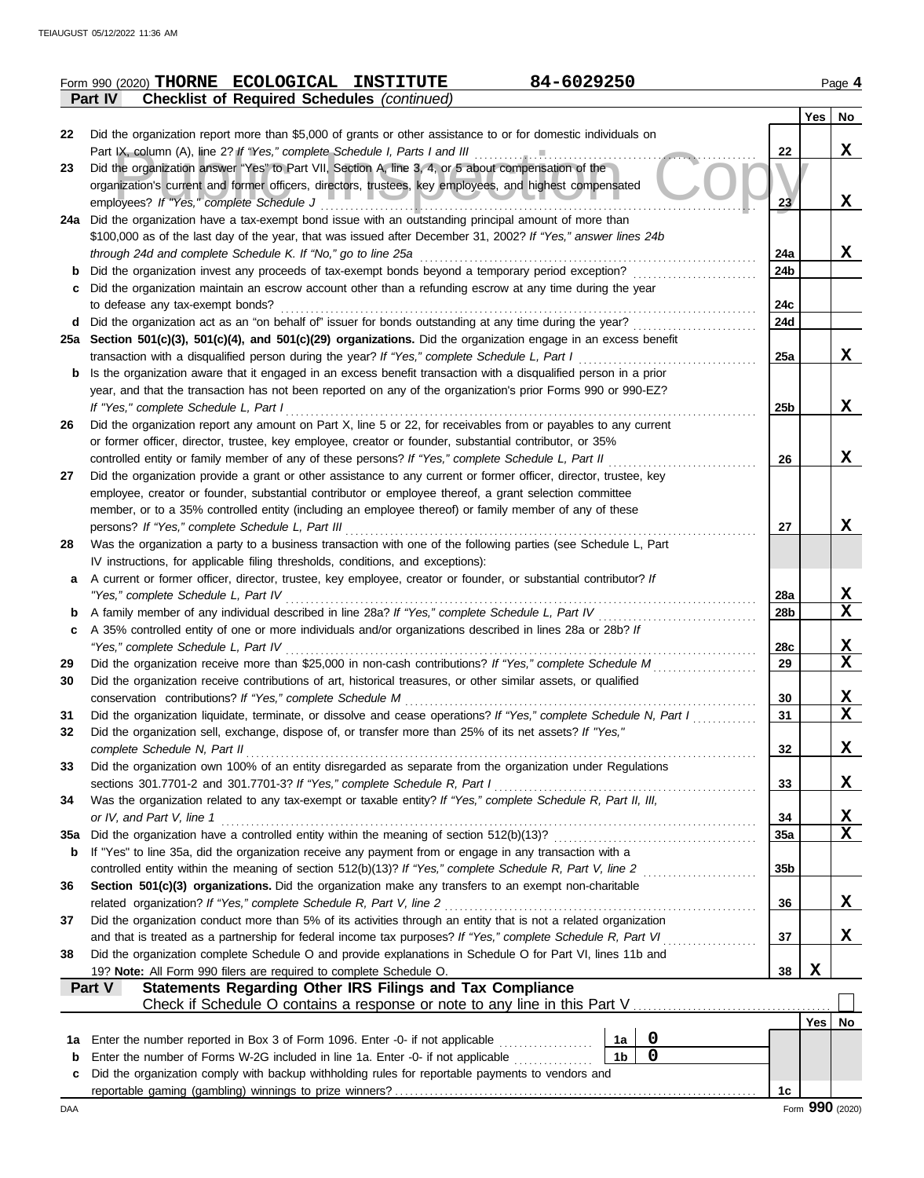|         | 84-6029250<br>Form 990 (2020) THORNE ECOLOGICAL INSTITUTE                                                                                                                                              |                 |             | Page 4                  |
|---------|--------------------------------------------------------------------------------------------------------------------------------------------------------------------------------------------------------|-----------------|-------------|-------------------------|
|         | Part IV<br><b>Checklist of Required Schedules (continued)</b>                                                                                                                                          |                 |             |                         |
| 22      | Did the organization report more than \$5,000 of grants or other assistance to or for domestic individuals on                                                                                          |                 | Yes         | No                      |
|         | Part IX, column (A), line 2? If "Yes," complete Schedule I, Parts I and III                                                                                                                            | 22              |             | X                       |
| 23      | Did the organization answer "Yes" to Part VII, Section A, line 3, 4, or 5 about compensation of the                                                                                                    |                 |             |                         |
|         | organization's current and former officers, directors, trustees, key employees, and highest compensated                                                                                                |                 |             |                         |
|         | employees? If "Yes," complete Schedule J                                                                                                                                                               | 23              |             | X                       |
|         | 24a Did the organization have a tax-exempt bond issue with an outstanding principal amount of more than                                                                                                |                 |             |                         |
|         | \$100,000 as of the last day of the year, that was issued after December 31, 2002? If "Yes," answer lines 24b                                                                                          |                 |             |                         |
|         | through 24d and complete Schedule K. If "No," go to line 25a                                                                                                                                           | 24a             |             | X                       |
| b       | Did the organization invest any proceeds of tax-exempt bonds beyond a temporary period exception?                                                                                                      | 24 <sub>b</sub> |             |                         |
| с       | Did the organization maintain an escrow account other than a refunding escrow at any time during the year                                                                                              | 24c             |             |                         |
| d       | to defease any tax-exempt bonds?<br>Did the organization act as an "on behalf of" issuer for bonds outstanding at any time during the year?                                                            | 24d             |             |                         |
|         | 25a Section 501(c)(3), 501(c)(4), and 501(c)(29) organizations. Did the organization engage in an excess benefit                                                                                       |                 |             |                         |
|         | transaction with a disqualified person during the year? If "Yes," complete Schedule L, Part I                                                                                                          | 25a             |             | X                       |
| b       | Is the organization aware that it engaged in an excess benefit transaction with a disqualified person in a prior                                                                                       |                 |             |                         |
|         | year, and that the transaction has not been reported on any of the organization's prior Forms 990 or 990-EZ?                                                                                           |                 |             |                         |
|         | If "Yes," complete Schedule L, Part I                                                                                                                                                                  | 25 <sub>b</sub> |             | X                       |
| 26      | Did the organization report any amount on Part X, line 5 or 22, for receivables from or payables to any current                                                                                        |                 |             |                         |
|         | or former officer, director, trustee, key employee, creator or founder, substantial contributor, or 35%                                                                                                |                 |             |                         |
|         | controlled entity or family member of any of these persons? If "Yes," complete Schedule L, Part II                                                                                                     | 26              |             | X                       |
| 27      | Did the organization provide a grant or other assistance to any current or former officer, director, trustee, key                                                                                      |                 |             |                         |
|         | employee, creator or founder, substantial contributor or employee thereof, a grant selection committee                                                                                                 |                 |             |                         |
|         | member, or to a 35% controlled entity (including an employee thereof) or family member of any of these                                                                                                 |                 |             |                         |
|         | persons? If "Yes," complete Schedule L, Part III                                                                                                                                                       | 27              |             | X                       |
| 28      | Was the organization a party to a business transaction with one of the following parties (see Schedule L, Part                                                                                         |                 |             |                         |
| a       | IV instructions, for applicable filing thresholds, conditions, and exceptions):<br>A current or former officer, director, trustee, key employee, creator or founder, or substantial contributor? If    |                 |             |                         |
|         | "Yes," complete Schedule L, Part IV                                                                                                                                                                    | 28a             |             | $\mathbf x$             |
| b       | A family member of any individual described in line 28a? If "Yes," complete Schedule L, Part IV                                                                                                        | 28 <sub>b</sub> |             | $\mathbf{x}$            |
| c       | A 35% controlled entity of one or more individuals and/or organizations described in lines 28a or 28b? If                                                                                              |                 |             |                         |
|         | "Yes," complete Schedule L, Part IV                                                                                                                                                                    | 28c             |             | $\mathbf{x}$            |
| 29      | Did the organization receive more than \$25,000 in non-cash contributions? If "Yes," complete Schedule M                                                                                               | 29              |             | $\mathbf x$             |
| 30      | Did the organization receive contributions of art, historical treasures, or other similar assets, or qualified                                                                                         |                 |             |                         |
|         | conservation contributions? If "Yes," complete Schedule M                                                                                                                                              | 30              |             | X                       |
| 31      | Did the organization liquidate, terminate, or dissolve and cease operations? If "Yes," complete Schedule N, Part I                                                                                     | 31              |             | $\overline{\mathbf{x}}$ |
| 32      | Did the organization sell, exchange, dispose of, or transfer more than 25% of its net assets? If "Yes,"                                                                                                |                 |             |                         |
|         | complete Schedule N, Part II                                                                                                                                                                           | 32              |             | X                       |
| 33      | Did the organization own 100% of an entity disregarded as separate from the organization under Regulations                                                                                             |                 |             |                         |
|         | sections 301.7701-2 and 301.7701-3? If "Yes," complete Schedule R, Part I                                                                                                                              | 33              |             | X                       |
| 34      | Was the organization related to any tax-exempt or taxable entity? If "Yes," complete Schedule R, Part II, III,<br>or IV, and Part V, line 1                                                            | 34              |             | <u>x</u>                |
| 35a     | Did the organization have a controlled entity within the meaning of section 512(b)(13)?                                                                                                                | <b>35a</b>      |             | $\mathbf x$             |
| b       | If "Yes" to line 35a, did the organization receive any payment from or engage in any transaction with a                                                                                                |                 |             |                         |
|         | controlled entity within the meaning of section 512(b)(13)? If "Yes," complete Schedule R, Part V, line 2                                                                                              | 35 <sub>b</sub> |             |                         |
| 36      | Section 501(c)(3) organizations. Did the organization make any transfers to an exempt non-charitable                                                                                                   |                 |             |                         |
|         | related organization? If "Yes," complete Schedule R, Part V, line 2                                                                                                                                    | 36              |             | X                       |
| 37      | Did the organization conduct more than 5% of its activities through an entity that is not a related organization                                                                                       |                 |             |                         |
|         | and that is treated as a partnership for federal income tax purposes? If "Yes," complete Schedule R, Part VI                                                                                           | 37              |             | X                       |
| 38      | Did the organization complete Schedule O and provide explanations in Schedule O for Part VI, lines 11b and                                                                                             |                 |             |                         |
|         | 19? Note: All Form 990 filers are required to complete Schedule O.                                                                                                                                     | 38              | $\mathbf x$ |                         |
|         | Statements Regarding Other IRS Filings and Tax Compliance<br>Part V                                                                                                                                    |                 |             |                         |
|         |                                                                                                                                                                                                        |                 |             |                         |
|         | 0                                                                                                                                                                                                      |                 | Yes         | No                      |
| 1a<br>b | Enter the number reported in Box 3 of Form 1096. Enter -0- if not applicable<br>1a<br>$\mathbf 0$<br>1 <sub>b</sub><br>Enter the number of Forms W-2G included in line 1a. Enter -0- if not applicable |                 |             |                         |
| c       | Did the organization comply with backup withholding rules for reportable payments to vendors and                                                                                                       |                 |             |                         |
|         |                                                                                                                                                                                                        | 1c              |             |                         |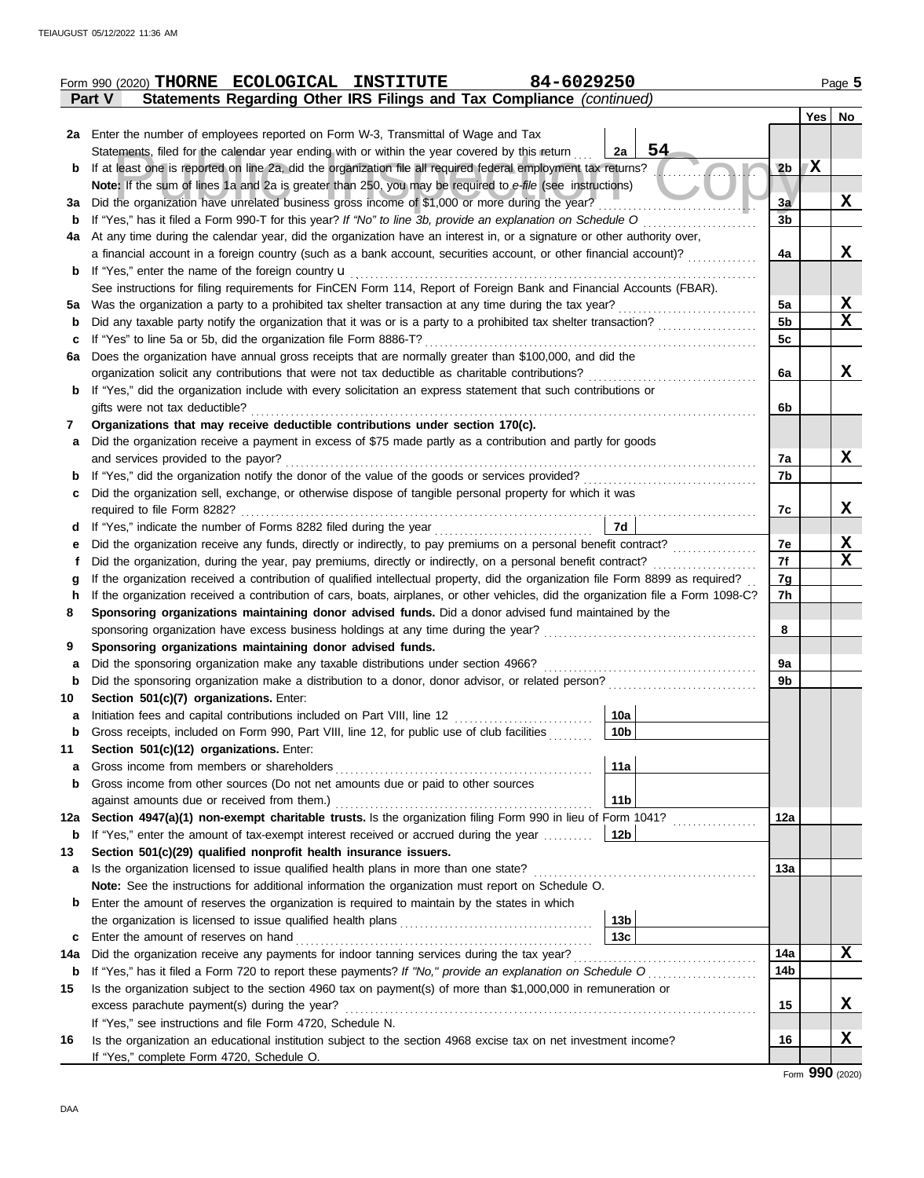|     | Form 990 (2020) THORNE ECOLOGICAL INSTITUTE                                                                                        | 84-6029250             |                |     | Page 5      |
|-----|------------------------------------------------------------------------------------------------------------------------------------|------------------------|----------------|-----|-------------|
|     | Statements Regarding Other IRS Filings and Tax Compliance (continued)<br>Part V                                                    |                        |                |     |             |
|     |                                                                                                                                    |                        |                | Yes | No          |
|     | 2a Enter the number of employees reported on Form W-3, Transmittal of Wage and Tax                                                 |                        |                |     |             |
|     | Statements, filed for the calendar year ending with or within the year covered by this return                                      | 54<br>2a               |                |     |             |
| b   | If at least one is reported on line 2a, did the organization file all required federal employment tax returns?                     |                        | 2 <sub>b</sub> | X   |             |
|     | Note: If the sum of lines 1a and 2a is greater than 250, you may be required to e-file (see instructions)                          |                        |                |     |             |
| За  | Did the organization have unrelated business gross income of \$1,000 or more during the year?                                      |                        | 3a             |     | X           |
|     | If "Yes," has it filed a Form 990-T for this year? If "No" to line 3b, provide an explanation on Schedule O                        |                        | 3 <sub>b</sub> |     |             |
| b   |                                                                                                                                    |                        |                |     |             |
| 4a  | At any time during the calendar year, did the organization have an interest in, or a signature or other authority over,            |                        |                |     |             |
|     | a financial account in a foreign country (such as a bank account, securities account, or other financial account)?                 |                        | 4a             |     | X           |
| b   | If "Yes," enter the name of the foreign country <b>u</b>                                                                           |                        |                |     |             |
|     | See instructions for filing requirements for FinCEN Form 114, Report of Foreign Bank and Financial Accounts (FBAR).                |                        |                |     |             |
| 5а  | Was the organization a party to a prohibited tax shelter transaction at any time during the tax year?                              |                        | 5a             |     | X           |
| b   | Did any taxable party notify the organization that it was or is a party to a prohibited tax shelter transaction?                   |                        | 5 <sub>b</sub> |     | $\mathbf x$ |
| c   | If "Yes" to line 5a or 5b, did the organization file Form 8886-T?                                                                  |                        | 5c             |     |             |
| 6a  | Does the organization have annual gross receipts that are normally greater than \$100,000, and did the                             |                        |                |     |             |
|     | organization solicit any contributions that were not tax deductible as charitable contributions?                                   |                        | 6a             |     | X           |
| b   | If "Yes," did the organization include with every solicitation an express statement that such contributions or                     |                        |                |     |             |
|     | gifts were not tax deductible?                                                                                                     |                        | 6b             |     |             |
| 7   | Organizations that may receive deductible contributions under section 170(c).                                                      |                        |                |     |             |
| a   | Did the organization receive a payment in excess of \$75 made partly as a contribution and partly for goods                        |                        |                |     |             |
|     | and services provided to the payor?                                                                                                |                        | 7a             |     | X           |
| b   | If "Yes," did the organization notify the donor of the value of the goods or services provided?                                    |                        | 7b             |     |             |
| c   | Did the organization sell, exchange, or otherwise dispose of tangible personal property for which it was                           |                        |                |     |             |
|     |                                                                                                                                    |                        | 7c             |     | X           |
| d   | If "Yes," indicate the number of Forms 8282 filed during the year<br>[[[[[[[[[[[[[[[]]]]]]                                         | 7d                     |                |     |             |
| е   | Did the organization receive any funds, directly or indirectly, to pay premiums on a personal benefit contract?                    |                        | 7e             |     | X           |
| f   | Did the organization, during the year, pay premiums, directly or indirectly, on a personal benefit contract?                       |                        | 7f             |     | $\mathbf x$ |
| g   | If the organization received a contribution of qualified intellectual property, did the organization file Form 8899 as required?   |                        | 7g             |     |             |
| h   | If the organization received a contribution of cars, boats, airplanes, or other vehicles, did the organization file a Form 1098-C? |                        | 7h             |     |             |
| 8   | Sponsoring organizations maintaining donor advised funds. Did a donor advised fund maintained by the                               |                        |                |     |             |
|     | sponsoring organization have excess business holdings at any time during the year?                                                 |                        | 8              |     |             |
| 9   | Sponsoring organizations maintaining donor advised funds.                                                                          |                        |                |     |             |
| a   | Did the sponsoring organization make any taxable distributions under section 4966?                                                 |                        | 9а             |     |             |
| b   | Did the sponsoring organization make a distribution to a donor, donor advisor, or related person?                                  |                        | 9b             |     |             |
| 10  | Section 501(c)(7) organizations. Enter:                                                                                            |                        |                |     |             |
|     | Initiation fees and capital contributions included on Part VIII, line 12                                                           | 10a                    |                |     |             |
| b   | Gross receipts, included on Form 990, Part VIII, line 12, for public use of club facilities                                        | 10b                    |                |     |             |
| 11  | Section 501(c)(12) organizations. Enter:                                                                                           |                        |                |     |             |
| a   | Gross income from members or shareholders                                                                                          | 11a                    |                |     |             |
| b   | Gross income from other sources (Do not net amounts due or paid to other sources                                                   |                        |                |     |             |
|     | against amounts due or received from them.)                                                                                        | 11 <sub>b</sub>        |                |     |             |
| 12a | Section 4947(a)(1) non-exempt charitable trusts. Is the organization filing Form 990 in lieu of Form 1041?                         |                        | 12a            |     |             |
| b   | If "Yes," enter the amount of tax-exempt interest received or accrued during the year                                              | 12b                    |                |     |             |
| 13  | Section 501(c)(29) qualified nonprofit health insurance issuers.                                                                   |                        |                |     |             |
| a   | Is the organization licensed to issue qualified health plans in more than one state?                                               |                        | 13а            |     |             |
|     | Note: See the instructions for additional information the organization must report on Schedule O.                                  |                        |                |     |             |
| b   |                                                                                                                                    |                        |                |     |             |
|     | Enter the amount of reserves the organization is required to maintain by the states in which                                       |                        |                |     |             |
|     |                                                                                                                                    | 13 <sub>b</sub><br>13с |                |     |             |
| c   | Enter the amount of reserves on hand                                                                                               |                        | 14a            |     |             |
| 14a | Did the organization receive any payments for indoor tanning services during the tax year?                                         |                        | 14b            |     | X           |
| b   | If "Yes," has it filed a Form 720 to report these payments? If "No," provide an explanation on Schedule O                          |                        |                |     |             |
| 15  | Is the organization subject to the section 4960 tax on payment(s) of more than \$1,000,000 in remuneration or                      |                        |                |     |             |
|     | excess parachute payment(s) during the year?                                                                                       |                        | 15             |     | X           |
|     | If "Yes," see instructions and file Form 4720, Schedule N.                                                                         |                        |                |     |             |
| 16  | Is the organization an educational institution subject to the section 4968 excise tax on net investment income?                    |                        | 16             |     | X           |
|     | If "Yes," complete Form 4720, Schedule O.                                                                                          |                        |                |     |             |

Form **990** (2020)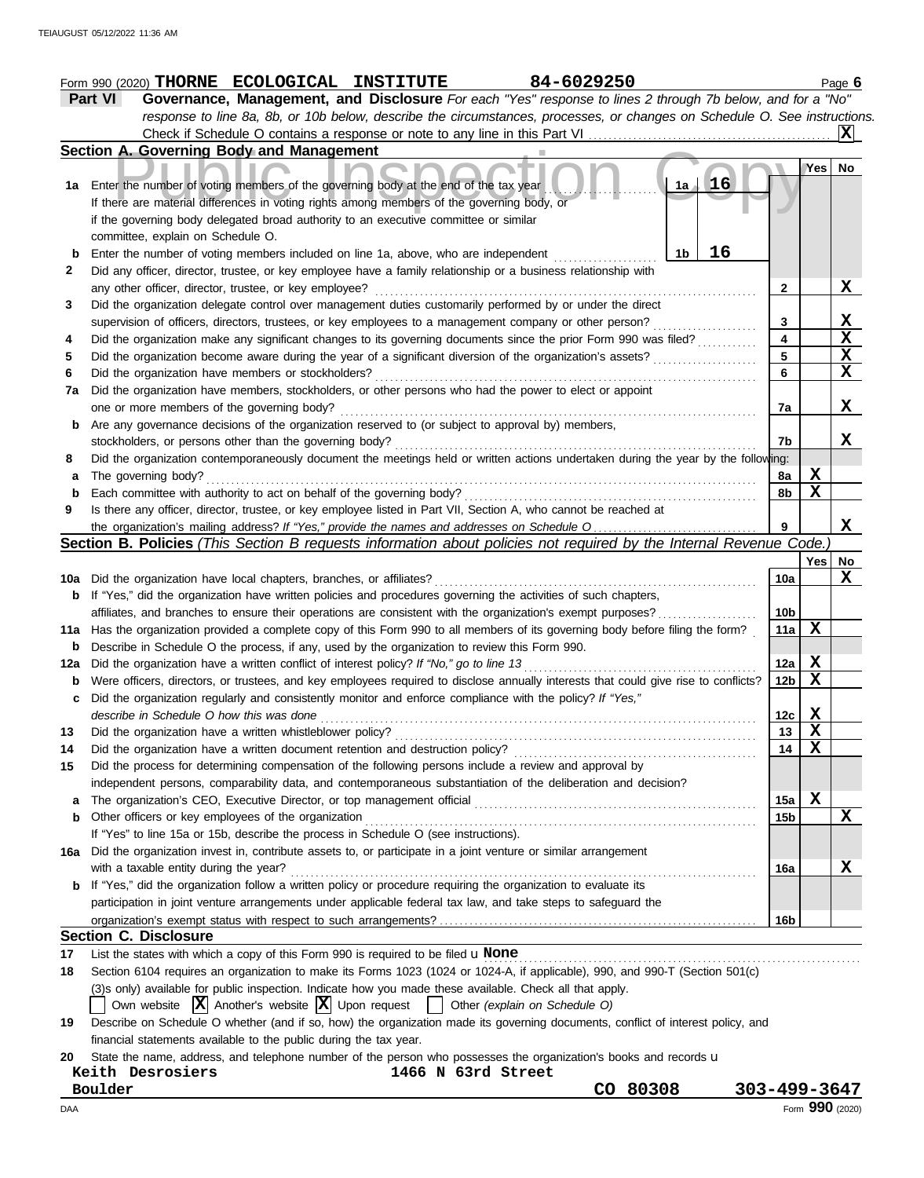| Part VI                      | 84-6029250<br>Form 990 (2020) THORNE ECOLOGICAL INSTITUTE<br>Governance, Management, and Disclosure For each "Yes" response to lines 2 through 7b below, and for a "No"                                                     |                 |               | Page 6                 |
|------------------------------|-----------------------------------------------------------------------------------------------------------------------------------------------------------------------------------------------------------------------------|-----------------|---------------|------------------------|
|                              | response to line 8a, 8b, or 10b below, describe the circumstances, processes, or changes on Schedule O. See instructions.                                                                                                   |                 |               |                        |
|                              |                                                                                                                                                                                                                             |                 |               | IXI                    |
|                              | Section A. Governing Body and Management                                                                                                                                                                                    |                 |               |                        |
|                              |                                                                                                                                                                                                                             |                 | $Yes \mid No$ |                        |
|                              | $1a$ 16<br>1a Enter the number of voting members of the governing body at the end of the tax year                                                                                                                           |                 |               |                        |
|                              | If there are material differences in voting rights among members of the governing body, or                                                                                                                                  |                 |               |                        |
|                              | if the governing body delegated broad authority to an executive committee or similar                                                                                                                                        |                 |               |                        |
|                              | committee, explain on Schedule O.                                                                                                                                                                                           |                 |               |                        |
| b                            | 16<br>1 <sub>b</sub><br>Enter the number of voting members included on line 1a, above, who are independent                                                                                                                  |                 |               |                        |
|                              | Did any officer, director, trustee, or key employee have a family relationship or a business relationship with                                                                                                              |                 |               |                        |
|                              | any other officer, director, trustee, or key employee?                                                                                                                                                                      | 2               |               | $\mathbf x$            |
|                              | Did the organization delegate control over management duties customarily performed by or under the direct                                                                                                                   |                 |               |                        |
|                              | supervision of officers, directors, trustees, or key employees to a management company or other person?                                                                                                                     | 3               |               | X                      |
|                              | Did the organization make any significant changes to its governing documents since the prior Form 990 was filed?                                                                                                            | 4               |               | X                      |
|                              | Did the organization become aware during the year of a significant diversion of the organization's assets?                                                                                                                  | 5               |               | $\mathbf x$            |
|                              | Did the organization have members or stockholders?                                                                                                                                                                          | 6               |               | X                      |
| 7a                           | Did the organization have members, stockholders, or other persons who had the power to elect or appoint                                                                                                                     |                 |               |                        |
|                              | one or more members of the governing body?                                                                                                                                                                                  | 7a              |               | X                      |
| b                            | Are any governance decisions of the organization reserved to (or subject to approval by) members,                                                                                                                           |                 |               |                        |
|                              | stockholders, or persons other than the governing body?                                                                                                                                                                     | 7b              |               | X                      |
|                              | Did the organization contemporaneously document the meetings held or written actions undertaken during the year by the following:                                                                                           |                 |               |                        |
|                              | The governing body?                                                                                                                                                                                                         | 8a              | X             |                        |
|                              | Each committee with authority to act on behalf of the governing body?                                                                                                                                                       | 8b              | $\mathbf x$   |                        |
|                              | Is there any officer, director, trustee, or key employee listed in Part VII, Section A, who cannot be reached at                                                                                                            |                 |               |                        |
|                              |                                                                                                                                                                                                                             |                 |               |                        |
|                              |                                                                                                                                                                                                                             | 9               |               |                        |
|                              | Section B. Policies (This Section B requests information about policies not required by the Internal Revenue Code.)                                                                                                         |                 |               |                        |
|                              |                                                                                                                                                                                                                             |                 | Yes           |                        |
|                              | 10a Did the organization have local chapters, branches, or affiliates?                                                                                                                                                      | 10a             |               |                        |
|                              | <b>b</b> If "Yes," did the organization have written policies and procedures governing the activities of such chapters,                                                                                                     |                 |               |                        |
|                              | affiliates, and branches to ensure their operations are consistent with the organization's exempt purposes?                                                                                                                 | 10 <sub>b</sub> |               |                        |
|                              | 11a Has the organization provided a complete copy of this Form 990 to all members of its governing body before filing the form?                                                                                             | 11a             | X             |                        |
|                              | Describe in Schedule O the process, if any, used by the organization to review this Form 990.                                                                                                                               |                 |               |                        |
|                              |                                                                                                                                                                                                                             | 12a             | X             |                        |
|                              | Were officers, directors, or trustees, and key employees required to disclose annually interests that could give rise to conflicts?                                                                                         | 12b             | $\mathbf x$   |                        |
|                              | Did the organization regularly and consistently monitor and enforce compliance with the policy? If "Yes,"                                                                                                                   |                 |               |                        |
|                              | describe in Schedule O how this was done                                                                                                                                                                                    | 12c             | X             |                        |
|                              | Did the organization have a written whistleblower policy?                                                                                                                                                                   | 13              | X             |                        |
|                              | Did the organization have a written document retention and destruction policy?                                                                                                                                              | 14              | X             |                        |
|                              | Did the process for determining compensation of the following persons include a review and approval by                                                                                                                      |                 |               |                        |
|                              | independent persons, comparability data, and contemporaneous substantiation of the deliberation and decision?                                                                                                               |                 |               |                        |
|                              | The organization's CEO, Executive Director, or top management official                                                                                                                                                      | 15a             | X             |                        |
|                              | Other officers or key employees of the organization                                                                                                                                                                         | 15b             |               |                        |
|                              | If "Yes" to line 15a or 15b, describe the process in Schedule O (see instructions).                                                                                                                                         |                 |               |                        |
|                              | Did the organization invest in, contribute assets to, or participate in a joint venture or similar arrangement                                                                                                              |                 |               |                        |
|                              | with a taxable entity during the year?                                                                                                                                                                                      | 16a             |               |                        |
|                              | If "Yes," did the organization follow a written policy or procedure requiring the organization to evaluate its                                                                                                              |                 |               |                        |
|                              | participation in joint venture arrangements under applicable federal tax law, and take steps to safeguard the                                                                                                               |                 |               |                        |
|                              |                                                                                                                                                                                                                             | 16b             |               |                        |
|                              | <b>Section C. Disclosure</b>                                                                                                                                                                                                |                 |               |                        |
| b<br>с<br>a<br>b<br>16a<br>b | List the states with which a copy of this Form 990 is required to be filed $\mathbf u$ None<br>Section 6104 requires an organization to make its Forms 1023 (1024 or 1024-A, if applicable), 990, and 990-T (Section 501(c) |                 |               | X<br>No<br>X<br>X<br>Х |

**19** Describe on Schedule O whether (and if so, how) the organization made its governing documents, conflict of interest policy, and financial statements available to the public during the tax year.

|  | 20 State the name, address, and telephone number of the person who possesses the organization's books and records u |  |  |  |  |  |  |  |  |  |  |  |
|--|---------------------------------------------------------------------------------------------------------------------|--|--|--|--|--|--|--|--|--|--|--|
|--|---------------------------------------------------------------------------------------------------------------------|--|--|--|--|--|--|--|--|--|--|--|

**Boulder CO 80308 303-499-3647**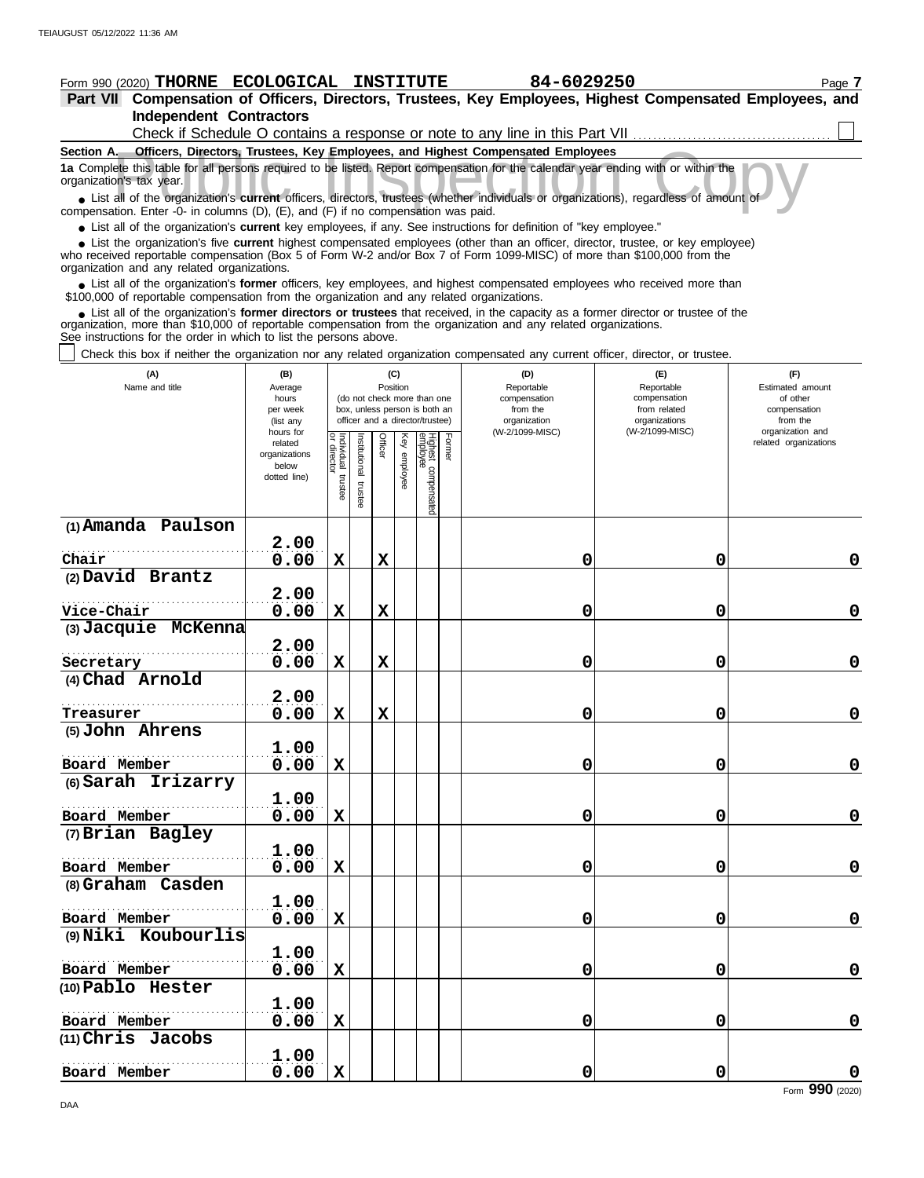# **Form 990 (2020) THORNE ECOLOGICAL INSTITUTE 84-6029250** Page 7

#### **Part VII Compensation of Officers, Directors, Trustees, Key Employees, Highest Compensated Employees, and Independent Contractors**  $\Box$ Check if Schedule O contains a response or note to any line in this Part VII

| Section A.                                                                                                                                                                                                                                                                                                                                                                                                                                                      |                                                                                                                    |                                                               |                                                                                                                                                                                            | <b>Officers, Directors, Trustees, Key Employees, and Highest Compensated Employees</b> |                                                                                       |                                                                                                              |  |  |  |  |  |  |  |
|-----------------------------------------------------------------------------------------------------------------------------------------------------------------------------------------------------------------------------------------------------------------------------------------------------------------------------------------------------------------------------------------------------------------------------------------------------------------|--------------------------------------------------------------------------------------------------------------------|---------------------------------------------------------------|--------------------------------------------------------------------------------------------------------------------------------------------------------------------------------------------|----------------------------------------------------------------------------------------|---------------------------------------------------------------------------------------|--------------------------------------------------------------------------------------------------------------|--|--|--|--|--|--|--|
| 1a Complete this table for all persons required to be listed. Report compensation for the calendar year ending with or within the<br>organization's tax year.<br>• List all of the organization's current officers, directors, trustees (whether individuals or organizations), regardless of amount of<br>compensation. Enter -0- in columns (D), (E), and (F) if no compensation was paid.                                                                    |                                                                                                                    |                                                               |                                                                                                                                                                                            |                                                                                        |                                                                                       |                                                                                                              |  |  |  |  |  |  |  |
| • List all of the organization's <b>current</b> key employees, if any. See instructions for definition of "key employee."                                                                                                                                                                                                                                                                                                                                       |                                                                                                                    |                                                               |                                                                                                                                                                                            |                                                                                        |                                                                                       |                                                                                                              |  |  |  |  |  |  |  |
| • List the organization's five current highest compensated employees (other than an officer, director, trustee, or key employee)<br>who received reportable compensation (Box 5 of Form W-2 and/or Box 7 of Form 1099-MISC) of more than \$100,000 from the<br>organization and any related organizations.                                                                                                                                                      |                                                                                                                    |                                                               |                                                                                                                                                                                            |                                                                                        |                                                                                       |                                                                                                              |  |  |  |  |  |  |  |
| • List all of the organization's former officers, key employees, and highest compensated employees who received more than<br>\$100,000 of reportable compensation from the organization and any related organizations.                                                                                                                                                                                                                                          |                                                                                                                    |                                                               |                                                                                                                                                                                            |                                                                                        |                                                                                       |                                                                                                              |  |  |  |  |  |  |  |
| • List all of the organization's former directors or trustees that received, in the capacity as a former director or trustee of the<br>organization, more than \$10,000 of reportable compensation from the organization and any related organizations.<br>See instructions for the order in which to list the persons above.<br>Check this box if neither the organization nor any related organization compensated any current officer, director, or trustee. |                                                                                                                    |                                                               |                                                                                                                                                                                            |                                                                                        |                                                                                       |                                                                                                              |  |  |  |  |  |  |  |
| (A)<br>Name and title                                                                                                                                                                                                                                                                                                                                                                                                                                           | (B)<br>Average<br>hours<br>per week<br>(list any<br>hours for<br>related<br>organizations<br>below<br>dotted line) | Individual<br>Institutional<br>director<br>trustee<br>trustee | (C)<br>Position<br>(do not check more than one<br>box, unless person is both an<br>officer and a director/trustee)<br>Highest compensatec<br>employee<br>Former<br>Officer<br>Key employee | (D)<br>Reportable<br>compensation<br>from the<br>organization<br>(W-2/1099-MISC)       | (E)<br>Reportable<br>compensation<br>from related<br>organizations<br>(W-2/1099-MISC) | (F)<br>Estimated amount<br>of other<br>compensation<br>from the<br>organization and<br>related organizations |  |  |  |  |  |  |  |

| (1) Amanda Paulson<br>2.00<br>0.00<br>$\mathbf x$<br>$\mathbf{x}$<br>Chair<br>0<br>$\mathbf 0$<br>(2) David Brantz<br>2.00<br>Vice-Chair<br>0.00<br>$\mathbf X$<br>0<br>$\mathbf 0$<br>X<br>(3) Jacquie McKenna<br>2.00<br>Secretary<br>$\mathbf X$<br>0.00<br>$\mathbf x$<br>0<br>0<br>(4) Chad Arnold<br>2.00<br>0.00<br>$\mathbf X$<br>$\mathbf X$<br>0<br>$\mathbf 0$<br>Treasurer<br>(5) John Ahrens<br>1.00<br>Board Member<br>0.00<br>$\mathbf X$<br>0<br>$\mathbf 0$<br>(6) Sarah Irizarry<br>1.00<br>Board Member<br>0.00<br>$\mathbf X$<br>0<br>0<br>(7) Brian Bagley<br>1.00<br>Board Member<br>0.00<br>$\mathbf x$<br>0<br>$\mathbf 0$<br>(8) Graham Casden<br>1.00<br>Board Member<br>0.00<br>$\mathbf x$<br>0<br>0<br>(9) Niki Koubourlis<br>1.00<br>Board Member<br>X<br>0<br>0.00<br>0 |                   | lstee | trustee | ଞ | pensated |  |             |
|--------------------------------------------------------------------------------------------------------------------------------------------------------------------------------------------------------------------------------------------------------------------------------------------------------------------------------------------------------------------------------------------------------------------------------------------------------------------------------------------------------------------------------------------------------------------------------------------------------------------------------------------------------------------------------------------------------------------------------------------------------------------------------------------------------|-------------------|-------|---------|---|----------|--|-------------|
|                                                                                                                                                                                                                                                                                                                                                                                                                                                                                                                                                                                                                                                                                                                                                                                                        |                   |       |         |   |          |  |             |
|                                                                                                                                                                                                                                                                                                                                                                                                                                                                                                                                                                                                                                                                                                                                                                                                        |                   |       |         |   |          |  |             |
|                                                                                                                                                                                                                                                                                                                                                                                                                                                                                                                                                                                                                                                                                                                                                                                                        |                   |       |         |   |          |  | $\mathbf 0$ |
|                                                                                                                                                                                                                                                                                                                                                                                                                                                                                                                                                                                                                                                                                                                                                                                                        |                   |       |         |   |          |  |             |
|                                                                                                                                                                                                                                                                                                                                                                                                                                                                                                                                                                                                                                                                                                                                                                                                        |                   |       |         |   |          |  |             |
|                                                                                                                                                                                                                                                                                                                                                                                                                                                                                                                                                                                                                                                                                                                                                                                                        |                   |       |         |   |          |  | $\pmb{0}$   |
|                                                                                                                                                                                                                                                                                                                                                                                                                                                                                                                                                                                                                                                                                                                                                                                                        |                   |       |         |   |          |  |             |
|                                                                                                                                                                                                                                                                                                                                                                                                                                                                                                                                                                                                                                                                                                                                                                                                        |                   |       |         |   |          |  |             |
|                                                                                                                                                                                                                                                                                                                                                                                                                                                                                                                                                                                                                                                                                                                                                                                                        |                   |       |         |   |          |  | $\mathbf 0$ |
|                                                                                                                                                                                                                                                                                                                                                                                                                                                                                                                                                                                                                                                                                                                                                                                                        |                   |       |         |   |          |  |             |
|                                                                                                                                                                                                                                                                                                                                                                                                                                                                                                                                                                                                                                                                                                                                                                                                        |                   |       |         |   |          |  |             |
|                                                                                                                                                                                                                                                                                                                                                                                                                                                                                                                                                                                                                                                                                                                                                                                                        |                   |       |         |   |          |  | $\mathbf 0$ |
|                                                                                                                                                                                                                                                                                                                                                                                                                                                                                                                                                                                                                                                                                                                                                                                                        |                   |       |         |   |          |  |             |
|                                                                                                                                                                                                                                                                                                                                                                                                                                                                                                                                                                                                                                                                                                                                                                                                        |                   |       |         |   |          |  |             |
|                                                                                                                                                                                                                                                                                                                                                                                                                                                                                                                                                                                                                                                                                                                                                                                                        |                   |       |         |   |          |  | $\mathbf 0$ |
|                                                                                                                                                                                                                                                                                                                                                                                                                                                                                                                                                                                                                                                                                                                                                                                                        |                   |       |         |   |          |  |             |
|                                                                                                                                                                                                                                                                                                                                                                                                                                                                                                                                                                                                                                                                                                                                                                                                        |                   |       |         |   |          |  | $\mathbf 0$ |
|                                                                                                                                                                                                                                                                                                                                                                                                                                                                                                                                                                                                                                                                                                                                                                                                        |                   |       |         |   |          |  |             |
|                                                                                                                                                                                                                                                                                                                                                                                                                                                                                                                                                                                                                                                                                                                                                                                                        |                   |       |         |   |          |  |             |
|                                                                                                                                                                                                                                                                                                                                                                                                                                                                                                                                                                                                                                                                                                                                                                                                        |                   |       |         |   |          |  | $\mathbf 0$ |
|                                                                                                                                                                                                                                                                                                                                                                                                                                                                                                                                                                                                                                                                                                                                                                                                        |                   |       |         |   |          |  |             |
|                                                                                                                                                                                                                                                                                                                                                                                                                                                                                                                                                                                                                                                                                                                                                                                                        |                   |       |         |   |          |  |             |
|                                                                                                                                                                                                                                                                                                                                                                                                                                                                                                                                                                                                                                                                                                                                                                                                        |                   |       |         |   |          |  | $\mathbf 0$ |
|                                                                                                                                                                                                                                                                                                                                                                                                                                                                                                                                                                                                                                                                                                                                                                                                        |                   |       |         |   |          |  |             |
|                                                                                                                                                                                                                                                                                                                                                                                                                                                                                                                                                                                                                                                                                                                                                                                                        |                   |       |         |   |          |  |             |
|                                                                                                                                                                                                                                                                                                                                                                                                                                                                                                                                                                                                                                                                                                                                                                                                        |                   |       |         |   |          |  | $\mathbf 0$ |
|                                                                                                                                                                                                                                                                                                                                                                                                                                                                                                                                                                                                                                                                                                                                                                                                        | (10) Pablo Hester |       |         |   |          |  |             |
| 1.00                                                                                                                                                                                                                                                                                                                                                                                                                                                                                                                                                                                                                                                                                                                                                                                                   |                   |       |         |   |          |  |             |
| 0.00<br>$\mathbf x$<br>Board Member<br>0<br>$\mathbf 0$                                                                                                                                                                                                                                                                                                                                                                                                                                                                                                                                                                                                                                                                                                                                                |                   |       |         |   |          |  | $\mathbf 0$ |
| (11) Chris Jacobs                                                                                                                                                                                                                                                                                                                                                                                                                                                                                                                                                                                                                                                                                                                                                                                      |                   |       |         |   |          |  |             |
| 1.00                                                                                                                                                                                                                                                                                                                                                                                                                                                                                                                                                                                                                                                                                                                                                                                                   |                   |       |         |   |          |  |             |
| $\mathbf X$<br>0<br>0<br>Board Member<br>0.00<br>$\overline{a}$                                                                                                                                                                                                                                                                                                                                                                                                                                                                                                                                                                                                                                                                                                                                        |                   |       |         |   |          |  | $\mathbf 0$ |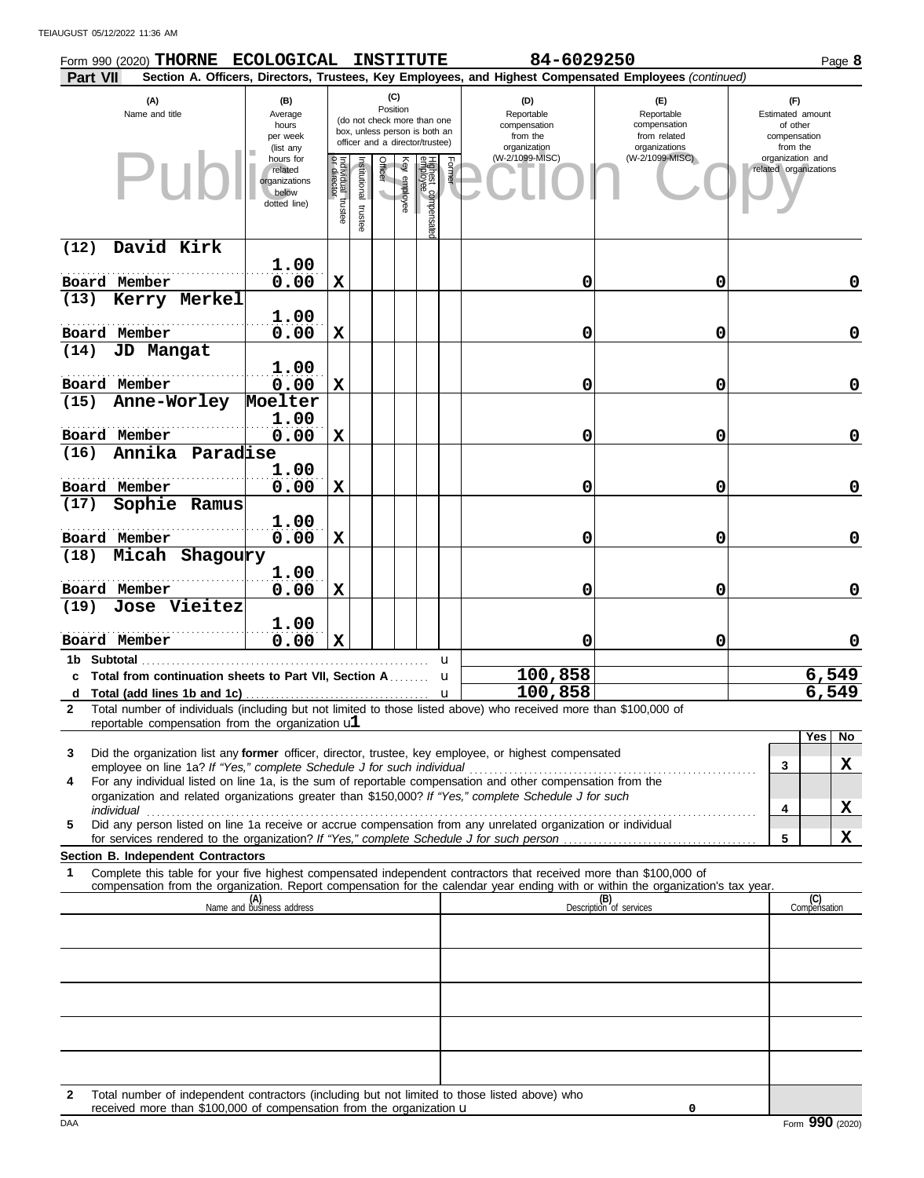TEIAUGUST 05/12/2022 11:36 AM

| Form 990 (2020) THORNE ECOLOGICAL<br><b>Part VII</b>                                                                                                                                 |                                                                |                                   |                         |                 |              | <b>INSTITUTE</b>                                                                                |        | 84-6029250                                                    | Section A. Officers, Directors, Trustees, Key Employees, and Highest Compensated Employees (continued) |                                                                 | Page 8              |
|--------------------------------------------------------------------------------------------------------------------------------------------------------------------------------------|----------------------------------------------------------------|-----------------------------------|-------------------------|-----------------|--------------|-------------------------------------------------------------------------------------------------|--------|---------------------------------------------------------------|--------------------------------------------------------------------------------------------------------|-----------------------------------------------------------------|---------------------|
| (A)<br>Name and title                                                                                                                                                                | (B)<br>Average<br>hours<br>per week<br>(list any               |                                   |                         | (C)<br>Position |              | (do not check more than one<br>box, unless person is both an<br>officer and a director/trustee) |        | (D)<br>Reportable<br>compensation<br>from the<br>organization | (E)<br>Reportable<br>compensation<br>from related<br>organizations                                     | (F)<br>Estimated amount<br>of other<br>compensation<br>from the |                     |
| PII                                                                                                                                                                                  | hours for<br>related<br>organizations<br>below<br>dotted line) | Individual trustee<br>or director | nstitutional<br>trustee | Officer         | key employee | Highest compensated<br>employee                                                                 | Former | (W-2/1099-MISC)                                               | (W-2/1099-MISC)                                                                                        | organization and<br>related organizations                       |                     |
| David Kirk<br>(12)                                                                                                                                                                   |                                                                |                                   |                         |                 |              |                                                                                                 |        |                                                               |                                                                                                        |                                                                 |                     |
| Board Member                                                                                                                                                                         | 1.00<br>0.00                                                   | $\mathbf x$                       |                         |                 |              |                                                                                                 |        | 0                                                             | 0                                                                                                      |                                                                 | 0                   |
| Kerry Merkel<br>(13)                                                                                                                                                                 |                                                                |                                   |                         |                 |              |                                                                                                 |        |                                                               |                                                                                                        |                                                                 |                     |
|                                                                                                                                                                                      | 1.00                                                           |                                   |                         |                 |              |                                                                                                 |        |                                                               |                                                                                                        |                                                                 |                     |
| Board Member                                                                                                                                                                         | 0.00                                                           | X                                 |                         |                 |              |                                                                                                 |        | 0                                                             | 0                                                                                                      |                                                                 | 0                   |
| (14)<br>JD Mangat                                                                                                                                                                    | 1.00                                                           |                                   |                         |                 |              |                                                                                                 |        |                                                               |                                                                                                        |                                                                 |                     |
| Board Member                                                                                                                                                                         | 0.00                                                           | $\mathbf x$                       |                         |                 |              |                                                                                                 |        | 0                                                             | 0                                                                                                      |                                                                 | 0                   |
| Anne-Worley<br>(15)                                                                                                                                                                  | Moelter                                                        |                                   |                         |                 |              |                                                                                                 |        |                                                               |                                                                                                        |                                                                 |                     |
|                                                                                                                                                                                      | 1.00                                                           |                                   |                         |                 |              |                                                                                                 |        |                                                               |                                                                                                        |                                                                 |                     |
| Board Member                                                                                                                                                                         | 0.00                                                           | $\mathbf x$                       |                         |                 |              |                                                                                                 |        | 0                                                             | 0                                                                                                      |                                                                 | 0                   |
| Annika Paradise<br>(16)                                                                                                                                                              |                                                                |                                   |                         |                 |              |                                                                                                 |        |                                                               |                                                                                                        |                                                                 |                     |
| Board Member                                                                                                                                                                         | 1.00<br>0.00                                                   | X                                 |                         |                 |              |                                                                                                 |        | 0                                                             | 0                                                                                                      |                                                                 | 0                   |
| Sophie Ramus<br>(17)                                                                                                                                                                 |                                                                |                                   |                         |                 |              |                                                                                                 |        |                                                               |                                                                                                        |                                                                 |                     |
|                                                                                                                                                                                      | 1.00                                                           |                                   |                         |                 |              |                                                                                                 |        |                                                               |                                                                                                        |                                                                 |                     |
| Board Member                                                                                                                                                                         | 0.00                                                           | $\mathbf x$                       |                         |                 |              |                                                                                                 |        | 0                                                             | 0                                                                                                      |                                                                 | 0                   |
| Micah Shagoury<br>(18)                                                                                                                                                               |                                                                |                                   |                         |                 |              |                                                                                                 |        |                                                               |                                                                                                        |                                                                 |                     |
| Board Member                                                                                                                                                                         | 1.00<br>0.00                                                   | $\mathbf x$                       |                         |                 |              |                                                                                                 |        | 0                                                             | 0                                                                                                      |                                                                 | 0                   |
| Jose Vieitez<br>(19)                                                                                                                                                                 |                                                                |                                   |                         |                 |              |                                                                                                 |        |                                                               |                                                                                                        |                                                                 |                     |
| Board Member                                                                                                                                                                         | 1.00<br>0.00                                                   | X                                 |                         |                 |              |                                                                                                 |        | 0                                                             | 0                                                                                                      |                                                                 | 0                   |
| 1b Subtotal                                                                                                                                                                          |                                                                |                                   |                         |                 |              |                                                                                                 | u      |                                                               |                                                                                                        |                                                                 |                     |
| c Total from continuation sheets to Part VII, Section A                                                                                                                              |                                                                |                                   |                         |                 |              |                                                                                                 | u      | 100,858                                                       |                                                                                                        |                                                                 | 6,549               |
| d<br>Total number of individuals (including but not limited to those listed above) who received more than \$100,000 of<br>$\mathbf{2}$                                               |                                                                |                                   |                         |                 |              |                                                                                                 | u      | 100,858                                                       |                                                                                                        |                                                                 | 6,549               |
| reportable compensation from the organization $ul$                                                                                                                                   |                                                                |                                   |                         |                 |              |                                                                                                 |        |                                                               |                                                                                                        |                                                                 |                     |
|                                                                                                                                                                                      |                                                                |                                   |                         |                 |              |                                                                                                 |        |                                                               |                                                                                                        |                                                                 | Yes  <br>No         |
| Did the organization list any former officer, director, trustee, key employee, or highest compensated<br>3<br>employee on line 1a? If "Yes," complete Schedule J for such individual |                                                                |                                   |                         |                 |              |                                                                                                 |        |                                                               |                                                                                                        | 3                                                               | X                   |
| For any individual listed on line 1a, is the sum of reportable compensation and other compensation from the<br>4                                                                     |                                                                |                                   |                         |                 |              |                                                                                                 |        |                                                               |                                                                                                        |                                                                 |                     |
| organization and related organizations greater than \$150,000? If "Yes," complete Schedule J for such<br>individual                                                                  |                                                                |                                   |                         |                 |              |                                                                                                 |        |                                                               |                                                                                                        | 4                                                               | X                   |
| Did any person listed on line 1a receive or accrue compensation from any unrelated organization or individual<br>5                                                                   |                                                                |                                   |                         |                 |              |                                                                                                 |        |                                                               |                                                                                                        |                                                                 |                     |
|                                                                                                                                                                                      |                                                                |                                   |                         |                 |              |                                                                                                 |        |                                                               |                                                                                                        | 5                                                               | X                   |
| Section B. Independent Contractors<br>Complete this table for your five highest compensated independent contractors that received more than \$100,000 of<br>1                        |                                                                |                                   |                         |                 |              |                                                                                                 |        |                                                               |                                                                                                        |                                                                 |                     |
| compensation from the organization. Report compensation for the calendar year ending with or within the organization's tax year.                                                     |                                                                |                                   |                         |                 |              |                                                                                                 |        |                                                               |                                                                                                        |                                                                 |                     |
|                                                                                                                                                                                      | (A)<br>Name and business address                               |                                   |                         |                 |              |                                                                                                 |        |                                                               | (B)<br>Description of services                                                                         |                                                                 | (C)<br>Compensation |
|                                                                                                                                                                                      |                                                                |                                   |                         |                 |              |                                                                                                 |        |                                                               |                                                                                                        |                                                                 |                     |
|                                                                                                                                                                                      |                                                                |                                   |                         |                 |              |                                                                                                 |        |                                                               |                                                                                                        |                                                                 |                     |
|                                                                                                                                                                                      |                                                                |                                   |                         |                 |              |                                                                                                 |        |                                                               |                                                                                                        |                                                                 |                     |
|                                                                                                                                                                                      |                                                                |                                   |                         |                 |              |                                                                                                 |        |                                                               |                                                                                                        |                                                                 |                     |
|                                                                                                                                                                                      |                                                                |                                   |                         |                 |              |                                                                                                 |        |                                                               |                                                                                                        |                                                                 |                     |
|                                                                                                                                                                                      |                                                                |                                   |                         |                 |              |                                                                                                 |        |                                                               |                                                                                                        |                                                                 |                     |
|                                                                                                                                                                                      |                                                                |                                   |                         |                 |              |                                                                                                 |        |                                                               |                                                                                                        |                                                                 |                     |
|                                                                                                                                                                                      |                                                                |                                   |                         |                 |              |                                                                                                 |        |                                                               |                                                                                                        |                                                                 |                     |
|                                                                                                                                                                                      |                                                                |                                   |                         |                 |              |                                                                                                 |        |                                                               |                                                                                                        |                                                                 |                     |

**2** Total number of independent contractors (including but not limited to those listed above) who received more than \$100,000 of compensation from the organization u

**0**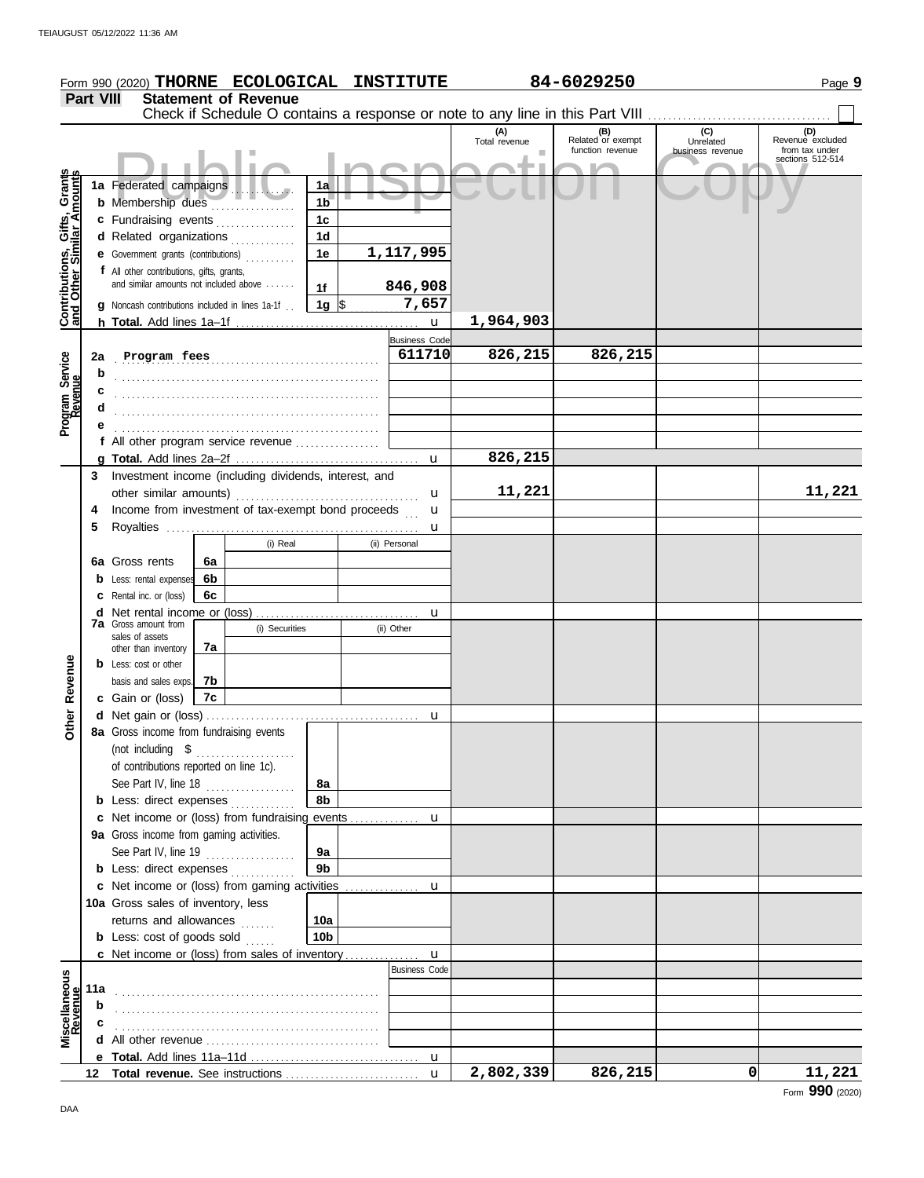|                                                                  |                  | Form 990 (2020) THORNE ECOLOGICAL INSTITUTE                                     |    |                             |                      |   |                      |                                                                               | 84-6029250                                   |                                      | Page 9                                                        |
|------------------------------------------------------------------|------------------|---------------------------------------------------------------------------------|----|-----------------------------|----------------------|---|----------------------|-------------------------------------------------------------------------------|----------------------------------------------|--------------------------------------|---------------------------------------------------------------|
|                                                                  | <b>Part VIII</b> |                                                                                 |    | <b>Statement of Revenue</b> |                      |   |                      |                                                                               |                                              |                                      |                                                               |
|                                                                  |                  |                                                                                 |    |                             |                      |   |                      | Check if Schedule O contains a response or note to any line in this Part VIII |                                              |                                      |                                                               |
|                                                                  |                  |                                                                                 |    |                             |                      |   |                      | (A)<br>Total revenue                                                          | (B)<br>Related or exempt<br>function revenue | (C)<br>Unrelated<br>business revenue | (D)<br>Revenue excluded<br>from tax under<br>sections 512-514 |
|                                                                  |                  |                                                                                 |    |                             |                      |   |                      |                                                                               |                                              |                                      |                                                               |
|                                                                  |                  | 1a Federated campaigns                                                          |    |                             | 1a                   |   |                      |                                                                               |                                              |                                      |                                                               |
|                                                                  |                  | b Membership dues<br>1 <sub>b</sub><br>1 <sub>c</sub><br>c Fundraising events   |    |                             |                      |   |                      |                                                                               |                                              |                                      |                                                               |
|                                                                  |                  | d Related organizations                                                         |    |                             | 1 <sub>d</sub>       |   |                      |                                                                               |                                              |                                      |                                                               |
|                                                                  |                  | e Government grants (contributions)                                             |    |                             | 1e                   |   | 1,117,995            |                                                                               |                                              |                                      |                                                               |
|                                                                  |                  | f All other contributions, gifts, grants,                                       |    |                             |                      |   |                      |                                                                               |                                              |                                      |                                                               |
|                                                                  |                  | and similar amounts not included above                                          |    |                             | 1f                   |   | 846,908              |                                                                               |                                              |                                      |                                                               |
| <b>Contributions, Gifts, Grants</b><br>and Other Similar Amounts |                  | <b>g</b> Noncash contributions included in lines 1a-1f.                         |    |                             | 1g $\vert$ \$        |   | 7,657                |                                                                               |                                              |                                      |                                                               |
|                                                                  |                  |                                                                                 |    |                             |                      |   | $\mathbf{u}$         | 1,964,903                                                                     |                                              |                                      |                                                               |
|                                                                  |                  |                                                                                 |    |                             |                      |   | <b>Business Code</b> |                                                                               |                                              |                                      |                                                               |
| Program Service<br>Revenue                                       | 2a               | Program fees                                                                    |    |                             |                      |   | 611710               | 826,215                                                                       | 826,215                                      |                                      |                                                               |
|                                                                  | b                |                                                                                 |    |                             |                      |   |                      |                                                                               |                                              |                                      |                                                               |
|                                                                  |                  |                                                                                 |    |                             |                      |   |                      |                                                                               |                                              |                                      |                                                               |
|                                                                  |                  |                                                                                 |    |                             |                      |   |                      |                                                                               |                                              |                                      |                                                               |
|                                                                  |                  | f All other program service revenue                                             |    |                             |                      |   |                      |                                                                               |                                              |                                      |                                                               |
|                                                                  |                  |                                                                                 |    |                             |                      |   | $\mathbf{u}$         | 826,215                                                                       |                                              |                                      |                                                               |
|                                                                  | 3                | Investment income (including dividends, interest, and                           |    |                             |                      |   |                      |                                                                               |                                              |                                      |                                                               |
|                                                                  |                  |                                                                                 |    |                             |                      |   | u                    | 11,221                                                                        |                                              |                                      | 11,221                                                        |
|                                                                  | 4                | Income from investment of tax-exempt bond proceeds                              |    |                             |                      |   | u                    |                                                                               |                                              |                                      |                                                               |
|                                                                  | 5                |                                                                                 |    |                             |                      |   | u                    |                                                                               |                                              |                                      |                                                               |
|                                                                  |                  |                                                                                 |    | (i) Real                    |                      |   | (ii) Personal        |                                                                               |                                              |                                      |                                                               |
|                                                                  |                  | 6a Gross rents                                                                  | 6a |                             |                      |   |                      |                                                                               |                                              |                                      |                                                               |
|                                                                  |                  | <b>b</b> Less: rental expenses                                                  | 6b |                             |                      |   |                      |                                                                               |                                              |                                      |                                                               |
|                                                                  |                  | C Rental inc. or (loss)                                                         | 6c |                             |                      |   |                      |                                                                               |                                              |                                      |                                                               |
|                                                                  |                  | <b>7a</b> Gross amount from<br>(i) Securities                                   |    |                             |                      | u |                      |                                                                               |                                              |                                      |                                                               |
|                                                                  |                  | sales of assets                                                                 |    |                             |                      |   | (ii) Other           |                                                                               |                                              |                                      |                                                               |
|                                                                  |                  | other than inventory<br><b>b</b> Less: cost or other                            | 7а |                             |                      |   |                      |                                                                               |                                              |                                      |                                                               |
|                                                                  |                  | basis and sales exps.                                                           | 7b |                             |                      |   |                      |                                                                               |                                              |                                      |                                                               |
| Revenue                                                          |                  | c Gain or (loss)                                                                | 7c |                             |                      |   |                      |                                                                               |                                              |                                      |                                                               |
|                                                                  |                  |                                                                                 |    |                             |                      |   |                      |                                                                               |                                              |                                      |                                                               |
| <b>Other</b>                                                     |                  | 8a Gross income from fundraising events                                         |    |                             |                      |   |                      |                                                                               |                                              |                                      |                                                               |
|                                                                  |                  | (not including $$$                                                              |    |                             |                      |   |                      |                                                                               |                                              |                                      |                                                               |
|                                                                  |                  | of contributions reported on line 1c).                                          |    |                             |                      |   |                      |                                                                               |                                              |                                      |                                                               |
|                                                                  |                  | See Part IV, line 18 $\ldots$                                                   |    |                             | 8a                   |   |                      |                                                                               |                                              |                                      |                                                               |
|                                                                  |                  | <b>b</b> Less: direct expenses <i>minimum</i>                                   |    |                             | 8b                   |   |                      |                                                                               |                                              |                                      |                                                               |
|                                                                  |                  | c Net income or (loss) from fundraising events                                  |    |                             |                      |   | u                    |                                                                               |                                              |                                      |                                                               |
|                                                                  |                  | 9a Gross income from gaming activities.                                         |    |                             |                      |   |                      |                                                                               |                                              |                                      |                                                               |
|                                                                  |                  | See Part IV, line $19$                                                          |    |                             | 9а<br>9 <sub>b</sub> |   |                      |                                                                               |                                              |                                      |                                                               |
|                                                                  |                  | <b>b</b> Less: direct expenses<br>c Net income or (loss) from gaming activities |    |                             |                      |   | u                    |                                                                               |                                              |                                      |                                                               |
|                                                                  |                  | 10a Gross sales of inventory, less                                              |    |                             |                      |   |                      |                                                                               |                                              |                                      |                                                               |
|                                                                  |                  | returns and allowances                                                          |    |                             | 10a                  |   |                      |                                                                               |                                              |                                      |                                                               |
|                                                                  |                  | <b>b</b> Less: $cost$ of goods sold $\ldots$                                    |    |                             | 10 <sub>b</sub>      |   |                      |                                                                               |                                              |                                      |                                                               |
|                                                                  |                  | <b>c</b> Net income or (loss) from sales of inventory                           |    |                             |                      |   | $\mathbf{u}$         |                                                                               |                                              |                                      |                                                               |
|                                                                  |                  |                                                                                 |    |                             |                      |   | <b>Business Code</b> |                                                                               |                                              |                                      |                                                               |
|                                                                  | 11a              |                                                                                 |    |                             |                      |   |                      |                                                                               |                                              |                                      |                                                               |
| Miscellaneous<br>Revenue                                         | b                |                                                                                 |    |                             |                      |   |                      |                                                                               |                                              |                                      |                                                               |
|                                                                  |                  |                                                                                 |    |                             |                      |   |                      |                                                                               |                                              |                                      |                                                               |
|                                                                  |                  |                                                                                 |    |                             |                      |   |                      |                                                                               |                                              |                                      |                                                               |
|                                                                  |                  |                                                                                 |    |                             |                      |   |                      |                                                                               | 826,215                                      | $\mathbf{0}$                         | 11,221                                                        |
|                                                                  | 12               |                                                                                 |    |                             |                      |   | $\mathbf{u}$         | 2,802,339                                                                     |                                              |                                      |                                                               |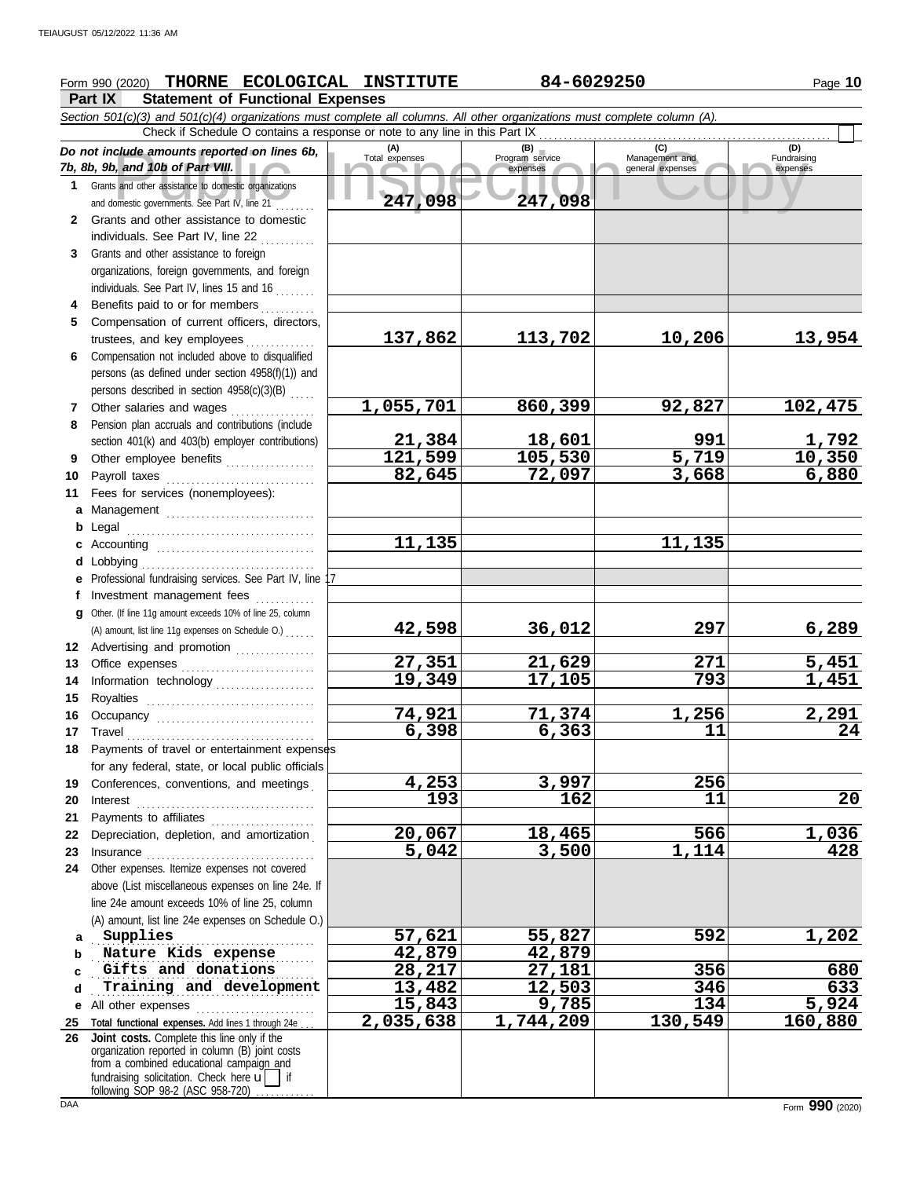## **Form 990 (2020) THORNE ECOLOGICAL INSTITUTE 84-6029250** Page 10

**Part IX Statement of Functional Expenses**

Course amounts reported on lines 6b, Total expenses<br>
Program service Management and Copyright Service Management and European Service Expenses<br>
and other assistance to domestic organizations<br>
Sand other assistance to domes *Section 501(c)(3) and 501(c)(4) organizations must complete all columns. All other organizations must complete column (A). Do not include amounts reported on lines 6b, 7b, 8b, 9b, and 10b of Part VIII.* **1 2 3 4 5 6** Compensation not included above to disqualified **7 8 9 10 11 a** Management .............................. **b** Legal **c** Accounting . . . . . . . . . . . . . . . . . . . . . . . . . . . . . . . . **d e** Professional fundraising services. See Part IV, line 17 **f g 12** Advertising and promotion ............... **13** Office expenses **.......................**... **14 15 16 17** Travel . . . . . . . . . . . . . . . . . . . . . . . . . . . . . . . . . . . . . . **18** Payments of travel or entertainment expenses **19 20 21 22** Depreciation, depletion, and amortization . **23** Insurance . . . . . . . . . . . . . . . . . . . . . . . . . . . . . . . . . . **24** Other expenses. Itemize expenses not covered **a b** Nature Kids expense  $\qquad \qquad 42,879$   $\qquad \qquad 42,879$ **c d e** All other expenses . . . . . . . . . . . . . . . . . . . . . . . . **25 Total functional expenses.** Add lines 1 through 24e . . . **26** Grants and other assistance to domestic organizations and domestic governments. See Part IV, line 21 . . . . . . . . Grants and other assistance to domestic individuals. See Part IV, line 22 Grants and other assistance to foreign organizations, foreign governments, and foreign individuals. See Part IV, lines 15 and 16 Benefits paid to or for members . . . . . . . . . . Compensation of current officers, directors, trustees, and key employees ............... persons (as defined under section 4958(f)(1)) and persons described in section 4958(c)(3)(B) . . . . . Other salaries and wages ............ Pension plan accruals and contributions (include section 401(k) and 403(b) employer contributions) Other employee benefits .................. Payroll taxes . . . . . . . . . . . . . . . . . . . . . . . . . . . . . . Fees for services (nonemployees): . . . . . . . . . . . . . . . . . . . . . . . . . . . . . . . . . . . . . . Lobbying . . . . . . . . . . . . . . . . . . . . . . . . . . . . . . . . . . . Investment management fees Other. (If line 11g amount exceeds 10% of line 25, column Information technology . . . . . . . . . . . . . . . . . . . . Royalties . . . . . . . . . . . . . . . . . . . . . . . . . . . . . . . . . . Occupancy . . . . . . . . . . . . . . . . . . . . . . . . . . . . . . . . for any federal, state, or local public officials Conferences, conventions, and meetings . Interest . . . . . . . . . . . . . . . . . . . . . . . . . . . . . . . . . . . . Payments to affiliates ...................... above (List miscellaneous expenses on line 24e. If line 24e amount exceeds 10% of line 25, column (A) amount, list line 24e expenses on Schedule O.) fundraising solicitation. Check here  $\mathbf{u}$  | if organization reported in column (B) joint costs from a combined educational campaign and following SOP 98-2 (ASC 958-720) **(A) (B) (C) (D)** Total expenses Program service Management and expenses (B) (C)<br>
Program service Management and expenses general expenses Fundraising expenses . . . . . . . . . . . . . . . . . . . . . . . . . . . . . . . . . . . . . . . . . . . . . . . . . . . . . . . . . . . . . . . . . . . . . . . . . . . . . . . . . . . . . . . . . . **Gifts and donations 28,217 27,181 356 680** . . . . . . . . . . . . . . . . . . . . . . . . . . . . . . . . . . . . . . . . . . . . . **Training and development 13,482 12,503 346 633** Check if Schedule O contains a response or note to any line in this Part IX **Joint costs.** Complete this line only if the (A) amount, list line 11g expenses on Schedule O.) . . . . . . **247,098 247,098 137,862 113,702 10,206 13,954 1,055,701 860,399 92,827 102,475 21,384 18,601 991 1,792 121,599 105,530 5,719 10,350 82,645 72,097 3,668 6,880 11,135 11,135 42,598 36,012 297 6,289 27,351 21,629 271 5,451 19,349 17,105 793 1,451 74,921 71,374 1,256 2,291 6,398 6,363 11 24 4,253 3,997 256 193 162 11 20 20,067 18,465 566 1,036**<br>**5,042 3,500 1,114 428 5,042 3,500 1,114 428 Supplies 57,621 55,827 592 1,202 15,843 9,785 134 5,924 2,035,638 1,744,209 130,549 160,880**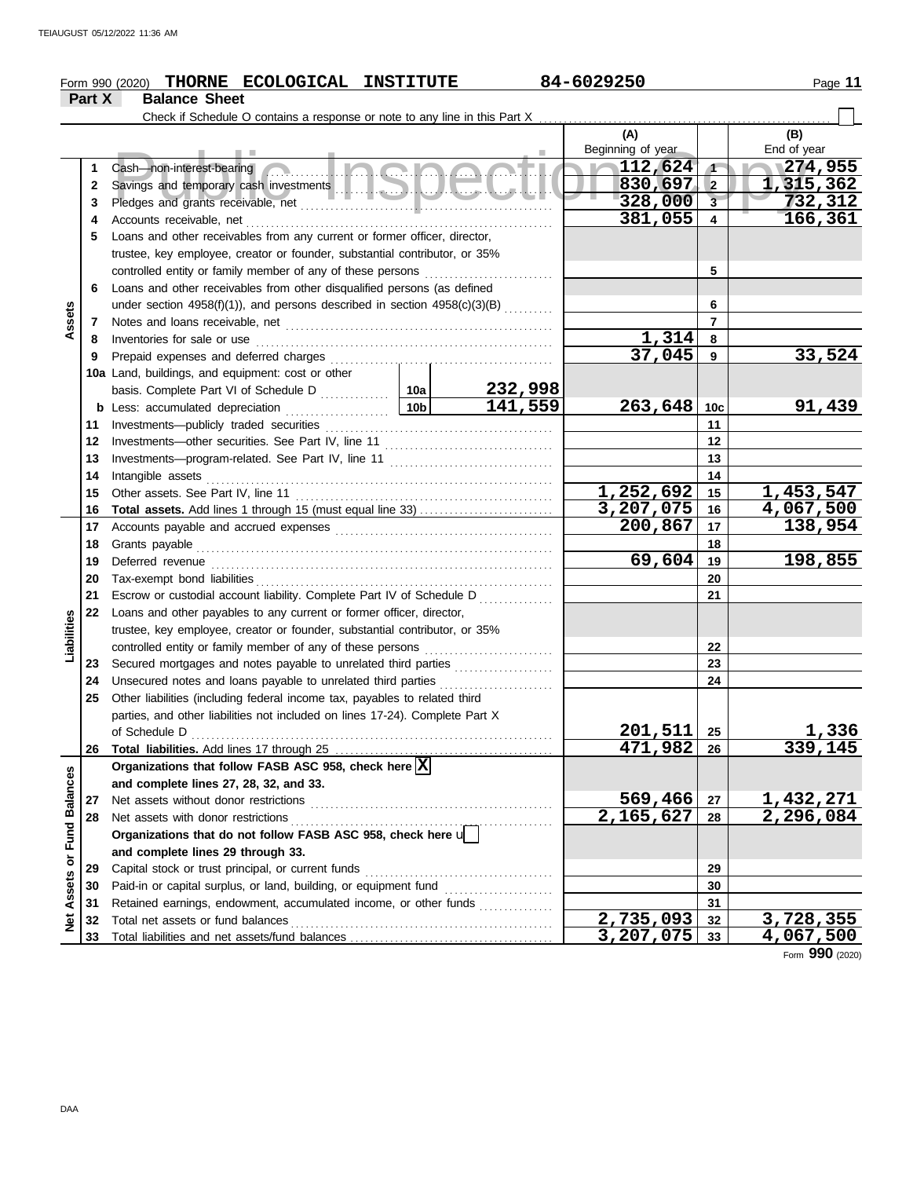|               | THORNE ECOLOGICAL INSTITUTE<br>Form 990 (2020) |                                                                                             | 84-6029250      |                    | Page 11                |                         |                  |
|---------------|------------------------------------------------|---------------------------------------------------------------------------------------------|-----------------|--------------------|------------------------|-------------------------|------------------|
|               | Part X                                         | <b>Balance Sheet</b>                                                                        |                 |                    |                        |                         |                  |
|               |                                                |                                                                                             |                 |                    |                        |                         |                  |
|               |                                                |                                                                                             |                 |                    | (A)                    |                         | (B)              |
|               |                                                |                                                                                             |                 |                    | Beginning of year      |                         | End of year      |
|               | 1                                              | <u>s Inches</u><br>Cash-non-interest-bearing                                                |                 |                    | 112,624                | $\sqrt{1}$              | $\sqrt{274,955}$ |
|               | 2                                              |                                                                                             |                 |                    | $830,697$ 2            |                         | 1,315,362        |
|               | 3                                              |                                                                                             |                 |                    | 328,000                | $\overline{\mathbf{3}}$ | 732,312          |
|               | 4                                              |                                                                                             |                 |                    | 381,055                | $\overline{\mathbf{4}}$ | 166,361          |
|               | 5                                              | Loans and other receivables from any current or former officer, director,                   |                 |                    |                        |                         |                  |
|               |                                                | trustee, key employee, creator or founder, substantial contributor, or 35%                  |                 |                    |                        |                         |                  |
|               |                                                | controlled entity or family member of any of these persons                                  |                 | 5                  |                        |                         |                  |
|               | 6                                              | Loans and other receivables from other disqualified persons (as defined                     |                 |                    |                        |                         |                  |
|               |                                                | under section $4958(f)(1)$ ), and persons described in section $4958(c)(3)(B)$ <sub>.</sub> |                 |                    |                        | 6                       |                  |
| Assets        | 7                                              |                                                                                             |                 |                    |                        | $\overline{7}$          |                  |
|               | 8                                              | Inventories for sale or use                                                                 |                 |                    | 1,314                  | 8                       |                  |
|               | 9                                              | Prepaid expenses and deferred charges                                                       |                 |                    | 37,045                 | 9                       | 33,524           |
|               |                                                | 10a Land, buildings, and equipment: cost or other                                           |                 |                    |                        |                         |                  |
|               |                                                |                                                                                             |                 |                    |                        |                         |                  |
|               |                                                | <b>b</b> Less: accumulated depreciation                                                     | 10 <sub>b</sub> | 232,998<br>141,559 | $263,648$ 10c          |                         | 91,439           |
|               | 11                                             |                                                                                             |                 |                    |                        | 11                      |                  |
|               | 12                                             | Investments-other securities. See Part IV, line 11                                          |                 |                    | 12                     |                         |                  |
|               | 13                                             |                                                                                             |                 |                    |                        | 13                      |                  |
|               | 14                                             | Intangible assets                                                                           |                 | 14                 |                        |                         |                  |
|               | 15                                             | Other assets. See Part IV, line 11                                                          |                 |                    | 1,252,692              | 15                      | 1,453,547        |
|               | 16                                             |                                                                                             |                 |                    | $3,207,075$ 16         |                         | 4,067,500        |
|               | 17                                             |                                                                                             | 200,867         | 17                 | 138,954                |                         |                  |
|               | 18                                             |                                                                                             |                 | 18                 |                        |                         |                  |
|               | 19                                             | Deferred revenue                                                                            |                 |                    | 69,604                 | 19                      | 198,855          |
|               | 20                                             |                                                                                             |                 |                    |                        | 20                      |                  |
|               | 21                                             | Escrow or custodial account liability. Complete Part IV of Schedule D                       |                 |                    |                        | 21                      |                  |
|               | 22                                             | Loans and other payables to any current or former officer, director,                        |                 |                    |                        |                         |                  |
|               |                                                | trustee, key employee, creator or founder, substantial contributor, or 35%                  |                 |                    |                        |                         |                  |
| Liabilities   |                                                | controlled entity or family member of any of these persons                                  |                 |                    |                        | 22                      |                  |
|               | 23                                             | Secured mortgages and notes payable to unrelated third parties                              |                 |                    |                        | 23                      |                  |
|               | 24                                             | Unsecured notes and loans payable to unrelated third parties                                |                 | <u>.</u>           |                        | 24                      |                  |
|               | 25                                             | Other liabilities (including federal income tax, payables to related third                  |                 |                    |                        |                         |                  |
|               |                                                | parties, and other liabilities not included on lines 17-24). Complete Part X                |                 |                    |                        |                         |                  |
|               |                                                | of Schedule D                                                                               |                 |                    | 201,511                | 25                      | <u>1,336</u>     |
|               | 26                                             |                                                                                             |                 |                    | 471,982                | 26                      | 339,145          |
|               |                                                | Organizations that follow FASB ASC 958, check here X                                        |                 |                    |                        |                         |                  |
|               |                                                | and complete lines 27, 28, 32, and 33.                                                      |                 |                    |                        |                         |                  |
| Fund Balances | 27                                             | Net assets without donor restrictions                                                       |                 |                    | 569,466                | 27                      | <u>1,432,271</u> |
|               | 28                                             | Net assets with donor restrictions                                                          |                 |                    | 2,165,627              | 28                      | 2,296,084        |
|               |                                                | Organizations that do not follow FASB ASC 958, check here u                                 |                 |                    |                        |                         |                  |
|               |                                                | and complete lines 29 through 33.                                                           |                 |                    |                        |                         |                  |
|               | 29                                             | Capital stock or trust principal, or current funds                                          |                 |                    |                        | 29                      |                  |
|               | 30                                             | Paid-in or capital surplus, or land, building, or equipment fund                            |                 |                    |                        | 30                      |                  |
| Net Assets or | 31                                             | Retained earnings, endowment, accumulated income, or other funds                            |                 |                    | $\overline{2,735,093}$ | 31                      | 3,728,355        |
|               | 32                                             |                                                                                             |                 |                    | $3,207,075$ 33         | 32                      | 4,067,500        |
|               | 33                                             |                                                                                             |                 |                    |                        |                         |                  |

Form **990** (2020)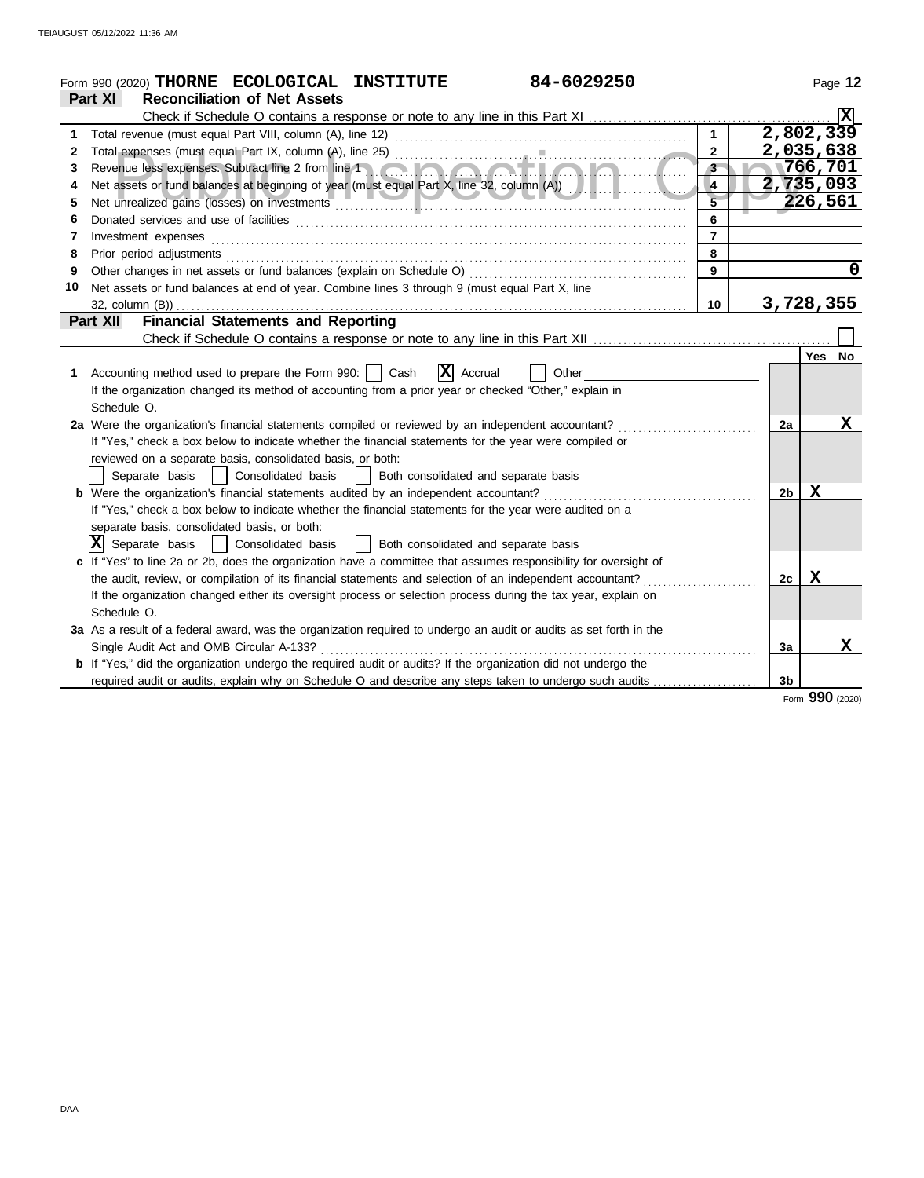|    | 84-6029250<br>Form 990 (2020) THORNE ECOLOGICAL INSTITUTE                                                                                                                                                                      |                |                |         | Page 12 |
|----|--------------------------------------------------------------------------------------------------------------------------------------------------------------------------------------------------------------------------------|----------------|----------------|---------|---------|
|    | <b>Reconciliation of Net Assets</b><br><b>Part XI</b>                                                                                                                                                                          |                |                |         |         |
|    |                                                                                                                                                                                                                                |                |                |         |         |
| 1  | Total revenue (must equal Part VIII, column (A), line 12)                                                                                                                                                                      | $\mathbf{1}$   | 2,802,339      |         |         |
| 2  |                                                                                                                                                                                                                                | $\overline{2}$ | 2,035,638      |         |         |
| 3  | Revenue less expenses. Subtract line 2 from line 1 and 1 and 1 and 1 and 1 and 1 and 1 and 1 and 1 and 1 and 1                                                                                                                 | $3 -$          |                | 766,701 |         |
| 4  | Net assets or fund balances at beginning of year (must equal Part X, line 32, column (A))                                                                                                                                      | $\overline{4}$ | 2,735,093      |         |         |
| 5  | Net unrealized gains (losses) on investments                                                                                                                                                                                   |                |                | 226,561 |         |
| 6  |                                                                                                                                                                                                                                | 6              |                |         |         |
| 7  | Investment expenses                                                                                                                                                                                                            | $\overline{7}$ |                |         |         |
| 8  | Prior period adjustments [11, 12] and the contract of the contract of the contract of the contract of the contract of the contract of the contract of the contract of the contract of the contract of the contract of the cont | 8              |                |         |         |
| 9  | Other changes in net assets or fund balances (explain on Schedule O)                                                                                                                                                           | 9              |                |         | 0       |
| 10 | Net assets or fund balances at end of year. Combine lines 3 through 9 (must equal Part X, line                                                                                                                                 |                |                |         |         |
|    | 32, column (B))                                                                                                                                                                                                                | 10             | 3,728,355      |         |         |
|    | <b>Financial Statements and Reporting</b><br>Part XII                                                                                                                                                                          |                |                |         |         |
|    |                                                                                                                                                                                                                                |                |                |         |         |
|    |                                                                                                                                                                                                                                |                |                | Yes     | No.     |
| 1. | $ \mathbf{X} $ Accrual<br>Accounting method used to prepare the Form 990:     Cash<br>Other                                                                                                                                    |                |                |         |         |
|    | If the organization changed its method of accounting from a prior year or checked "Other," explain in                                                                                                                          |                |                |         |         |
|    | Schedule O.                                                                                                                                                                                                                    |                |                |         |         |
|    | 2a Were the organization's financial statements compiled or reviewed by an independent accountant?                                                                                                                             |                | 2a             |         | X       |
|    | If "Yes," check a box below to indicate whether the financial statements for the year were compiled or                                                                                                                         |                |                |         |         |
|    | reviewed on a separate basis, consolidated basis, or both:                                                                                                                                                                     |                |                |         |         |
|    | Consolidated basis<br>Both consolidated and separate basis<br>Separate basis<br>$\sim$ 1 $\sim$ 1                                                                                                                              |                |                |         |         |
|    | <b>b</b> Were the organization's financial statements audited by an independent accountant?                                                                                                                                    |                | 2b             | x       |         |
|    | If "Yes," check a box below to indicate whether the financial statements for the year were audited on a                                                                                                                        |                |                |         |         |
|    | separate basis, consolidated basis, or both:                                                                                                                                                                                   |                |                |         |         |
|    | $ \mathbf{X} $ Separate basis<br>  Consolidated basis<br>  Both consolidated and separate basis                                                                                                                                |                |                |         |         |
|    | c If "Yes" to line 2a or 2b, does the organization have a committee that assumes responsibility for oversight of                                                                                                               |                |                |         |         |
|    | the audit, review, or compilation of its financial statements and selection of an independent accountant?                                                                                                                      |                | 2с             | х       |         |
|    | If the organization changed either its oversight process or selection process during the tax year, explain on                                                                                                                  |                |                |         |         |
|    | Schedule O.                                                                                                                                                                                                                    |                |                |         |         |
|    | 3a As a result of a federal award, was the organization required to undergo an audit or audits as set forth in the                                                                                                             |                |                |         |         |
|    | Single Audit Act and OMB Circular A-133?                                                                                                                                                                                       |                | 3a             |         | X       |
|    | b If "Yes," did the organization undergo the required audit or audits? If the organization did not undergo the                                                                                                                 |                |                |         |         |
|    | required audit or audits, explain why on Schedule O and describe any steps taken to undergo such audits                                                                                                                        |                | 3 <sub>b</sub> |         |         |
|    |                                                                                                                                                                                                                                |                |                | nnn.    |         |

Form **990** (2020)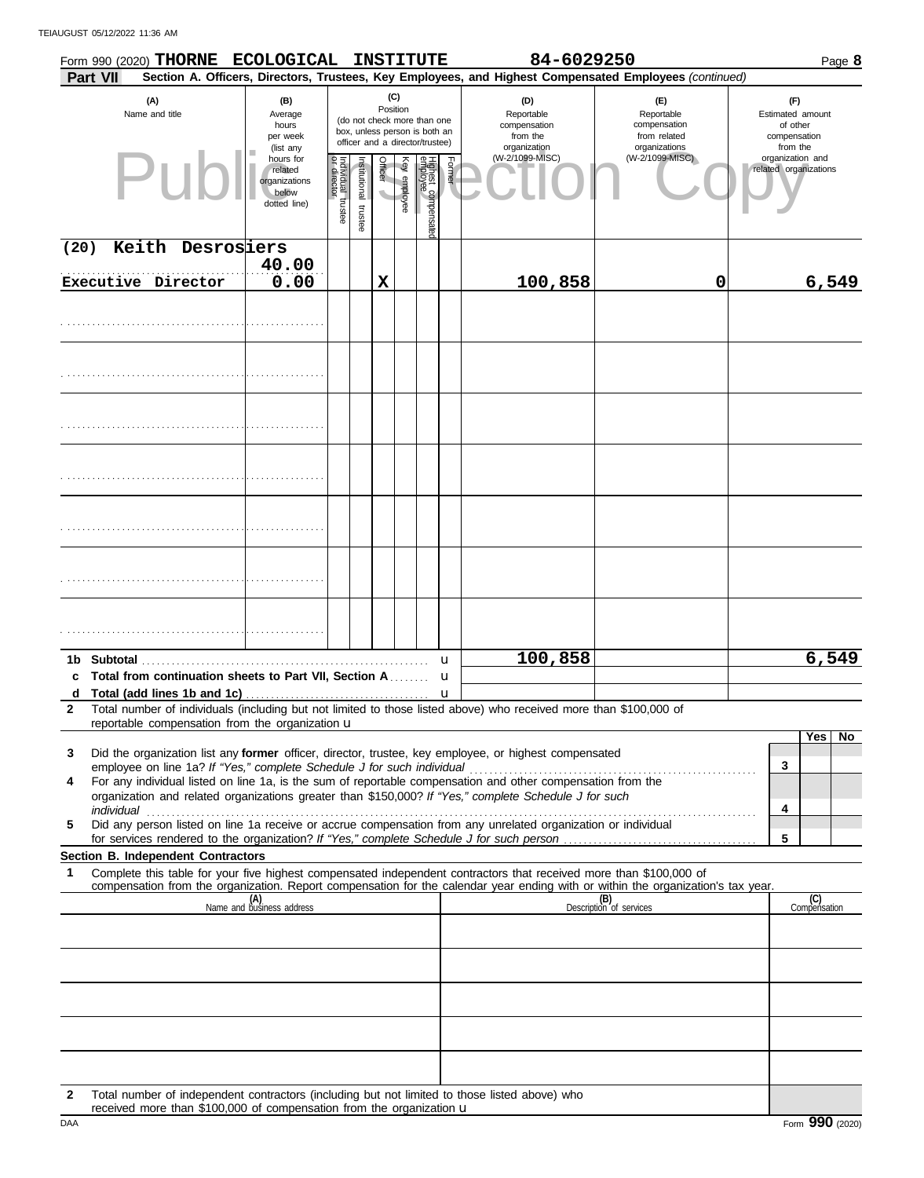TEIAUGUST 05/12/2022 11:36 AM

|                   | Form 990 (2020) THORNE ECOLOGICAL<br>Part VII                                                                                                                                                                                                                                                                |                                                                |                                   |                                                                                                                                 |                                     |              | <b>INSTITUTE</b>               |                                                               | 84-6029250                                                         | Section A. Officers, Directors, Trustees, Key Employees, and Highest Compensated Employees (continued) | Page 8                                    |
|-------------------|--------------------------------------------------------------------------------------------------------------------------------------------------------------------------------------------------------------------------------------------------------------------------------------------------------------|----------------------------------------------------------------|-----------------------------------|---------------------------------------------------------------------------------------------------------------------------------|-------------------------------------|--------------|--------------------------------|---------------------------------------------------------------|--------------------------------------------------------------------|--------------------------------------------------------------------------------------------------------|-------------------------------------------|
|                   | (A)<br>(B)<br>Name and title<br>Average<br>hours<br>per week                                                                                                                                                                                                                                                 |                                                                |                                   | (C)<br>Position<br>(do not check more than one<br>box, unless person is both an<br>officer and a director/trustee)<br>(list any |                                     |              |                                | (D)<br>Reportable<br>compensation<br>from the<br>organization | (E)<br>Reportable<br>compensation<br>from related<br>organizations | (F)<br>Estimated amount<br>of other<br>compensation<br>from the                                        |                                           |
|                   | PII                                                                                                                                                                                                                                                                                                          | hours for<br>related<br>organizations<br>below<br>dotted line) | Individual trustee<br>or director | Institutional trustee                                                                                                           | Officer<br>$\overline{\phantom{0}}$ | Key employee | Highest compensate<br>employee | Former                                                        | (W-2/1099-MISC)                                                    | (W-2/1099-MISC)                                                                                        | organization and<br>related organizations |
| (20)              | Keith Desrosiers                                                                                                                                                                                                                                                                                             |                                                                |                                   |                                                                                                                                 |                                     |              |                                |                                                               |                                                                    |                                                                                                        |                                           |
|                   | Executive Director                                                                                                                                                                                                                                                                                           | 40.00<br>0.00                                                  |                                   |                                                                                                                                 | X                                   |              |                                |                                                               | 100,858                                                            | 0                                                                                                      | 6,549                                     |
|                   |                                                                                                                                                                                                                                                                                                              |                                                                |                                   |                                                                                                                                 |                                     |              |                                |                                                               |                                                                    |                                                                                                        |                                           |
|                   |                                                                                                                                                                                                                                                                                                              |                                                                |                                   |                                                                                                                                 |                                     |              |                                |                                                               |                                                                    |                                                                                                        |                                           |
|                   |                                                                                                                                                                                                                                                                                                              |                                                                |                                   |                                                                                                                                 |                                     |              |                                |                                                               |                                                                    |                                                                                                        |                                           |
|                   |                                                                                                                                                                                                                                                                                                              |                                                                |                                   |                                                                                                                                 |                                     |              |                                |                                                               |                                                                    |                                                                                                        |                                           |
|                   |                                                                                                                                                                                                                                                                                                              |                                                                |                                   |                                                                                                                                 |                                     |              |                                |                                                               |                                                                    |                                                                                                        |                                           |
|                   |                                                                                                                                                                                                                                                                                                              |                                                                |                                   |                                                                                                                                 |                                     |              |                                |                                                               |                                                                    |                                                                                                        |                                           |
|                   |                                                                                                                                                                                                                                                                                                              |                                                                |                                   |                                                                                                                                 |                                     |              |                                |                                                               |                                                                    |                                                                                                        |                                           |
|                   |                                                                                                                                                                                                                                                                                                              |                                                                |                                   |                                                                                                                                 |                                     |              |                                | u                                                             | 100,858                                                            |                                                                                                        | 6,549                                     |
|                   | c Total from continuation sheets to Part VII, Section A                                                                                                                                                                                                                                                      |                                                                |                                   |                                                                                                                                 |                                     |              |                                | u                                                             |                                                                    |                                                                                                        |                                           |
| d<br>$\mathbf{2}$ | Total number of individuals (including but not limited to those listed above) who received more than \$100,000 of                                                                                                                                                                                            |                                                                |                                   |                                                                                                                                 |                                     |              |                                | u                                                             |                                                                    |                                                                                                        |                                           |
|                   | reportable compensation from the organization u                                                                                                                                                                                                                                                              |                                                                |                                   |                                                                                                                                 |                                     |              |                                |                                                               |                                                                    |                                                                                                        |                                           |
| 3                 | Did the organization list any <b>former</b> officer, director, trustee, key employee, or highest compensated                                                                                                                                                                                                 |                                                                |                                   |                                                                                                                                 |                                     |              |                                |                                                               |                                                                    |                                                                                                        | Yes<br>No                                 |
| 4                 | employee on line 1a? If "Yes," complete Schedule J for such individual<br>For any individual listed on line 1a, is the sum of reportable compensation and other compensation from the<br>organization and related organizations greater than \$150,000? If "Yes," complete Schedule J for such<br>individual |                                                                |                                   |                                                                                                                                 |                                     |              |                                |                                                               |                                                                    |                                                                                                        | 3<br>4                                    |
| 5                 | Did any person listed on line 1a receive or accrue compensation from any unrelated organization or individual                                                                                                                                                                                                |                                                                |                                   |                                                                                                                                 |                                     |              |                                |                                                               |                                                                    |                                                                                                        | 5                                         |
|                   | Section B. Independent Contractors                                                                                                                                                                                                                                                                           |                                                                |                                   |                                                                                                                                 |                                     |              |                                |                                                               |                                                                    |                                                                                                        |                                           |
| 1                 | Complete this table for your five highest compensated independent contractors that received more than \$100,000 of<br>compensation from the organization. Report compensation for the calendar year ending with or within the organization's tax year.                                                       |                                                                |                                   |                                                                                                                                 |                                     |              |                                |                                                               |                                                                    |                                                                                                        |                                           |
|                   |                                                                                                                                                                                                                                                                                                              | (A)<br>Name and business address                               |                                   |                                                                                                                                 |                                     |              |                                |                                                               |                                                                    | (B)<br>Description of services                                                                         | (C)<br>Compensation                       |
|                   |                                                                                                                                                                                                                                                                                                              |                                                                |                                   |                                                                                                                                 |                                     |              |                                |                                                               |                                                                    |                                                                                                        |                                           |
|                   |                                                                                                                                                                                                                                                                                                              |                                                                |                                   |                                                                                                                                 |                                     |              |                                |                                                               |                                                                    |                                                                                                        |                                           |
|                   |                                                                                                                                                                                                                                                                                                              |                                                                |                                   |                                                                                                                                 |                                     |              |                                |                                                               |                                                                    |                                                                                                        |                                           |
|                   |                                                                                                                                                                                                                                                                                                              |                                                                |                                   |                                                                                                                                 |                                     |              |                                |                                                               |                                                                    |                                                                                                        |                                           |
|                   |                                                                                                                                                                                                                                                                                                              |                                                                |                                   |                                                                                                                                 |                                     |              |                                |                                                               |                                                                    |                                                                                                        |                                           |
| $\mathbf{2}$      | Total number of independent contractors (including but not limited to those listed above) who                                                                                                                                                                                                                |                                                                |                                   |                                                                                                                                 |                                     |              |                                |                                                               |                                                                    |                                                                                                        |                                           |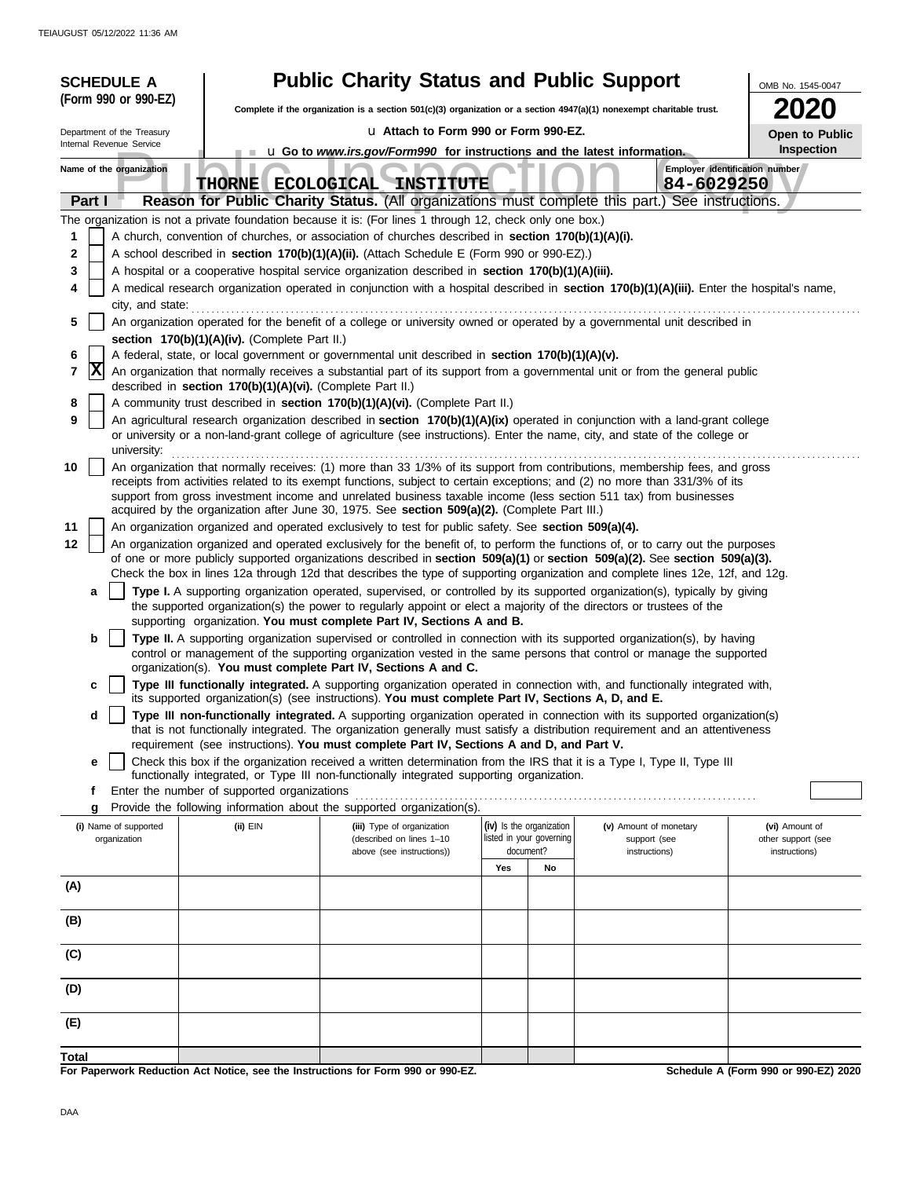|        |        | <b>SCHEDULE A</b>                     |                                                            | <b>Public Charity Status and Public Support</b>                                                                                                                                                |     |                                                      |                                                                                                                                                                                                                                                                         | OMB No. 1545-0047                    |
|--------|--------|---------------------------------------|------------------------------------------------------------|------------------------------------------------------------------------------------------------------------------------------------------------------------------------------------------------|-----|------------------------------------------------------|-------------------------------------------------------------------------------------------------------------------------------------------------------------------------------------------------------------------------------------------------------------------------|--------------------------------------|
|        |        | (Form 990 or 990-EZ)                  |                                                            | Complete if the organization is a section $501(c)(3)$ organization or a section $4947(a)(1)$ nonexempt charitable trust.                                                                       |     |                                                      |                                                                                                                                                                                                                                                                         | 2020                                 |
|        |        | Department of the Treasury            |                                                            | u Attach to Form 990 or Form 990-EZ.                                                                                                                                                           |     |                                                      |                                                                                                                                                                                                                                                                         | Open to Public                       |
|        |        | Internal Revenue Service              |                                                            | <b>u</b> Go to <i>www.irs.gov/Form990</i> for instructions and the latest information.                                                                                                         |     |                                                      |                                                                                                                                                                                                                                                                         | Inspection                           |
|        |        | Name of the organization              | <b>THORNE ECOLOGICAL</b>                                   | <b>INSTITUTE</b>                                                                                                                                                                               |     |                                                      | Employer identification number<br>84-6029250                                                                                                                                                                                                                            |                                      |
|        | Part I |                                       |                                                            |                                                                                                                                                                                                |     |                                                      | Reason for Public Charity Status. (All organizations must complete this part.) See instructions.                                                                                                                                                                        |                                      |
|        |        |                                       |                                                            | The organization is not a private foundation because it is: (For lines 1 through 12, check only one box.)                                                                                      |     |                                                      |                                                                                                                                                                                                                                                                         |                                      |
| 1<br>2 |        |                                       |                                                            | A church, convention of churches, or association of churches described in section 170(b)(1)(A)(i).                                                                                             |     |                                                      |                                                                                                                                                                                                                                                                         |                                      |
| 3      |        |                                       |                                                            | A school described in section 170(b)(1)(A)(ii). (Attach Schedule E (Form 990 or 990-EZ).)<br>A hospital or a cooperative hospital service organization described in section 170(b)(1)(A)(iii). |     |                                                      |                                                                                                                                                                                                                                                                         |                                      |
| 4      |        |                                       |                                                            |                                                                                                                                                                                                |     |                                                      | A medical research organization operated in conjunction with a hospital described in section 170(b)(1)(A)(iii). Enter the hospital's name,                                                                                                                              |                                      |
|        |        | city, and state:                      |                                                            |                                                                                                                                                                                                |     |                                                      |                                                                                                                                                                                                                                                                         |                                      |
| 5      |        |                                       |                                                            |                                                                                                                                                                                                |     |                                                      | An organization operated for the benefit of a college or university owned or operated by a governmental unit described in                                                                                                                                               |                                      |
| 6      |        |                                       | section 170(b)(1)(A)(iv). (Complete Part II.)              | A federal, state, or local government or governmental unit described in section 170(b)(1)(A)(v).                                                                                               |     |                                                      |                                                                                                                                                                                                                                                                         |                                      |
| 7      | X      |                                       | described in section 170(b)(1)(A)(vi). (Complete Part II.) |                                                                                                                                                                                                |     |                                                      | An organization that normally receives a substantial part of its support from a governmental unit or from the general public                                                                                                                                            |                                      |
| 8      |        |                                       |                                                            | A community trust described in section 170(b)(1)(A)(vi). (Complete Part II.)                                                                                                                   |     |                                                      |                                                                                                                                                                                                                                                                         |                                      |
| 9      |        |                                       |                                                            |                                                                                                                                                                                                |     |                                                      | An agricultural research organization described in section 170(b)(1)(A)(ix) operated in conjunction with a land-grant college                                                                                                                                           |                                      |
|        |        | university:                           |                                                            |                                                                                                                                                                                                |     |                                                      | or university or a non-land-grant college of agriculture (see instructions). Enter the name, city, and state of the college or                                                                                                                                          |                                      |
| 10     |        |                                       |                                                            |                                                                                                                                                                                                |     |                                                      | An organization that normally receives: (1) more than 33 1/3% of its support from contributions, membership fees, and gross                                                                                                                                             |                                      |
|        |        |                                       |                                                            |                                                                                                                                                                                                |     |                                                      | receipts from activities related to its exempt functions, subject to certain exceptions; and (2) no more than 331/3% of its<br>support from gross investment income and unrelated business taxable income (less section 511 tax) from businesses                        |                                      |
|        |        |                                       |                                                            | acquired by the organization after June 30, 1975. See section 509(a)(2). (Complete Part III.)                                                                                                  |     |                                                      |                                                                                                                                                                                                                                                                         |                                      |
| 11     |        |                                       |                                                            | An organization organized and operated exclusively to test for public safety. See section 509(a)(4).                                                                                           |     |                                                      |                                                                                                                                                                                                                                                                         |                                      |
| 12     |        |                                       |                                                            |                                                                                                                                                                                                |     |                                                      | An organization organized and operated exclusively for the benefit of, to perform the functions of, or to carry out the purposes<br>of one or more publicly supported organizations described in section $509(a)(1)$ or section $509(a)(2)$ . See section $509(a)(3)$ . |                                      |
|        |        |                                       |                                                            |                                                                                                                                                                                                |     |                                                      | Check the box in lines 12a through 12d that describes the type of supporting organization and complete lines 12e, 12f, and 12g.                                                                                                                                         |                                      |
|        | a      |                                       |                                                            |                                                                                                                                                                                                |     |                                                      | Type I. A supporting organization operated, supervised, or controlled by its supported organization(s), typically by giving                                                                                                                                             |                                      |
|        |        |                                       |                                                            | the supported organization(s) the power to regularly appoint or elect a majority of the directors or trustees of the<br>supporting organization. You must complete Part IV, Sections A and B.  |     |                                                      |                                                                                                                                                                                                                                                                         |                                      |
|        | b      |                                       |                                                            |                                                                                                                                                                                                |     |                                                      | Type II. A supporting organization supervised or controlled in connection with its supported organization(s), by having                                                                                                                                                 |                                      |
|        |        |                                       |                                                            | organization(s). You must complete Part IV, Sections A and C.                                                                                                                                  |     |                                                      | control or management of the supporting organization vested in the same persons that control or manage the supported                                                                                                                                                    |                                      |
|        | с      |                                       |                                                            |                                                                                                                                                                                                |     |                                                      | Type III functionally integrated. A supporting organization operated in connection with, and functionally integrated with,                                                                                                                                              |                                      |
|        |        |                                       |                                                            | its supported organization(s) (see instructions). You must complete Part IV, Sections A, D, and E.                                                                                             |     |                                                      |                                                                                                                                                                                                                                                                         |                                      |
|        | d      |                                       |                                                            |                                                                                                                                                                                                |     |                                                      | Type III non-functionally integrated. A supporting organization operated in connection with its supported organization(s)<br>that is not functionally integrated. The organization generally must satisfy a distribution requirement and an attentiveness               |                                      |
|        |        |                                       |                                                            | requirement (see instructions). You must complete Part IV, Sections A and D, and Part V.                                                                                                       |     |                                                      |                                                                                                                                                                                                                                                                         |                                      |
|        | е      |                                       |                                                            | functionally integrated, or Type III non-functionally integrated supporting organization.                                                                                                      |     |                                                      | Check this box if the organization received a written determination from the IRS that it is a Type I, Type II, Type III                                                                                                                                                 |                                      |
|        | f      |                                       | Enter the number of supported organizations                |                                                                                                                                                                                                |     |                                                      |                                                                                                                                                                                                                                                                         |                                      |
|        | g      |                                       |                                                            | Provide the following information about the supported organization(s).                                                                                                                         |     |                                                      |                                                                                                                                                                                                                                                                         |                                      |
|        |        | (i) Name of supported<br>organization | (ii) EIN                                                   | (iii) Type of organization<br>(described on lines 1-10                                                                                                                                         |     | (iv) Is the organization<br>listed in your governing | (v) Amount of monetary<br>support (see                                                                                                                                                                                                                                  | (vi) Amount of<br>other support (see |
|        |        |                                       |                                                            | above (see instructions))                                                                                                                                                                      |     | document?                                            | instructions)                                                                                                                                                                                                                                                           | instructions)                        |
|        |        |                                       |                                                            |                                                                                                                                                                                                | Yes | No                                                   |                                                                                                                                                                                                                                                                         |                                      |
| (A)    |        |                                       |                                                            |                                                                                                                                                                                                |     |                                                      |                                                                                                                                                                                                                                                                         |                                      |
| (B)    |        |                                       |                                                            |                                                                                                                                                                                                |     |                                                      |                                                                                                                                                                                                                                                                         |                                      |
| (C)    |        |                                       |                                                            |                                                                                                                                                                                                |     |                                                      |                                                                                                                                                                                                                                                                         |                                      |
|        |        |                                       |                                                            |                                                                                                                                                                                                |     |                                                      |                                                                                                                                                                                                                                                                         |                                      |
| (D)    |        |                                       |                                                            |                                                                                                                                                                                                |     |                                                      |                                                                                                                                                                                                                                                                         |                                      |
| (E)    |        |                                       |                                                            |                                                                                                                                                                                                |     |                                                      |                                                                                                                                                                                                                                                                         |                                      |
| Total  |        |                                       |                                                            |                                                                                                                                                                                                |     |                                                      |                                                                                                                                                                                                                                                                         |                                      |
|        |        |                                       |                                                            | For Paperwork Reduction Act Notice, see the Instructions for Form 990 or 990-EZ.                                                                                                               |     |                                                      |                                                                                                                                                                                                                                                                         | Schedule A (Form 990 or 990-EZ) 2020 |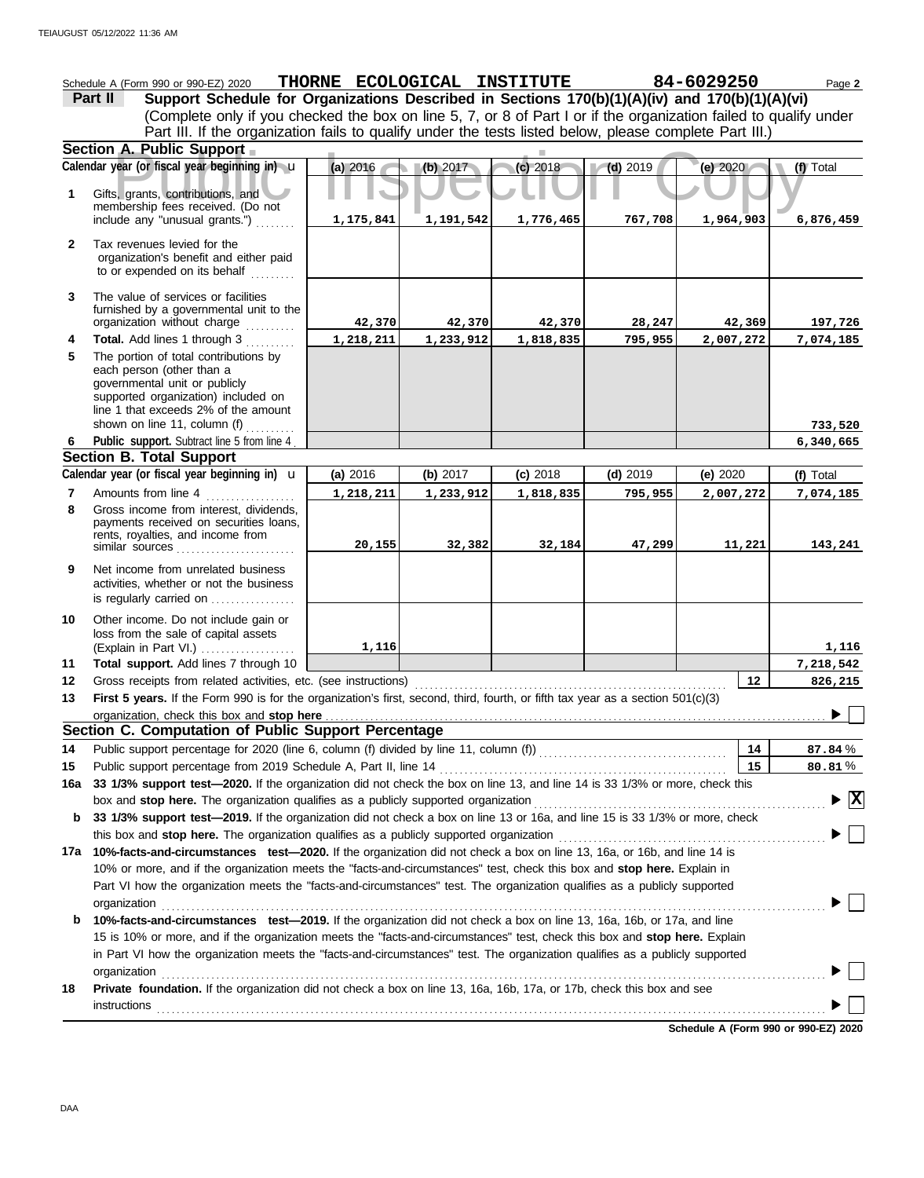|                                                                                                         | Schedule A (Form 990 or 990-EZ) 2020                                                                                                                                                                              |           |           | THORNE ECOLOGICAL INSTITUTE |            | 84-6029250 | Page 2                                   |
|---------------------------------------------------------------------------------------------------------|-------------------------------------------------------------------------------------------------------------------------------------------------------------------------------------------------------------------|-----------|-----------|-----------------------------|------------|------------|------------------------------------------|
|                                                                                                         | Support Schedule for Organizations Described in Sections 170(b)(1)(A)(iv) and 170(b)(1)(A)(vi)<br>Part II                                                                                                         |           |           |                             |            |            |                                          |
|                                                                                                         | (Complete only if you checked the box on line 5, 7, or 8 of Part I or if the organization failed to qualify under                                                                                                 |           |           |                             |            |            |                                          |
| Part III. If the organization fails to qualify under the tests listed below, please complete Part III.) |                                                                                                                                                                                                                   |           |           |                             |            |            |                                          |
|                                                                                                         | Section A. Public Support                                                                                                                                                                                         |           |           |                             |            |            |                                          |
|                                                                                                         | Calendar year (or fiscal year beginning in) u                                                                                                                                                                     | (a) 2016  | (b) 2017  | (c) 2018                    | $(d)$ 2019 | (e) 2020   | (f) Total                                |
| 1                                                                                                       | Gifts, grants, contributions, and<br>membership fees received. (Do not                                                                                                                                            |           |           |                             |            |            |                                          |
|                                                                                                         | include any "unusual grants.")                                                                                                                                                                                    | 1,175,841 | 1,191,542 | 1,776,465                   | 767,708    | 1,964,903  | 6,876,459                                |
| $\mathbf{2}$                                                                                            | Tax revenues levied for the<br>organization's benefit and either paid<br>to or expended on its behalf                                                                                                             |           |           |                             |            |            |                                          |
| 3                                                                                                       | The value of services or facilities<br>furnished by a governmental unit to the<br>organization without charge                                                                                                     | 42,370    | 42,370    | 42,370                      | 28,247     | 42,369     | 197,726                                  |
| 4                                                                                                       | Total. Add lines 1 through 3                                                                                                                                                                                      | 1,218,211 | 1,233,912 | 1,818,835                   | 795,955    | 2,007,272  | 7,074,185                                |
| 5                                                                                                       | The portion of total contributions by<br>each person (other than a<br>governmental unit or publicly<br>supported organization) included on<br>line 1 that exceeds 2% of the amount                                |           |           |                             |            |            |                                          |
| 6                                                                                                       | shown on line 11, column (f)<br>dia a a a a a a a<br>Public support. Subtract line 5 from line 4                                                                                                                  |           |           |                             |            |            | 733,520<br>6,340,665                     |
|                                                                                                         | <b>Section B. Total Support</b>                                                                                                                                                                                   |           |           |                             |            |            |                                          |
|                                                                                                         | Calendar year (or fiscal year beginning in) $\mathbf u$                                                                                                                                                           | (a) 2016  | (b) 2017  | $(c)$ 2018                  | $(d)$ 2019 | (e) $2020$ | (f) Total                                |
| 7                                                                                                       | Amounts from line 4                                                                                                                                                                                               | 1,218,211 | 1,233,912 | 1,818,835                   | 795,955    | 2,007,272  | 7,074,185                                |
| 8                                                                                                       | Gross income from interest, dividends,<br>payments received on securities loans,<br>rents, royalties, and income from<br>similar sources $\ldots$ , $\ldots$ , $\ldots$ , $\ldots$ , $\ldots$                     | 20,155    | 32,382    | 32,184                      | 47,299     | 11,221     | 143,241                                  |
| 9                                                                                                       | Net income from unrelated business<br>activities, whether or not the business<br>is regularly carried on                                                                                                          |           |           |                             |            |            |                                          |
| 10                                                                                                      | Other income. Do not include gain or<br>loss from the sale of capital assets<br>(Explain in Part VI.)                                                                                                             | 1,116     |           |                             |            |            | 1,116                                    |
| 11                                                                                                      | Total support. Add lines 7 through 10                                                                                                                                                                             |           |           |                             |            |            | 7,218,542                                |
| 12                                                                                                      | Gross receipts from related activities, etc. (see instructions)                                                                                                                                                   |           |           |                             |            | 12         | 826,215                                  |
| 13                                                                                                      | First 5 years. If the Form 990 is for the organization's first, second, third, fourth, or fifth tax year as a section 501(c)(3)                                                                                   |           |           |                             |            |            | $\blacksquare$                           |
|                                                                                                         | organization, check this box and stop here                                                                                                                                                                        |           |           |                             |            |            |                                          |
|                                                                                                         | Section C. Computation of Public Support Percentage                                                                                                                                                               |           |           |                             |            |            |                                          |
| 14                                                                                                      |                                                                                                                                                                                                                   |           |           |                             |            | 14         | 87.84%                                   |
| 15                                                                                                      | Public support percentage from 2019 Schedule A, Part II, line 14                                                                                                                                                  |           |           |                             |            | 15         | 80.81%                                   |
| 16a                                                                                                     | 33 1/3% support test-2020. If the organization did not check the box on line 13, and line 14 is 33 1/3% or more, check this                                                                                       |           |           |                             |            |            |                                          |
| b                                                                                                       | box and stop here. The organization qualifies as a publicly supported organization<br>33 1/3% support test-2019. If the organization did not check a box on line 13 or 16a, and line 15 is 33 1/3% or more, check |           |           |                             |            |            | $\blacktriangleright \boxed{\mathbf{X}}$ |
|                                                                                                         | this box and stop here. The organization qualifies as a publicly supported organization                                                                                                                           |           |           |                             |            |            |                                          |
|                                                                                                         | 17a 10%-facts-and-circumstances test-2020. If the organization did not check a box on line 13, 16a, or 16b, and line 14 is                                                                                        |           |           |                             |            |            |                                          |
|                                                                                                         | 10% or more, and if the organization meets the "facts-and-circumstances" test, check this box and stop here. Explain in                                                                                           |           |           |                             |            |            |                                          |
|                                                                                                         | Part VI how the organization meets the "facts-and-circumstances" test. The organization qualifies as a publicly supported                                                                                         |           |           |                             |            |            |                                          |
|                                                                                                         | organization                                                                                                                                                                                                      |           |           |                             |            |            |                                          |
| b                                                                                                       | 10%-facts-and-circumstances test-2019. If the organization did not check a box on line 13, 16a, 16b, or 17a, and line                                                                                             |           |           |                             |            |            |                                          |
|                                                                                                         | 15 is 10% or more, and if the organization meets the "facts-and-circumstances" test, check this box and stop here. Explain                                                                                        |           |           |                             |            |            |                                          |
|                                                                                                         | in Part VI how the organization meets the "facts-and-circumstances" test. The organization qualifies as a publicly supported                                                                                      |           |           |                             |            |            |                                          |
|                                                                                                         | organization                                                                                                                                                                                                      |           |           |                             |            |            |                                          |
| 18                                                                                                      | Private foundation. If the organization did not check a box on line 13, 16a, 16b, 17a, or 17b, check this box and see                                                                                             |           |           |                             |            |            |                                          |
|                                                                                                         | <b>instructions</b>                                                                                                                                                                                               |           |           |                             |            |            |                                          |

**Schedule A (Form 990 or 990-EZ) 2020**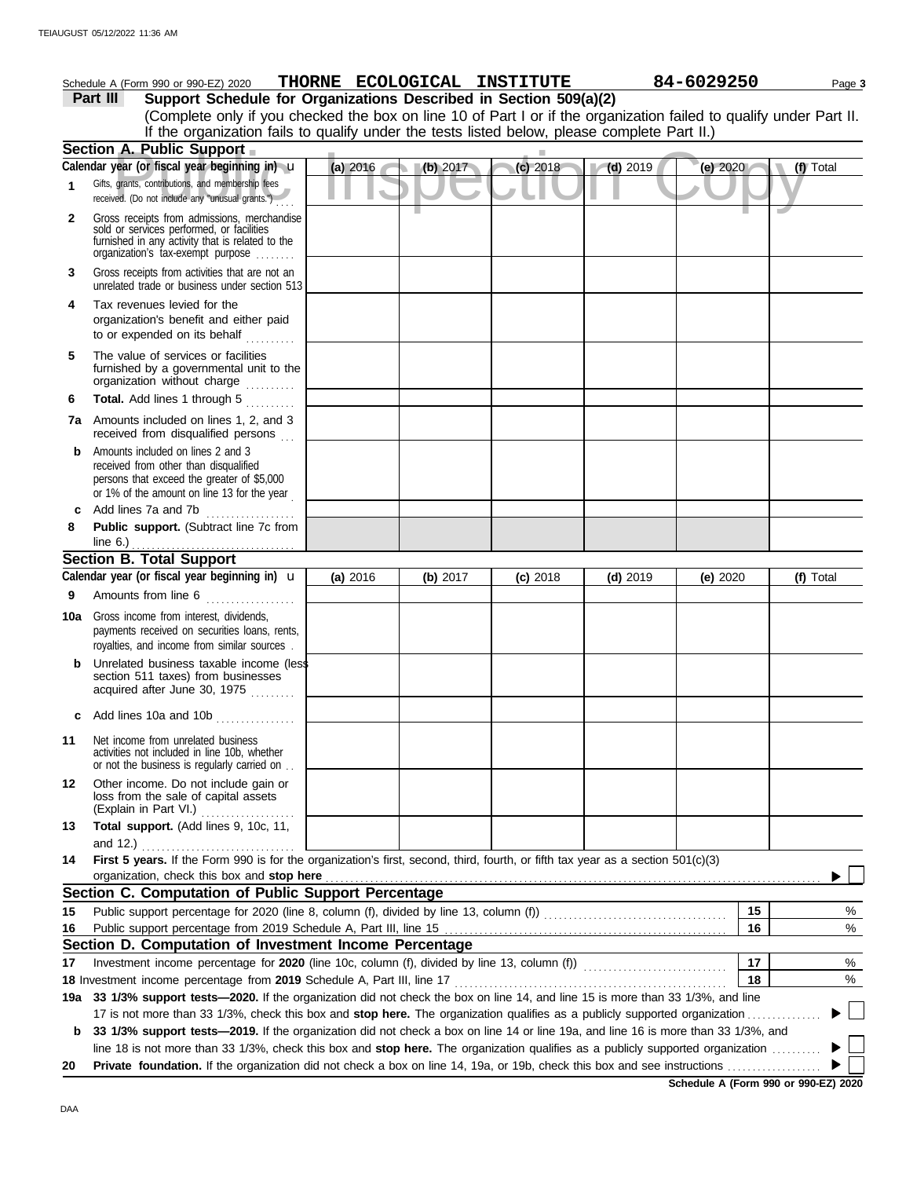|     | Schedule A (Form 990 or 990-EZ) 2020                                                                                                                                              |            |          | THORNE ECOLOGICAL INSTITUTE |            | 84-6029250 | Page 3    |
|-----|-----------------------------------------------------------------------------------------------------------------------------------------------------------------------------------|------------|----------|-----------------------------|------------|------------|-----------|
|     | Support Schedule for Organizations Described in Section 509(a)(2)<br>Part III                                                                                                     |            |          |                             |            |            |           |
|     | (Complete only if you checked the box on line 10 of Part I or if the organization failed to qualify under Part II.                                                                |            |          |                             |            |            |           |
|     | If the organization fails to qualify under the tests listed below, please complete Part II.)                                                                                      |            |          |                             |            |            |           |
|     | Section A. Public Support                                                                                                                                                         |            |          |                             |            |            |           |
|     | Calendar year (or fiscal year beginning in) u                                                                                                                                     | $(a)$ 2016 | (b) 2017 | (c) 2018                    | $(d)$ 2019 | (e) 2020   | (f) Total |
| 1.  | Gifts, grants, contributions, and membership fees<br>received. (Do not include any "unusual grants.")                                                                             |            |          |                             |            |            |           |
| 2   | Gross receipts from admissions, merchandise<br>sold or services performed, or facilities<br>furnished in any activity that is related to the<br>organization's fax-exempt purpose |            |          |                             |            |            |           |
| 3   | Gross receipts from activities that are not an<br>unrelated trade or business under section 513                                                                                   |            |          |                             |            |            |           |
| 4   | Tax revenues levied for the<br>organization's benefit and either paid<br>to or expended on its behalf                                                                             |            |          |                             |            |            |           |
| 5   | The value of services or facilities<br>furnished by a governmental unit to the<br>organization without charge                                                                     |            |          |                             |            |            |           |
| 6   | Total. Add lines 1 through 5                                                                                                                                                      |            |          |                             |            |            |           |
| 7a  | Amounts included on lines 1, 2, and 3<br>received from disqualified persons                                                                                                       |            |          |                             |            |            |           |
| b   | Amounts included on lines 2 and 3<br>received from other than disqualified<br>persons that exceed the greater of \$5,000<br>or 1% of the amount on line 13 for the year           |            |          |                             |            |            |           |
| c   | Add lines 7a and 7b<br><u> 1999 - Johann Stoff, amerikansk f</u>                                                                                                                  |            |          |                             |            |            |           |
| 8   | Public support. (Subtract line 7c from<br>line $6.$ )                                                                                                                             |            |          |                             |            |            |           |
|     | <b>Section B. Total Support</b>                                                                                                                                                   |            |          |                             |            |            |           |
|     | Calendar year (or fiscal year beginning in) <b>u</b>                                                                                                                              | (a) 2016   | (b) 2017 | $(c)$ 2018                  | $(d)$ 2019 | (e) $2020$ | (f) Total |
| 9   | Amounts from line 6                                                                                                                                                               |            |          |                             |            |            |           |
| 10a | Gross income from interest, dividends,<br>payments received on securities loans, rents,<br>royalties, and income from similar sources.                                            |            |          |                             |            |            |           |
| b   | Unrelated business taxable income (less<br>section 511 taxes) from businesses<br>acquired after June 30, 1975                                                                     |            |          |                             |            |            |           |
| c   | Add lines 10a and 10b                                                                                                                                                             |            |          |                             |            |            |           |
| 11  | Net income from unrelated business<br>activities not included in line 10b, whether<br>or not the business is regularly carried on                                                 |            |          |                             |            |            |           |
| 12  | Other income. Do not include gain or<br>loss from the sale of capital assets<br>(Explain in Part VI.)<br>.                                                                        |            |          |                             |            |            |           |
| 13  | Total support. (Add lines 9, 10c, 11,                                                                                                                                             |            |          |                             |            |            |           |
| 14  | and 12.)<br>First 5 years. If the Form 990 is for the organization's first, second, third, fourth, or fifth tax year as a section 501(c)(3)                                       |            |          |                             |            |            |           |
|     | organization, check this box and stop here<br>Section C. Computation of Public Support Percentage                                                                                 |            |          |                             |            |            |           |
|     |                                                                                                                                                                                   |            |          |                             |            | 15         |           |
| 15  |                                                                                                                                                                                   |            |          |                             |            | 16         | %<br>$\%$ |
| 16  | Section D. Computation of Investment Income Percentage                                                                                                                            |            |          |                             |            |            |           |
| 17  |                                                                                                                                                                                   |            |          |                             |            | 17         | %         |
|     | 18 Investment income percentage from 2019 Schedule A, Part III, line 17                                                                                                           |            |          |                             |            | 18         | $\%$      |
| 19а | 33 1/3% support tests-2020. If the organization did not check the box on line 14, and line 15 is more than 33 1/3%, and line                                                      |            |          |                             |            |            |           |
|     | 17 is not more than 33 1/3%, check this box and stop here. The organization qualifies as a publicly supported organization                                                        |            |          |                             |            |            |           |
| b   | 33 1/3% support tests-2019. If the organization did not check a box on line 14 or line 19a, and line 16 is more than 33 1/3%, and                                                 |            |          |                             |            |            |           |
|     | line 18 is not more than 33 1/3%, check this box and stop here. The organization qualifies as a publicly supported organization                                                   |            |          |                             |            |            |           |
| 20  |                                                                                                                                                                                   |            |          |                             |            |            |           |

**Schedule A (Form 990 or 990-EZ) 2020**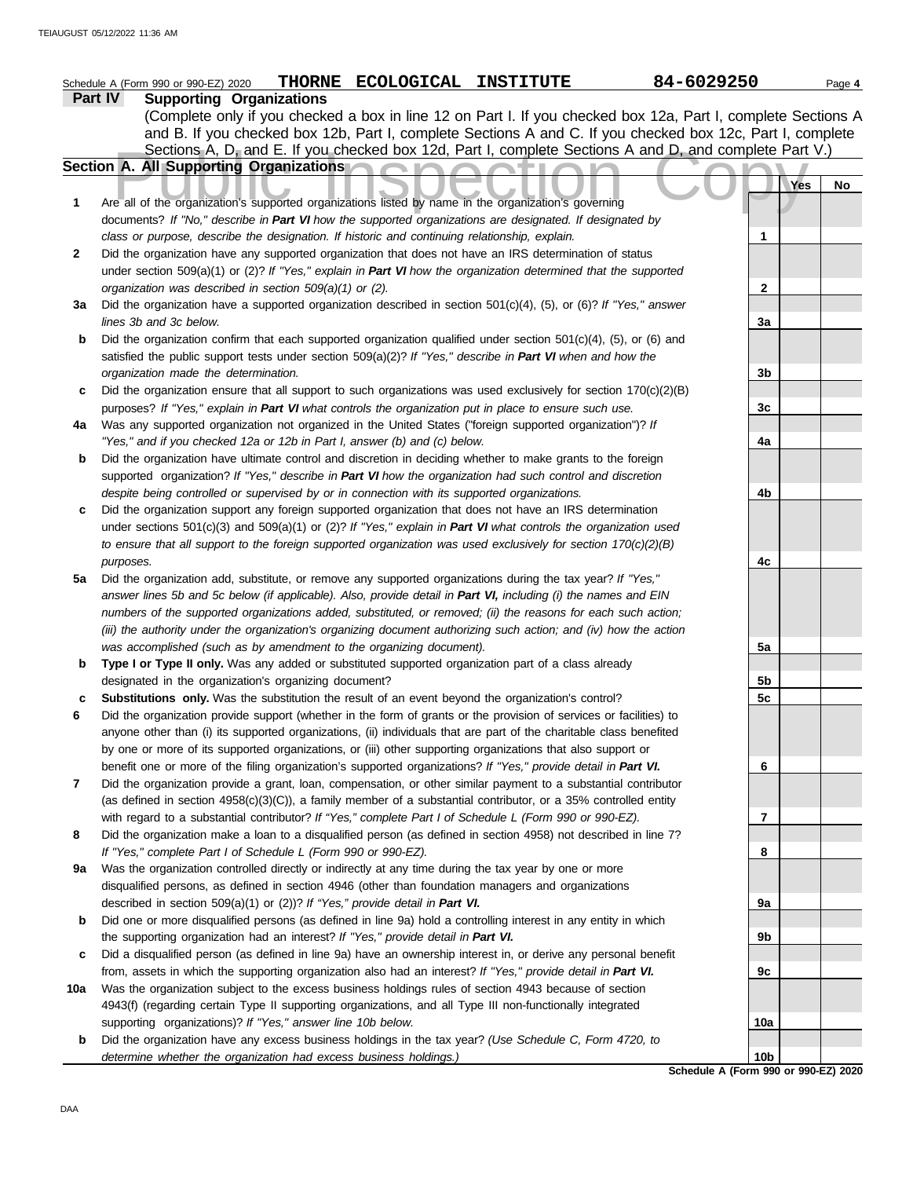|     | THORNE ECOLOGICAL INSTITUTE<br>Schedule A (Form 990 or 990-EZ) 2020                                                                                                                                                           | 84-6029250                                              | Page 4 |
|-----|-------------------------------------------------------------------------------------------------------------------------------------------------------------------------------------------------------------------------------|---------------------------------------------------------|--------|
|     | <b>Supporting Organizations</b><br><b>Part IV</b>                                                                                                                                                                             |                                                         |        |
|     | (Complete only if you checked a box in line 12 on Part I. If you checked box 12a, Part I, complete Sections A                                                                                                                 |                                                         |        |
|     | and B. If you checked box 12b, Part I, complete Sections A and C. If you checked box 12c, Part I, complete                                                                                                                    |                                                         |        |
|     | Sections A, D, and E. If you checked box 12d, Part I, complete Sections A and D, and complete Part V.)                                                                                                                        |                                                         |        |
|     | Section A. All Supporting Organizations                                                                                                                                                                                       |                                                         |        |
|     |                                                                                                                                                                                                                               | Yes                                                     | No     |
| 1   | Are all of the organization's supported organizations listed by name in the organization's governing                                                                                                                          |                                                         |        |
|     | documents? If "No," describe in Part VI how the supported organizations are designated. If designated by                                                                                                                      |                                                         |        |
|     | class or purpose, describe the designation. If historic and continuing relationship, explain.                                                                                                                                 | 1                                                       |        |
| 2   | Did the organization have any supported organization that does not have an IRS determination of status                                                                                                                        |                                                         |        |
|     | under section 509(a)(1) or (2)? If "Yes," explain in Part VI how the organization determined that the supported                                                                                                               |                                                         |        |
|     | organization was described in section 509(a)(1) or (2).                                                                                                                                                                       | $\mathbf{2}$                                            |        |
| За  | Did the organization have a supported organization described in section $501(c)(4)$ , (5), or (6)? If "Yes," answer<br>lines 3b and 3c below.                                                                                 | 3a                                                      |        |
| b   | Did the organization confirm that each supported organization qualified under section $501(c)(4)$ , (5), or (6) and                                                                                                           |                                                         |        |
|     | satisfied the public support tests under section 509(a)(2)? If "Yes," describe in Part VI when and how the                                                                                                                    |                                                         |        |
|     | organization made the determination.                                                                                                                                                                                          | 3b                                                      |        |
| c   | Did the organization ensure that all support to such organizations was used exclusively for section $170(c)(2)(B)$                                                                                                            |                                                         |        |
|     | purposes? If "Yes," explain in Part VI what controls the organization put in place to ensure such use.                                                                                                                        | 3c                                                      |        |
| 4a  | Was any supported organization not organized in the United States ("foreign supported organization")? If                                                                                                                      |                                                         |        |
|     | "Yes," and if you checked 12a or 12b in Part I, answer (b) and (c) below.                                                                                                                                                     | 4a                                                      |        |
| b   | Did the organization have ultimate control and discretion in deciding whether to make grants to the foreign                                                                                                                   |                                                         |        |
|     | supported organization? If "Yes," describe in Part VI how the organization had such control and discretion                                                                                                                    |                                                         |        |
|     | despite being controlled or supervised by or in connection with its supported organizations.                                                                                                                                  | 4b                                                      |        |
| c   | Did the organization support any foreign supported organization that does not have an IRS determination                                                                                                                       |                                                         |        |
|     | under sections $501(c)(3)$ and $509(a)(1)$ or (2)? If "Yes," explain in Part VI what controls the organization used                                                                                                           |                                                         |        |
|     | to ensure that all support to the foreign supported organization was used exclusively for section $170(c)(2)(B)$                                                                                                              |                                                         |        |
|     | purposes.                                                                                                                                                                                                                     | 4c                                                      |        |
| 5a  | Did the organization add, substitute, or remove any supported organizations during the tax year? If "Yes,"                                                                                                                    |                                                         |        |
|     | answer lines 5b and 5c below (if applicable). Also, provide detail in Part VI, including (i) the names and EIN                                                                                                                |                                                         |        |
|     | numbers of the supported organizations added, substituted, or removed; (ii) the reasons for each such action;                                                                                                                 |                                                         |        |
|     | (iii) the authority under the organization's organizing document authorizing such action; and (iv) how the action                                                                                                             |                                                         |        |
|     | was accomplished (such as by amendment to the organizing document).                                                                                                                                                           | 5а                                                      |        |
| b   | Type I or Type II only. Was any added or substituted supported organization part of a class already                                                                                                                           |                                                         |        |
|     | designated in the organization's organizing document?                                                                                                                                                                         | 5b                                                      |        |
|     | Substitutions only. Was the substitution the result of an event beyond the organization's control?                                                                                                                            | 5c                                                      |        |
|     | Did the organization provide support (whether in the form of grants or the provision of services or facilities) to                                                                                                            |                                                         |        |
|     | anyone other than (i) its supported organizations, (ii) individuals that are part of the charitable class benefited                                                                                                           |                                                         |        |
|     | by one or more of its supported organizations, or (iii) other supporting organizations that also support or<br>benefit one or more of the filing organization's supported organizations? If "Yes," provide detail in Part VI. | 6                                                       |        |
| 7   | Did the organization provide a grant, loan, compensation, or other similar payment to a substantial contributor                                                                                                               |                                                         |        |
|     | (as defined in section $4958(c)(3)(C)$ ), a family member of a substantial contributor, or a 35% controlled entity                                                                                                            |                                                         |        |
|     | with regard to a substantial contributor? If "Yes," complete Part I of Schedule L (Form 990 or 990-EZ).                                                                                                                       | 7                                                       |        |
| 8   | Did the organization make a loan to a disqualified person (as defined in section 4958) not described in line 7?                                                                                                               |                                                         |        |
|     | If "Yes," complete Part I of Schedule L (Form 990 or 990-EZ).                                                                                                                                                                 | 8                                                       |        |
| 9а  | Was the organization controlled directly or indirectly at any time during the tax year by one or more                                                                                                                         |                                                         |        |
|     | disqualified persons, as defined in section 4946 (other than foundation managers and organizations                                                                                                                            |                                                         |        |
|     | described in section 509(a)(1) or (2))? If "Yes," provide detail in Part VI.                                                                                                                                                  | 9a                                                      |        |
| b   | Did one or more disqualified persons (as defined in line 9a) hold a controlling interest in any entity in which                                                                                                               |                                                         |        |
|     | the supporting organization had an interest? If "Yes," provide detail in Part VI.                                                                                                                                             | 9b                                                      |        |
| c   | Did a disqualified person (as defined in line 9a) have an ownership interest in, or derive any personal benefit                                                                                                               |                                                         |        |
|     | from, assets in which the supporting organization also had an interest? If "Yes," provide detail in Part VI.                                                                                                                  | 9c                                                      |        |
| 10a | Was the organization subject to the excess business holdings rules of section 4943 because of section                                                                                                                         |                                                         |        |
|     | 4943(f) (regarding certain Type II supporting organizations, and all Type III non-functionally integrated                                                                                                                     |                                                         |        |
|     | supporting organizations)? If "Yes," answer line 10b below.                                                                                                                                                                   | 10a                                                     |        |
| b   | Did the organization have any excess business holdings in the tax year? (Use Schedule C, Form 4720, to                                                                                                                        |                                                         |        |
|     | determine whether the organization had excess business holdings.)                                                                                                                                                             | 10 <sub>b</sub><br>Schedule A (Form 990 or 990-EZ) 2020 |        |
|     |                                                                                                                                                                                                                               |                                                         |        |

DAA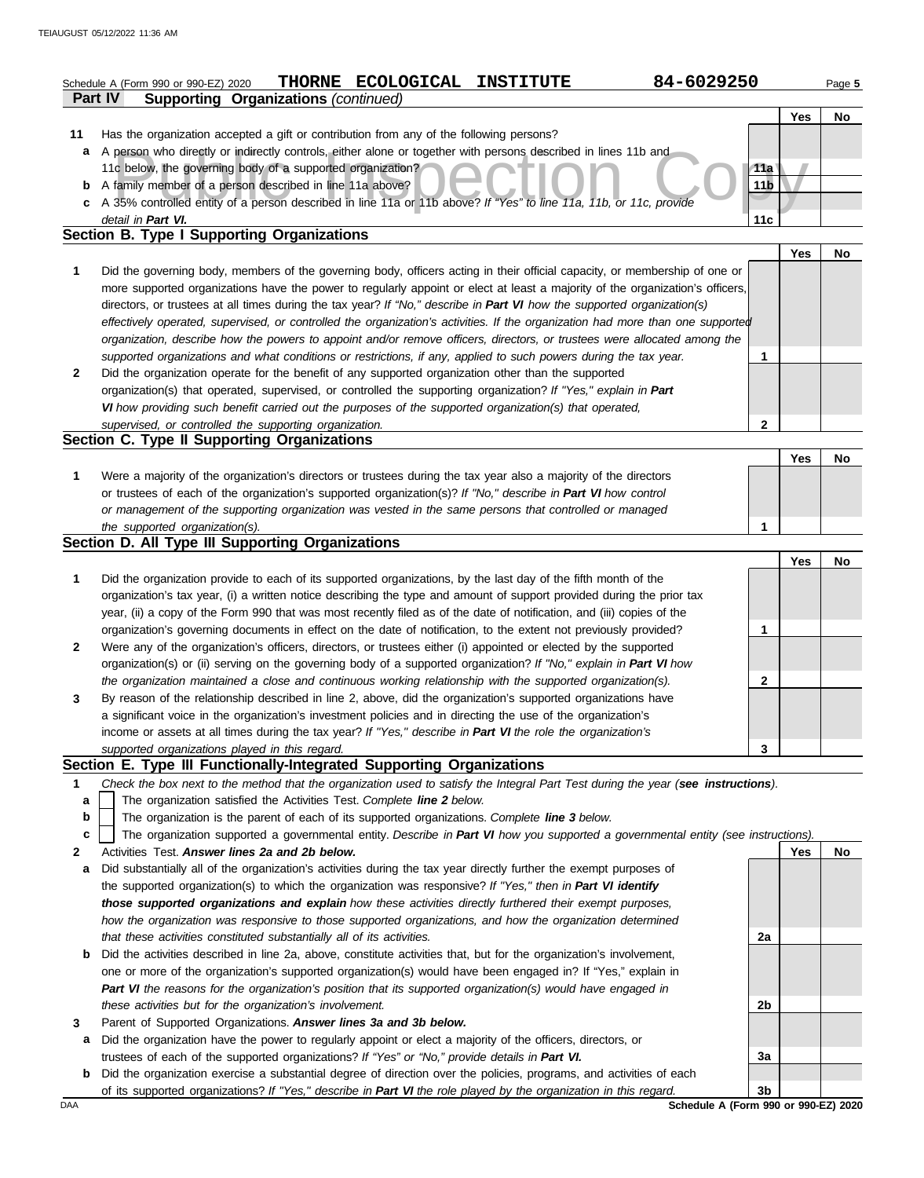|              | 84-6029250<br>THORNE ECOLOGICAL<br><b>INSTITUTE</b><br>Schedule A (Form 990 or 990-EZ) 2020<br><b>Supporting Organizations (continued)</b><br>Part IV |                 |     | Page 5    |
|--------------|-------------------------------------------------------------------------------------------------------------------------------------------------------|-----------------|-----|-----------|
|              |                                                                                                                                                       |                 | Yes | <b>No</b> |
| 11           | Has the organization accepted a gift or contribution from any of the following persons?                                                               |                 |     |           |
| a            | A person who directly or indirectly controls, either alone or together with persons described in lines 11b and                                        |                 |     |           |
|              | 11c below, the governing body of a supported organization?                                                                                            | 11a             |     |           |
| b            | A family member of a person described in line 11a above?                                                                                              | 11 <sub>b</sub> |     |           |
| C            | A 35% controlled entity of a person described in line 11a or 11b above? If "Yes" to line 11a, 11b, or 11c, provide                                    |                 |     |           |
|              | detail in Part VI.                                                                                                                                    | 11c             |     |           |
|              | Section B. Type I Supporting Organizations                                                                                                            |                 |     |           |
|              |                                                                                                                                                       |                 | Yes | <b>No</b> |
| 1            | Did the governing body, members of the governing body, officers acting in their official capacity, or membership of one or                            |                 |     |           |
|              | more supported organizations have the power to regularly appoint or elect at least a majority of the organization's officers,                         |                 |     |           |
|              | directors, or trustees at all times during the tax year? If "No," describe in Part VI how the supported organization(s)                               |                 |     |           |
|              | effectively operated, supervised, or controlled the organization's activities. If the organization had more than one supported                        |                 |     |           |
|              | organization, describe how the powers to appoint and/or remove officers, directors, or trustees were allocated among the                              |                 |     |           |
|              | supported organizations and what conditions or restrictions, if any, applied to such powers during the tax year.                                      | $\mathbf 1$     |     |           |
| 2            | Did the organization operate for the benefit of any supported organization other than the supported                                                   |                 |     |           |
|              | organization(s) that operated, supervised, or controlled the supporting organization? If "Yes," explain in Part                                       |                 |     |           |
|              | VI how providing such benefit carried out the purposes of the supported organization(s) that operated,                                                |                 |     |           |
|              | supervised, or controlled the supporting organization.                                                                                                | $\overline{2}$  |     |           |
|              | Section C. Type II Supporting Organizations                                                                                                           |                 |     |           |
|              |                                                                                                                                                       |                 | Yes | No        |
| 1            | Were a majority of the organization's directors or trustees during the tax year also a majority of the directors                                      |                 |     |           |
|              | or trustees of each of the organization's supported organization(s)? If "No," describe in Part VI how control                                         |                 |     |           |
|              | or management of the supporting organization was vested in the same persons that controlled or managed                                                |                 |     |           |
|              | the supported organization(s).                                                                                                                        | 1               |     |           |
|              | Section D. All Type III Supporting Organizations                                                                                                      |                 |     |           |
|              |                                                                                                                                                       |                 | Yes | No        |
| 1            | Did the organization provide to each of its supported organizations, by the last day of the fifth month of the                                        |                 |     |           |
|              | organization's tax year, (i) a written notice describing the type and amount of support provided during the prior tax                                 |                 |     |           |
|              | year, (ii) a copy of the Form 990 that was most recently filed as of the date of notification, and (iii) copies of the                                |                 |     |           |
|              | organization's governing documents in effect on the date of notification, to the extent not previously provided?                                      | 1               |     |           |
| $\mathbf{2}$ | Were any of the organization's officers, directors, or trustees either (i) appointed or elected by the supported                                      |                 |     |           |
|              |                                                                                                                                                       |                 |     |           |

| organization(s) or (ii) serving on the governing body of a supported organization? If "No," explain in Part VI how |
|--------------------------------------------------------------------------------------------------------------------|
| the organization maintained a close and continuous working relationship with the supported organization(s).        |
| By reason of the relationship described in line 2, above, did the organization's supported organizations have      |
| a significant voice in the organization's investment policies and in directing the use of the organization's       |
| income or assets at all times during the tax year? If "Yes," describe in Part VI the role the organization's       |

### *supported organizations played in this regard.* **Section E. Type III Functionally-Integrated Supporting Organizations**

- **1** *Check the box next to the method that the organization used to satisfy the Integral Part Test during the year (see instructions).*
	- The organization satisfied the Activities Test. *Complete line 2 below.* **a**
	- The organization is the parent of each of its supported organizations. *Complete line 3 below.* **b**
	- The organization supported a governmental entity. *Describe in Part VI how you supported a governmental entity (see instructions).* **c**
- **2** Activities Test. *Answer lines 2a and 2b below.*
- **a** Did substantially all of the organization's activities during the tax year directly further the exempt purposes of the supported organization(s) to which the organization was responsive? *If "Yes," then in Part VI identify those supported organizations and explain how these activities directly furthered their exempt purposes, how the organization was responsive to those supported organizations, and how the organization determined that these activities constituted substantially all of its activities.*
- **b** Did the activities described in line 2a, above, constitute activities that, but for the organization's involvement, one or more of the organization's supported organization(s) would have been engaged in? If "Yes," explain in *Part VI the reasons for the organization's position that its supported organization(s) would have engaged in these activities but for the organization's involvement.*
- **3** Parent of Supported Organizations. *Answer lines 3a and 3b below.*
	- **a** Did the organization have the power to regularly appoint or elect a majority of the officers, directors, or trustees of each of the supported organizations? *If "Yes" or "No," provide details in Part VI.*
- **b** Did the organization exercise a substantial degree of direction over the policies, programs, and activities of each of its supported organizations? *If "Yes," describe in Part VI the role played by the organization in this regard.*

**Yes No 2a 2b 3a 3b**

DAA **Schedule A (Form 990 or 990-EZ) 2020**

**2**

**3**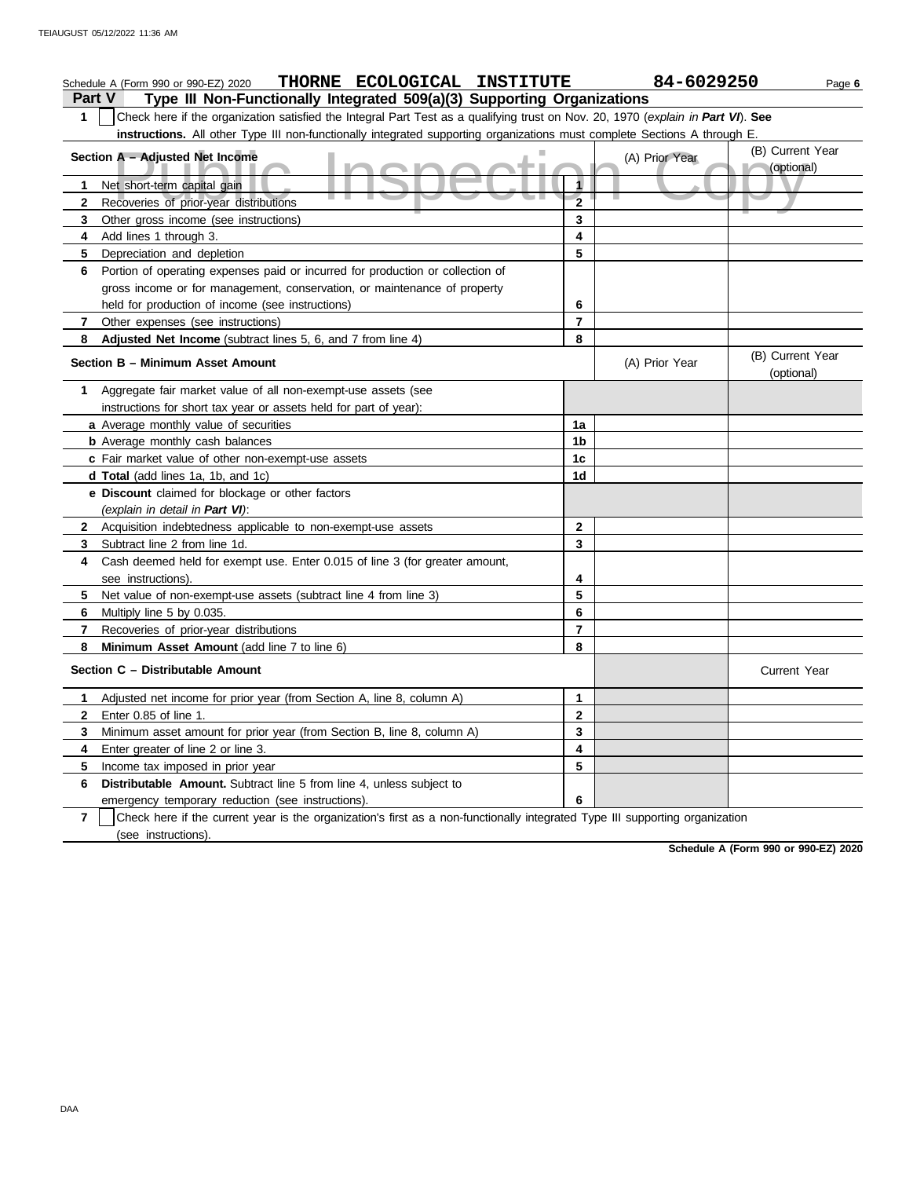|                | THORNE ECOLOGICAL INSTITUTE<br>Schedule A (Form 990 or 990-EZ) 2020                                                              |                | 84-6029250     |                                | Page 6 |  |  |  |
|----------------|----------------------------------------------------------------------------------------------------------------------------------|----------------|----------------|--------------------------------|--------|--|--|--|
|                | Type III Non-Functionally Integrated 509(a)(3) Supporting Organizations<br><b>Part V</b>                                         |                |                |                                |        |  |  |  |
| 1              | Check here if the organization satisfied the Integral Part Test as a qualifying trust on Nov. 20, 1970 (explain in Part VI). See |                |                |                                |        |  |  |  |
|                | instructions. All other Type III non-functionally integrated supporting organizations must complete Sections A through E.        |                |                |                                |        |  |  |  |
|                | Section A - Adjusted Net Income                                                                                                  |                | (A) Prior Year | (B) Current Year               |        |  |  |  |
|                |                                                                                                                                  |                |                | (optional)                     |        |  |  |  |
| 1              | Net short-term capital gain                                                                                                      | 1              |                |                                |        |  |  |  |
| $\mathbf{2}$   | Recoveries of prior-year distributions                                                                                           | $\overline{2}$ |                |                                |        |  |  |  |
| 3              | Other gross income (see instructions)                                                                                            | 3              |                |                                |        |  |  |  |
| 4              | Add lines 1 through 3.                                                                                                           | 4              |                |                                |        |  |  |  |
| 5              | Depreciation and depletion                                                                                                       | 5              |                |                                |        |  |  |  |
| 6              | Portion of operating expenses paid or incurred for production or collection of                                                   |                |                |                                |        |  |  |  |
|                | gross income or for management, conservation, or maintenance of property                                                         |                |                |                                |        |  |  |  |
|                | held for production of income (see instructions)                                                                                 | 6              |                |                                |        |  |  |  |
| 7              | Other expenses (see instructions)                                                                                                | 7              |                |                                |        |  |  |  |
| 8              | Adjusted Net Income (subtract lines 5, 6, and 7 from line 4)                                                                     | 8              |                |                                |        |  |  |  |
|                | Section B - Minimum Asset Amount                                                                                                 |                | (A) Prior Year | (B) Current Year<br>(optional) |        |  |  |  |
| 1              | Aggregate fair market value of all non-exempt-use assets (see                                                                    |                |                |                                |        |  |  |  |
|                | instructions for short tax year or assets held for part of year):                                                                |                |                |                                |        |  |  |  |
|                | a Average monthly value of securities                                                                                            | 1a             |                |                                |        |  |  |  |
|                | <b>b</b> Average monthly cash balances                                                                                           | 1b             |                |                                |        |  |  |  |
|                | c Fair market value of other non-exempt-use assets                                                                               | 1c             |                |                                |        |  |  |  |
|                | d Total (add lines 1a, 1b, and 1c)                                                                                               | 1d             |                |                                |        |  |  |  |
|                | e Discount claimed for blockage or other factors                                                                                 |                |                |                                |        |  |  |  |
|                | (explain in detail in Part VI):                                                                                                  |                |                |                                |        |  |  |  |
| $\mathbf{2}$   | Acquisition indebtedness applicable to non-exempt-use assets                                                                     | $\mathbf{2}$   |                |                                |        |  |  |  |
| 3              | Subtract line 2 from line 1d.                                                                                                    | 3              |                |                                |        |  |  |  |
| 4              | Cash deemed held for exempt use. Enter 0.015 of line 3 (for greater amount,                                                      |                |                |                                |        |  |  |  |
|                | see instructions).                                                                                                               | 4              |                |                                |        |  |  |  |
| 5.             | Net value of non-exempt-use assets (subtract line 4 from line 3)                                                                 | 5              |                |                                |        |  |  |  |
| 6              | Multiply line 5 by 0.035.                                                                                                        | 6              |                |                                |        |  |  |  |
| $\overline{7}$ | Recoveries of prior-year distributions                                                                                           | $\overline{7}$ |                |                                |        |  |  |  |
| 8              | Minimum Asset Amount (add line 7 to line 6)                                                                                      | 8              |                |                                |        |  |  |  |
|                | Section C - Distributable Amount                                                                                                 |                |                | <b>Current Year</b>            |        |  |  |  |
| 1              | Adjusted net income for prior year (from Section A, line 8, column A)                                                            | 1              |                |                                |        |  |  |  |
| 2              | Enter 0.85 of line 1.                                                                                                            | 2              |                |                                |        |  |  |  |
| 3              | Minimum asset amount for prior year (from Section B, line 8, column A)                                                           | 3              |                |                                |        |  |  |  |
| 4              | Enter greater of line 2 or line 3.                                                                                               | 4              |                |                                |        |  |  |  |
| 5              | Income tax imposed in prior year                                                                                                 | 5              |                |                                |        |  |  |  |
| 6              | Distributable Amount. Subtract line 5 from line 4, unless subject to                                                             |                |                |                                |        |  |  |  |
|                | emergency temporary reduction (see instructions).                                                                                | 6              |                |                                |        |  |  |  |
| $\overline{7}$ | Check here if the current year is the organization's first as a non-functionally integrated Type III supporting organization     |                |                |                                |        |  |  |  |
|                | (see instructions).                                                                                                              |                |                |                                |        |  |  |  |

**Schedule A (Form 990 or 990-EZ) 2020**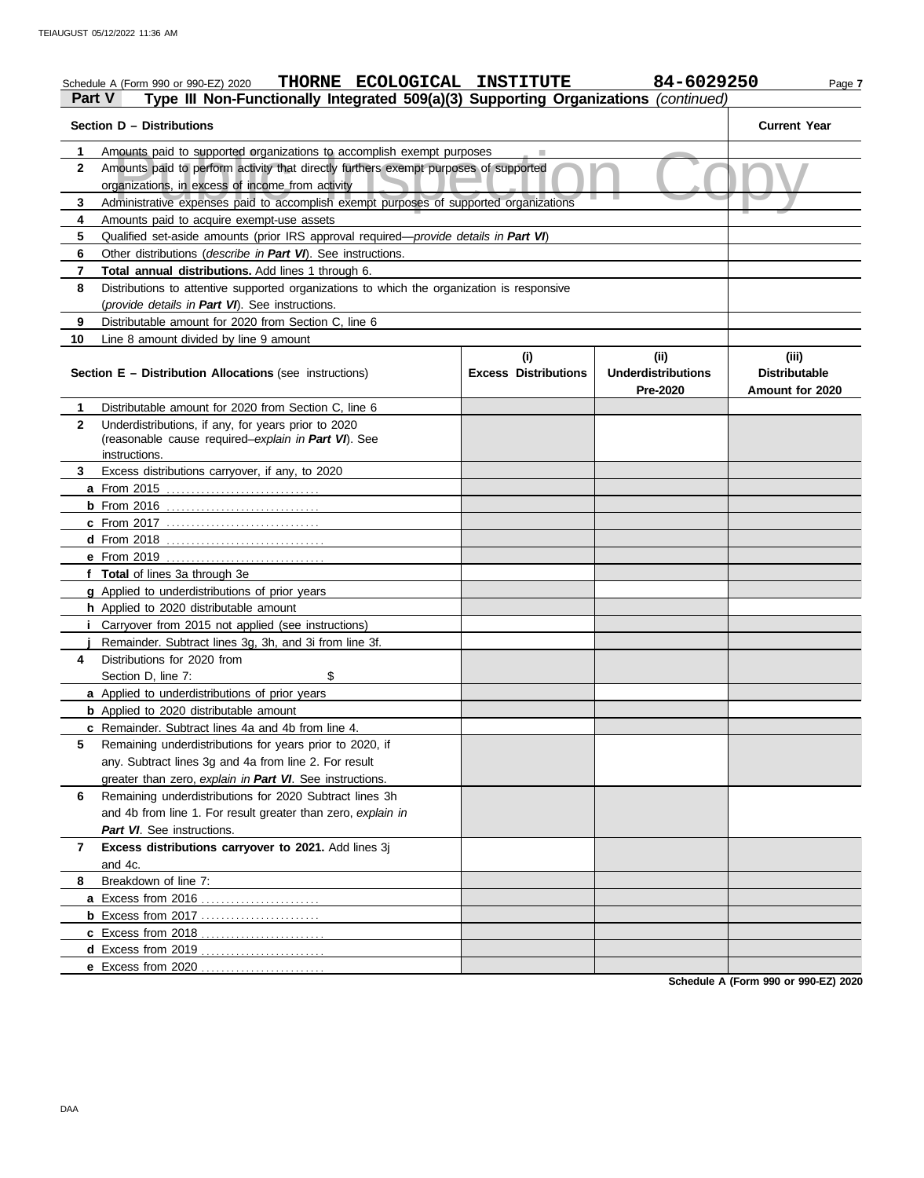| Part V       | THORNE ECOLOGICAL INSTITUTE<br>Schedule A (Form 990 or 990-EZ) 2020<br>Type III Non-Functionally Integrated 509(a)(3) Supporting Organizations (continued) |                             | 84-6029250                     | Page 7                                  |  |  |  |  |  |
|--------------|------------------------------------------------------------------------------------------------------------------------------------------------------------|-----------------------------|--------------------------------|-----------------------------------------|--|--|--|--|--|
|              | Section D - Distributions                                                                                                                                  |                             |                                | <b>Current Year</b>                     |  |  |  |  |  |
| 1            | Amounts paid to supported organizations to accomplish exempt purposes                                                                                      |                             |                                |                                         |  |  |  |  |  |
| $\mathbf{2}$ | Amounts paid to perform activity that directly furthers exempt purposes of supported<br>organizations, in excess of income from activity                   |                             |                                |                                         |  |  |  |  |  |
| 3            | Administrative expenses paid to accomplish exempt purposes of supported organizations                                                                      |                             |                                |                                         |  |  |  |  |  |
| 4            | Amounts paid to acquire exempt-use assets                                                                                                                  |                             |                                |                                         |  |  |  |  |  |
| 5            | Qualified set-aside amounts (prior IRS approval required-provide details in Part VI)                                                                       |                             |                                |                                         |  |  |  |  |  |
| 6            | Other distributions (describe in Part VI). See instructions.                                                                                               |                             |                                |                                         |  |  |  |  |  |
| 7            | <b>Total annual distributions.</b> Add lines 1 through 6.                                                                                                  |                             |                                |                                         |  |  |  |  |  |
| 8            | Distributions to attentive supported organizations to which the organization is responsive                                                                 |                             |                                |                                         |  |  |  |  |  |
|              | (provide details in Part VI). See instructions.                                                                                                            |                             |                                |                                         |  |  |  |  |  |
| 9            | Distributable amount for 2020 from Section C, line 6                                                                                                       |                             |                                |                                         |  |  |  |  |  |
| 10           | Line 8 amount divided by line 9 amount                                                                                                                     |                             |                                |                                         |  |  |  |  |  |
|              |                                                                                                                                                            | (i)                         | (i)                            | (iii)                                   |  |  |  |  |  |
|              | <b>Section E - Distribution Allocations (see instructions)</b>                                                                                             | <b>Excess Distributions</b> | Underdistributions<br>Pre-2020 | <b>Distributable</b><br>Amount for 2020 |  |  |  |  |  |
| 1            | Distributable amount for 2020 from Section C, line 6                                                                                                       |                             |                                |                                         |  |  |  |  |  |
| $\mathbf{2}$ | Underdistributions, if any, for years prior to 2020                                                                                                        |                             |                                |                                         |  |  |  |  |  |
|              | (reasonable cause required-explain in Part VI). See                                                                                                        |                             |                                |                                         |  |  |  |  |  |
|              | instructions.                                                                                                                                              |                             |                                |                                         |  |  |  |  |  |
| 3            | Excess distributions carryover, if any, to 2020                                                                                                            |                             |                                |                                         |  |  |  |  |  |
|              |                                                                                                                                                            |                             |                                |                                         |  |  |  |  |  |
|              |                                                                                                                                                            |                             |                                |                                         |  |  |  |  |  |
|              | <b>c</b> From 2017                                                                                                                                         |                             |                                |                                         |  |  |  |  |  |
|              |                                                                                                                                                            |                             |                                |                                         |  |  |  |  |  |
|              | e From 2019                                                                                                                                                |                             |                                |                                         |  |  |  |  |  |
|              | f Total of lines 3a through 3e                                                                                                                             |                             |                                |                                         |  |  |  |  |  |
|              | g Applied to underdistributions of prior years                                                                                                             |                             |                                |                                         |  |  |  |  |  |
|              | h Applied to 2020 distributable amount                                                                                                                     |                             |                                |                                         |  |  |  |  |  |
|              | Carryover from 2015 not applied (see instructions)<br>Remainder. Subtract lines 3g, 3h, and 3i from line 3f.                                               |                             |                                |                                         |  |  |  |  |  |
| 4            | Distributions for 2020 from                                                                                                                                |                             |                                |                                         |  |  |  |  |  |
|              | \$<br>Section D, line 7:                                                                                                                                   |                             |                                |                                         |  |  |  |  |  |
|              | a Applied to underdistributions of prior years                                                                                                             |                             |                                |                                         |  |  |  |  |  |
|              | <b>b</b> Applied to 2020 distributable amount                                                                                                              |                             |                                |                                         |  |  |  |  |  |
|              | c Remainder. Subtract lines 4a and 4b from line 4.                                                                                                         |                             |                                |                                         |  |  |  |  |  |
| 5            | Remaining underdistributions for years prior to 2020, if                                                                                                   |                             |                                |                                         |  |  |  |  |  |
|              | any. Subtract lines 3g and 4a from line 2. For result                                                                                                      |                             |                                |                                         |  |  |  |  |  |
|              | greater than zero, explain in Part VI. See instructions.                                                                                                   |                             |                                |                                         |  |  |  |  |  |
| 6            | Remaining underdistributions for 2020 Subtract lines 3h                                                                                                    |                             |                                |                                         |  |  |  |  |  |
|              | and 4b from line 1. For result greater than zero, explain in                                                                                               |                             |                                |                                         |  |  |  |  |  |
|              | Part VI. See instructions.                                                                                                                                 |                             |                                |                                         |  |  |  |  |  |
| 7            | Excess distributions carryover to 2021. Add lines 3j                                                                                                       |                             |                                |                                         |  |  |  |  |  |
|              | and 4c.                                                                                                                                                    |                             |                                |                                         |  |  |  |  |  |
| 8            | Breakdown of line 7:                                                                                                                                       |                             |                                |                                         |  |  |  |  |  |
|              | a Excess from 2016                                                                                                                                         |                             |                                |                                         |  |  |  |  |  |
|              | <b>b</b> Excess from 2017                                                                                                                                  |                             |                                |                                         |  |  |  |  |  |
|              | c Excess from 2018                                                                                                                                         |                             |                                |                                         |  |  |  |  |  |
|              | d Excess from 2019                                                                                                                                         |                             |                                |                                         |  |  |  |  |  |
|              | e Excess from 2020                                                                                                                                         |                             |                                |                                         |  |  |  |  |  |
|              |                                                                                                                                                            |                             |                                |                                         |  |  |  |  |  |

**Schedule A (Form 990 or 990-EZ) 2020**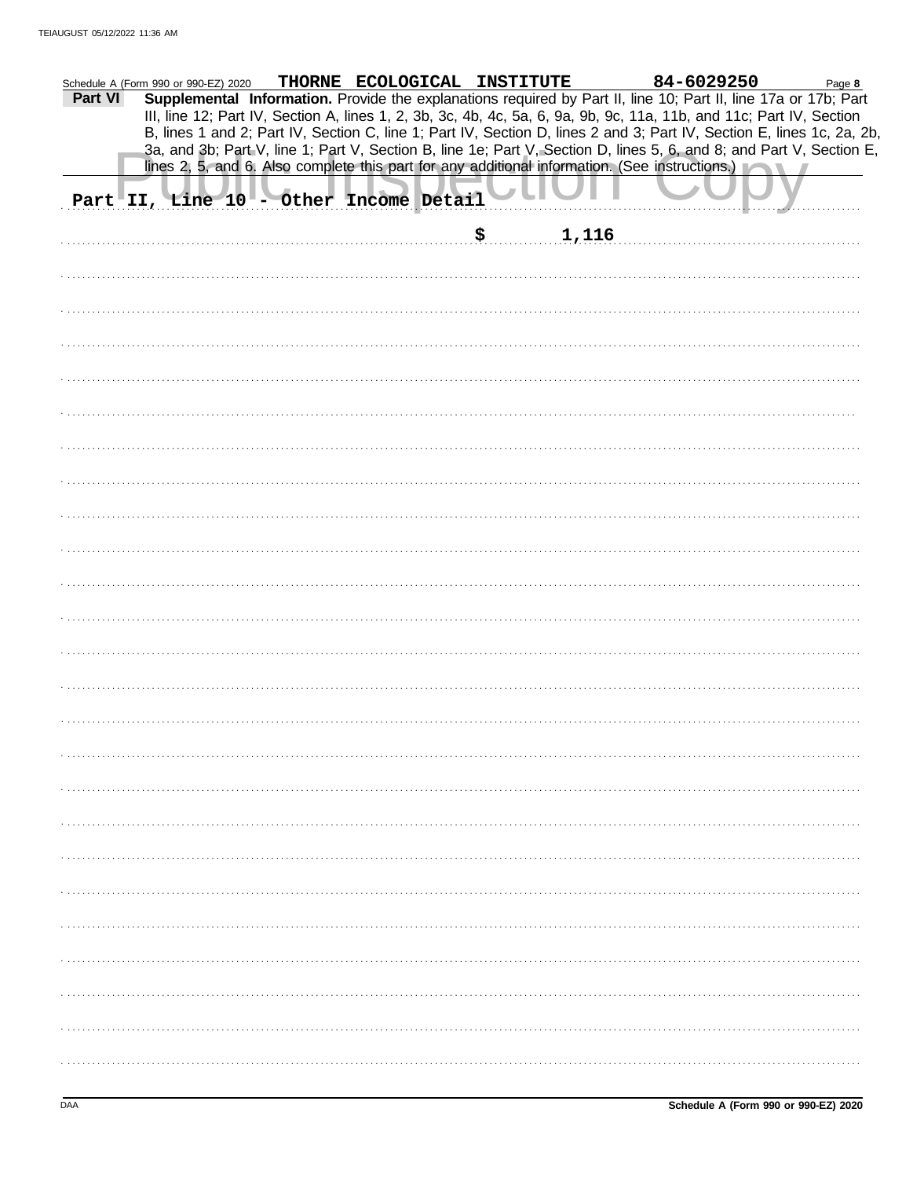|         | Schedule A (Form 990 or 990-EZ) 2020 | THORNE ECOLOGICAL INSTITUTE            | 84-6029250                                                                                                                                                                                                                                     | Page 8 |
|---------|--------------------------------------|----------------------------------------|------------------------------------------------------------------------------------------------------------------------------------------------------------------------------------------------------------------------------------------------|--------|
| Part VI |                                      |                                        | Supplemental Information. Provide the explanations required by Part II, line 10; Part II, line 17a or 17b; Part<br>III, line 12; Part IV, Section A, lines 1, 2, 3b, 3c, 4b, 4c, 5a, 6, 9a, 9b, 9c, 11a, 11b, and 11c; Part IV, Section        |        |
|         |                                      |                                        | B, lines 1 and 2; Part IV, Section C, line 1; Part IV, Section D, lines 2 and 3; Part IV, Section E, lines 1c, 2a, 2b,<br>3a, and 3b; Part V, line 1; Part V, Section B, line 1e; Part V, Section D, lines 5, 6, and 8; and Part V, Section E, |        |
|         |                                      |                                        | lines 2, 5, and 6. Also complete this part for any additional information. (See instructions.)                                                                                                                                                 |        |
|         |                                      | Part II, Line 10 - Other Income Detail |                                                                                                                                                                                                                                                |        |
|         |                                      |                                        | 1,116                                                                                                                                                                                                                                          |        |
|         |                                      |                                        |                                                                                                                                                                                                                                                |        |
|         |                                      |                                        |                                                                                                                                                                                                                                                |        |
|         |                                      |                                        |                                                                                                                                                                                                                                                |        |
|         |                                      |                                        |                                                                                                                                                                                                                                                |        |
|         |                                      |                                        |                                                                                                                                                                                                                                                |        |
|         |                                      |                                        |                                                                                                                                                                                                                                                |        |
|         |                                      |                                        |                                                                                                                                                                                                                                                |        |
|         |                                      |                                        |                                                                                                                                                                                                                                                |        |
|         |                                      |                                        |                                                                                                                                                                                                                                                |        |
|         |                                      |                                        |                                                                                                                                                                                                                                                |        |
|         |                                      |                                        |                                                                                                                                                                                                                                                |        |
|         |                                      |                                        |                                                                                                                                                                                                                                                |        |
|         |                                      |                                        |                                                                                                                                                                                                                                                |        |
|         |                                      |                                        |                                                                                                                                                                                                                                                |        |
|         |                                      |                                        |                                                                                                                                                                                                                                                |        |
|         |                                      |                                        |                                                                                                                                                                                                                                                |        |
|         |                                      |                                        |                                                                                                                                                                                                                                                |        |
|         |                                      |                                        |                                                                                                                                                                                                                                                |        |
|         |                                      |                                        |                                                                                                                                                                                                                                                |        |
|         |                                      |                                        |                                                                                                                                                                                                                                                |        |
|         |                                      |                                        |                                                                                                                                                                                                                                                |        |
|         |                                      |                                        |                                                                                                                                                                                                                                                |        |
|         |                                      |                                        |                                                                                                                                                                                                                                                |        |
|         |                                      |                                        |                                                                                                                                                                                                                                                |        |
|         |                                      |                                        |                                                                                                                                                                                                                                                |        |
|         |                                      |                                        |                                                                                                                                                                                                                                                |        |
|         |                                      |                                        |                                                                                                                                                                                                                                                |        |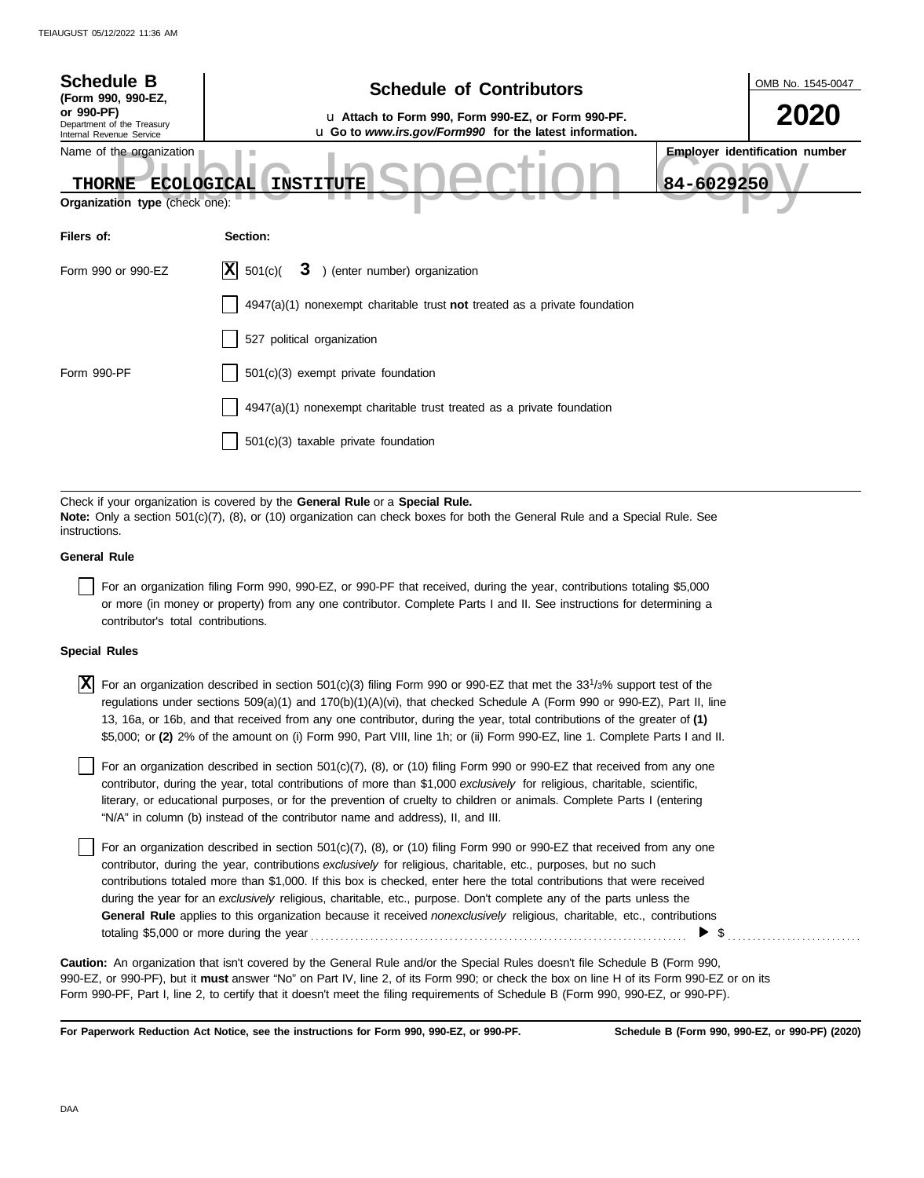| <b>Schedule B</b><br>(Form 990, 990-EZ,                                                          | <b>Schedule of Contributors</b>                                                                                                                                                                             |            | OMB No. 1545-0047                     |
|--------------------------------------------------------------------------------------------------|-------------------------------------------------------------------------------------------------------------------------------------------------------------------------------------------------------------|------------|---------------------------------------|
| or 990-PF)<br>Department of the Treasury<br>Internal Revenue Service                             | u Attach to Form 990, Form 990-EZ, or Form 990-PF.<br>u Go to www.irs.gov/Form990 for the latest information.                                                                                               |            | 2020                                  |
| Name of the organization<br><b>ECOLOGICAL</b><br><b>THORNE</b><br>Organization type (check one): | <b>INSTITUTE</b>                                                                                                                                                                                            | 84-6029250 | <b>Employer identification number</b> |
| Filers of:                                                                                       | Section:                                                                                                                                                                                                    |            |                                       |
| Form 990 or 990-EZ                                                                               | X <br>501(c)<br>3 ) (enter number) organization                                                                                                                                                             |            |                                       |
|                                                                                                  | $4947(a)(1)$ nonexempt charitable trust <b>not</b> treated as a private foundation                                                                                                                          |            |                                       |
|                                                                                                  | 527 political organization                                                                                                                                                                                  |            |                                       |
| Form 990-PF                                                                                      | 501(c)(3) exempt private foundation                                                                                                                                                                         |            |                                       |
|                                                                                                  | $4947(a)(1)$ nonexempt charitable trust treated as a private foundation                                                                                                                                     |            |                                       |
|                                                                                                  | 501(c)(3) taxable private foundation                                                                                                                                                                        |            |                                       |
|                                                                                                  |                                                                                                                                                                                                             |            |                                       |
| instructions                                                                                     | Check if your organization is covered by the General Rule or a Special Rule.<br>Note: Only a section 501(c)(7), (8), or (10) organization can check boxes for both the General Rule and a Special Rule. See |            |                                       |

### **General Rule**

For an organization filing Form 990, 990-EZ, or 990-PF that received, during the year, contributions totaling \$5,000 or more (in money or property) from any one contributor. Complete Parts I and II. See instructions for determining a contributor's total contributions.

### **Special Rules**

 $\overline{X}$  For an organization described in section 501(c)(3) filing Form 990 or 990-EZ that met the 33<sup>1</sup>/3% support test of the regulations under sections 509(a)(1) and 170(b)(1)(A)(vi), that checked Schedule A (Form 990 or 990-EZ), Part II, line 13, 16a, or 16b, and that received from any one contributor, during the year, total contributions of the greater of **(1)** \$5,000; or **(2)** 2% of the amount on (i) Form 990, Part VIII, line 1h; or (ii) Form 990-EZ, line 1. Complete Parts I and II.

literary, or educational purposes, or for the prevention of cruelty to children or animals. Complete Parts I (entering For an organization described in section 501(c)(7), (8), or (10) filing Form 990 or 990-EZ that received from any one contributor, during the year, total contributions of more than \$1,000 *exclusively* for religious, charitable, scientific, "N/A" in column (b) instead of the contributor name and address), II, and III.

For an organization described in section 501(c)(7), (8), or (10) filing Form 990 or 990-EZ that received from any one contributor, during the year, contributions *exclusively* for religious, charitable, etc., purposes, but no such contributions totaled more than \$1,000. If this box is checked, enter here the total contributions that were received during the year for an *exclusively* religious, charitable, etc., purpose. Don't complete any of the parts unless the **General Rule** applies to this organization because it received *nonexclusively* religious, charitable, etc., contributions totaling \$5,000 or more during the year . . . . . . . . . . . . . . . . . . . . . . . . . . . . . . . . . . . . . . . . . . . . . . . . . . . . . . . . . . . . . . . . . . . . . . . . . . . . \$ . . . . . . . . . . . . . . . . . . . . . . . . . . .

990-EZ, or 990-PF), but it **must** answer "No" on Part IV, line 2, of its Form 990; or check the box on line H of its Form 990-EZ or on its Form 990-PF, Part I, line 2, to certify that it doesn't meet the filing requirements of Schedule B (Form 990, 990-EZ, or 990-PF). **Caution:** An organization that isn't covered by the General Rule and/or the Special Rules doesn't file Schedule B (Form 990,

**For Paperwork Reduction Act Notice, see the instructions for Form 990, 990-EZ, or 990-PF.**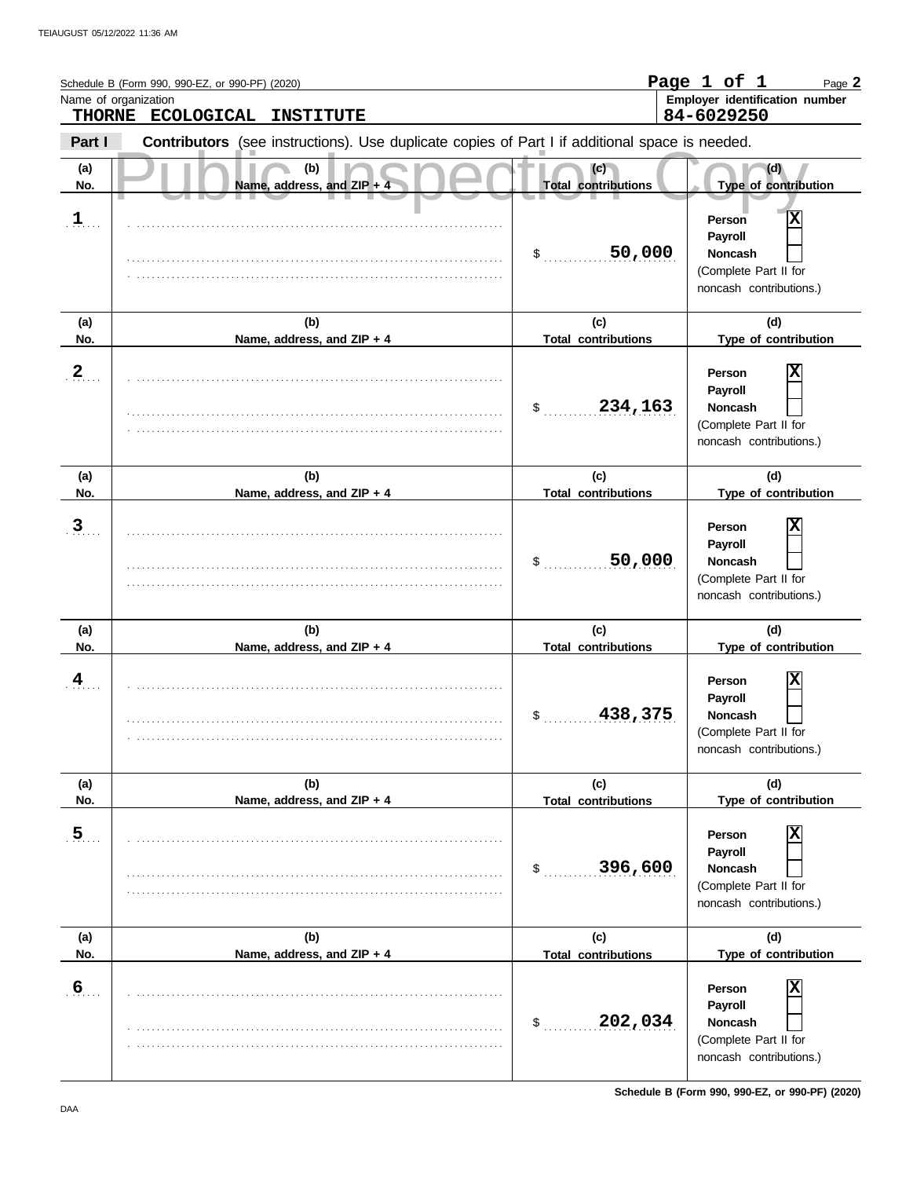|                  | Schedule B (Form 990, 990-EZ, or 990-PF) (2020)<br>Name of organization<br>THORNE ECOLOGICAL<br><b>INSTITUTE</b> |                                   | Page 1 of 1<br>Page 2<br>Employer identification number<br>84-6029250                                              |
|------------------|------------------------------------------------------------------------------------------------------------------|-----------------------------------|--------------------------------------------------------------------------------------------------------------------|
| Part I           | Contributors (see instructions). Use duplicate copies of Part I if additional space is needed.                   |                                   |                                                                                                                    |
| (a)<br>No.       | (b)<br>Name, address, and ZIP + 4                                                                                | (c)<br><b>Total contributions</b> | (d)<br>Type of contribution                                                                                        |
| 1                |                                                                                                                  | 50,000<br>\$                      | $\overline{\mathbf{x}}$<br>Person<br>Payroll<br><b>Noncash</b><br>(Complete Part II for<br>noncash contributions.) |
| (a)<br>No.       | (b)<br>Name, address, and ZIP + 4                                                                                | (c)<br><b>Total contributions</b> | (d)<br>Type of contribution                                                                                        |
| $\mathbf 2$      |                                                                                                                  | 234,163<br>\$                     | Х<br>Person<br>Payroll<br><b>Noncash</b><br>(Complete Part II for<br>noncash contributions.)                       |
| (a)<br>No.       | (b)<br>Name, address, and ZIP + 4                                                                                | (c)<br><b>Total contributions</b> | (d)<br>Type of contribution                                                                                        |
| 3                |                                                                                                                  | 50,000<br>\$                      | Х<br>Person<br>Payroll<br><b>Noncash</b><br>(Complete Part II for<br>noncash contributions.)                       |
| (a)<br>No.       | (b)<br>Name, address, and ZIP + 4                                                                                | (c)<br><b>Total contributions</b> | (d)<br>Type of contribution                                                                                        |
| 4                |                                                                                                                  | \$<br>438,375                     | Χ<br>Person<br>Payroll<br>Noncash<br>(Complete Part II for<br>noncash contributions.)                              |
| (a)<br>No.       | (b)<br>Name, address, and ZIP + 4                                                                                | (c)<br><b>Total contributions</b> | (d)<br>Type of contribution                                                                                        |
| $\overline{5}$   |                                                                                                                  | 396,600<br>$\mathsf{\$}$          | X<br>Person<br>Payroll<br><b>Noncash</b><br>(Complete Part II for<br>noncash contributions.)                       |
| (a)<br>No.       | (b)<br>Name, address, and ZIP + 4                                                                                | (c)<br><b>Total contributions</b> | (d)<br>Type of contribution                                                                                        |
| $6 \overline{6}$ |                                                                                                                  | 202,034<br>\$                     | Χ<br>Person<br>Payroll<br><b>Noncash</b><br>(Complete Part II for<br>noncash contributions.)                       |

**Schedule B (Form 990, 990-EZ, or 990-PF) (2020)**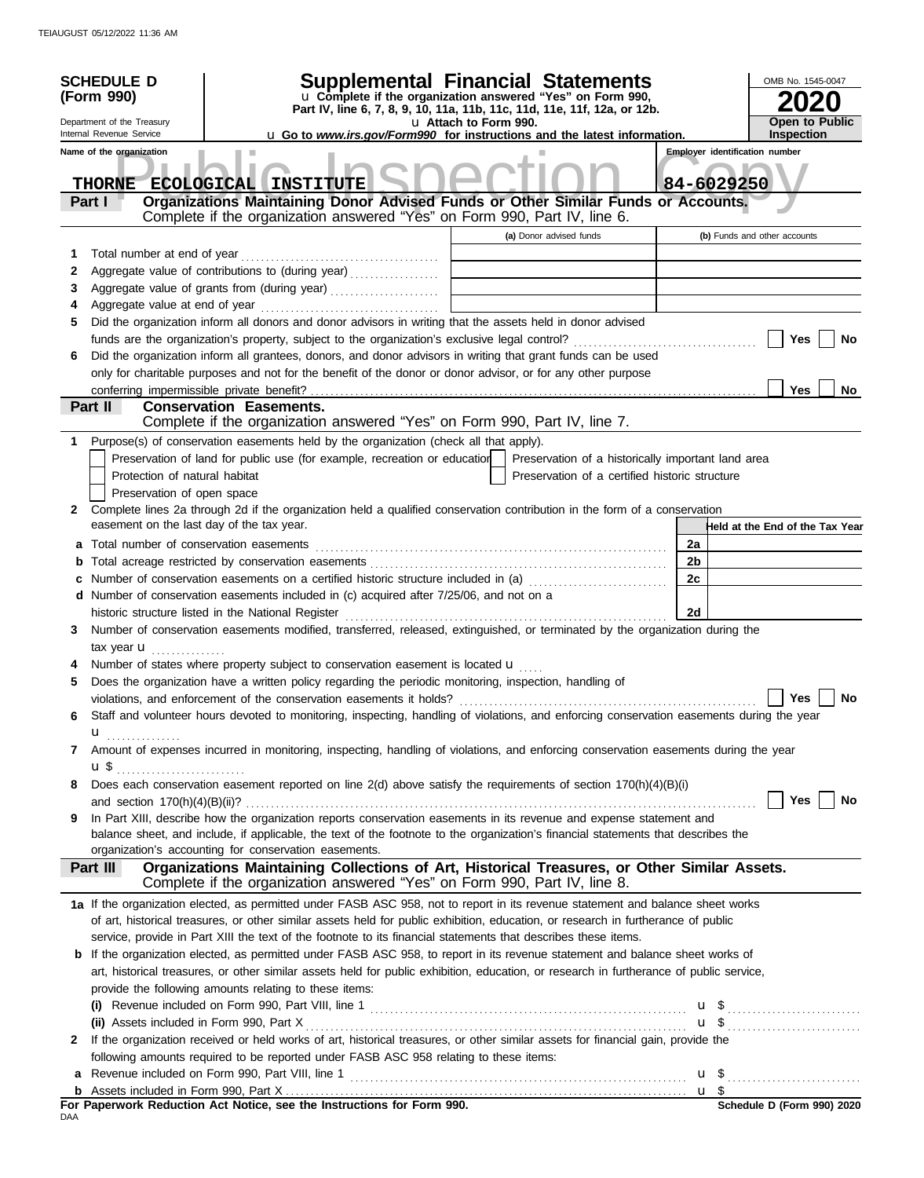|              | <b>SCHEDULE D</b><br>(Form 990)<br>Department of the Treasury<br>Internal Revenue Service<br>Name of the organization | Supplemental Financial Statements<br>u Complete if the organization answered "Yes" on Form 990,<br>Part IV, line 6, 7, 8, 9, 10, 11a, 11b, 11c, 11d, 11e, 11f, 12a, or 12b.<br><b>u</b> Go to <i>www.irs.gov/Form990</i> for instructions and the latest information.                                             | u Attach to Form 990. |                                                                                                      |                 | OMB No. 1545-0047<br><b>Open to Public</b><br><b>Inspection</b><br><b>Employer identification number</b> |
|--------------|-----------------------------------------------------------------------------------------------------------------------|-------------------------------------------------------------------------------------------------------------------------------------------------------------------------------------------------------------------------------------------------------------------------------------------------------------------|-----------------------|------------------------------------------------------------------------------------------------------|-----------------|----------------------------------------------------------------------------------------------------------|
|              | <b>THORNE</b><br>Part I                                                                                               | ECOLOGICAL INSTITUTE<br>Organizations Maintaining Donor Advised Funds or Other Similar Funds or Accounts.<br>Complete if the organization answered "Yes" on Form 990, Part IV, line 6.                                                                                                                            |                       |                                                                                                      |                 | 84-6029250                                                                                               |
|              |                                                                                                                       |                                                                                                                                                                                                                                                                                                                   |                       | (a) Donor advised funds                                                                              |                 | (b) Funds and other accounts                                                                             |
| 1            |                                                                                                                       |                                                                                                                                                                                                                                                                                                                   |                       |                                                                                                      |                 |                                                                                                          |
| 2<br>3       |                                                                                                                       | Aggregate value of contributions to (during year)                                                                                                                                                                                                                                                                 |                       |                                                                                                      |                 |                                                                                                          |
| 4            |                                                                                                                       |                                                                                                                                                                                                                                                                                                                   |                       |                                                                                                      |                 |                                                                                                          |
| 5            |                                                                                                                       | Did the organization inform all donors and donor advisors in writing that the assets held in donor advised                                                                                                                                                                                                        |                       |                                                                                                      |                 |                                                                                                          |
|              |                                                                                                                       |                                                                                                                                                                                                                                                                                                                   |                       |                                                                                                      |                 | No<br>Yes                                                                                                |
| 6            |                                                                                                                       | Did the organization inform all grantees, donors, and donor advisors in writing that grant funds can be used                                                                                                                                                                                                      |                       |                                                                                                      |                 |                                                                                                          |
|              |                                                                                                                       | only for charitable purposes and not for the benefit of the donor or donor advisor, or for any other purpose                                                                                                                                                                                                      |                       |                                                                                                      |                 |                                                                                                          |
|              |                                                                                                                       |                                                                                                                                                                                                                                                                                                                   |                       |                                                                                                      |                 | <b>Yes</b><br>No                                                                                         |
|              | Part II                                                                                                               | <b>Conservation Easements.</b>                                                                                                                                                                                                                                                                                    |                       |                                                                                                      |                 |                                                                                                          |
|              |                                                                                                                       | Complete if the organization answered "Yes" on Form 990, Part IV, line 7.                                                                                                                                                                                                                                         |                       |                                                                                                      |                 |                                                                                                          |
| 1            | Protection of natural habitat<br>Preservation of open space                                                           | Purpose(s) of conservation easements held by the organization (check all that apply).<br>Preservation of land for public use (for example, recreation or education                                                                                                                                                |                       | Preservation of a historically important land area<br>Preservation of a certified historic structure |                 |                                                                                                          |
| 2            |                                                                                                                       | Complete lines 2a through 2d if the organization held a qualified conservation contribution in the form of a conservation<br>easement on the last day of the tax year.                                                                                                                                            |                       |                                                                                                      |                 | Held at the End of the Tax Year                                                                          |
| a            |                                                                                                                       | Total number of conservation easements                                                                                                                                                                                                                                                                            |                       |                                                                                                      | 2a              |                                                                                                          |
| b            |                                                                                                                       |                                                                                                                                                                                                                                                                                                                   |                       |                                                                                                      | 2b              |                                                                                                          |
| c            |                                                                                                                       | Number of conservation easements on a certified historic structure included in (a)                                                                                                                                                                                                                                |                       |                                                                                                      | 2c              |                                                                                                          |
|              |                                                                                                                       | d Number of conservation easements included in (c) acquired after 7/25/06, and not on a                                                                                                                                                                                                                           |                       |                                                                                                      |                 |                                                                                                          |
|              |                                                                                                                       | historic structure listed in the National Register                                                                                                                                                                                                                                                                |                       |                                                                                                      | 2d              |                                                                                                          |
| 3            |                                                                                                                       | Number of conservation easements modified, transferred, released, extinguished, or terminated by the organization during the                                                                                                                                                                                      |                       |                                                                                                      |                 |                                                                                                          |
|              | tax year $\mathbf u$                                                                                                  |                                                                                                                                                                                                                                                                                                                   |                       |                                                                                                      |                 |                                                                                                          |
|              |                                                                                                                       | Number of states where property subject to conservation easement is located $\mathbf u$                                                                                                                                                                                                                           |                       |                                                                                                      |                 |                                                                                                          |
| 5            |                                                                                                                       | Does the organization have a written policy regarding the periodic monitoring, inspection, handling of                                                                                                                                                                                                            |                       |                                                                                                      |                 |                                                                                                          |
|              |                                                                                                                       | violations, and enforcement of the conservation easements it holds?                                                                                                                                                                                                                                               |                       |                                                                                                      |                 | Yes<br>No                                                                                                |
| 6            |                                                                                                                       | Staff and volunteer hours devoted to monitoring, inspecting, handling of violations, and enforcing conservation easements during the year                                                                                                                                                                         |                       |                                                                                                      |                 |                                                                                                          |
| 7            | u <sub></sub>                                                                                                         | Amount of expenses incurred in monitoring, inspecting, handling of violations, and enforcing conservation easements during the year                                                                                                                                                                               |                       |                                                                                                      |                 |                                                                                                          |
| 8            |                                                                                                                       | Does each conservation easement reported on line 2(d) above satisfy the requirements of section 170(h)(4)(B)(i)                                                                                                                                                                                                   |                       |                                                                                                      |                 | Yes<br>No                                                                                                |
| 9            |                                                                                                                       | In Part XIII, describe how the organization reports conservation easements in its revenue and expense statement and<br>balance sheet, and include, if applicable, the text of the footnote to the organization's financial statements that describes the<br>organization's accounting for conservation easements. |                       |                                                                                                      |                 |                                                                                                          |
|              | Part III                                                                                                              | Organizations Maintaining Collections of Art, Historical Treasures, or Other Similar Assets.<br>Complete if the organization answered "Yes" on Form 990, Part IV, line 8.                                                                                                                                         |                       |                                                                                                      |                 |                                                                                                          |
|              |                                                                                                                       | 1a If the organization elected, as permitted under FASB ASC 958, not to report in its revenue statement and balance sheet works<br>of art, historical treasures, or other similar assets held for public exhibition, education, or research in furtherance of public                                              |                       |                                                                                                      |                 |                                                                                                          |
|              |                                                                                                                       | service, provide in Part XIII the text of the footnote to its financial statements that describes these items.                                                                                                                                                                                                    |                       |                                                                                                      |                 |                                                                                                          |
|              |                                                                                                                       | <b>b</b> If the organization elected, as permitted under FASB ASC 958, to report in its revenue statement and balance sheet works of                                                                                                                                                                              |                       |                                                                                                      |                 |                                                                                                          |
|              |                                                                                                                       | art, historical treasures, or other similar assets held for public exhibition, education, or research in furtherance of public service,                                                                                                                                                                           |                       |                                                                                                      |                 |                                                                                                          |
|              |                                                                                                                       | provide the following amounts relating to these items:                                                                                                                                                                                                                                                            |                       |                                                                                                      |                 |                                                                                                          |
|              |                                                                                                                       |                                                                                                                                                                                                                                                                                                                   |                       |                                                                                                      |                 | $\mathbf{u}$ \$                                                                                          |
|              |                                                                                                                       |                                                                                                                                                                                                                                                                                                                   |                       |                                                                                                      |                 | $u \$                                                                                                    |
| $\mathbf{2}$ |                                                                                                                       | If the organization received or held works of art, historical treasures, or other similar assets for financial gain, provide the                                                                                                                                                                                  |                       |                                                                                                      |                 |                                                                                                          |
|              |                                                                                                                       | following amounts required to be reported under FASB ASC 958 relating to these items:                                                                                                                                                                                                                             |                       |                                                                                                      |                 |                                                                                                          |
|              |                                                                                                                       |                                                                                                                                                                                                                                                                                                                   |                       |                                                                                                      |                 |                                                                                                          |
| b            |                                                                                                                       | For Paperwork Reduction Act Notice, see the Instructions for Form 990.                                                                                                                                                                                                                                            |                       |                                                                                                      | $\mathbf{u}$ \$ | Schedule D (Form 990) 2020                                                                               |
| DAA          |                                                                                                                       |                                                                                                                                                                                                                                                                                                                   |                       |                                                                                                      |                 |                                                                                                          |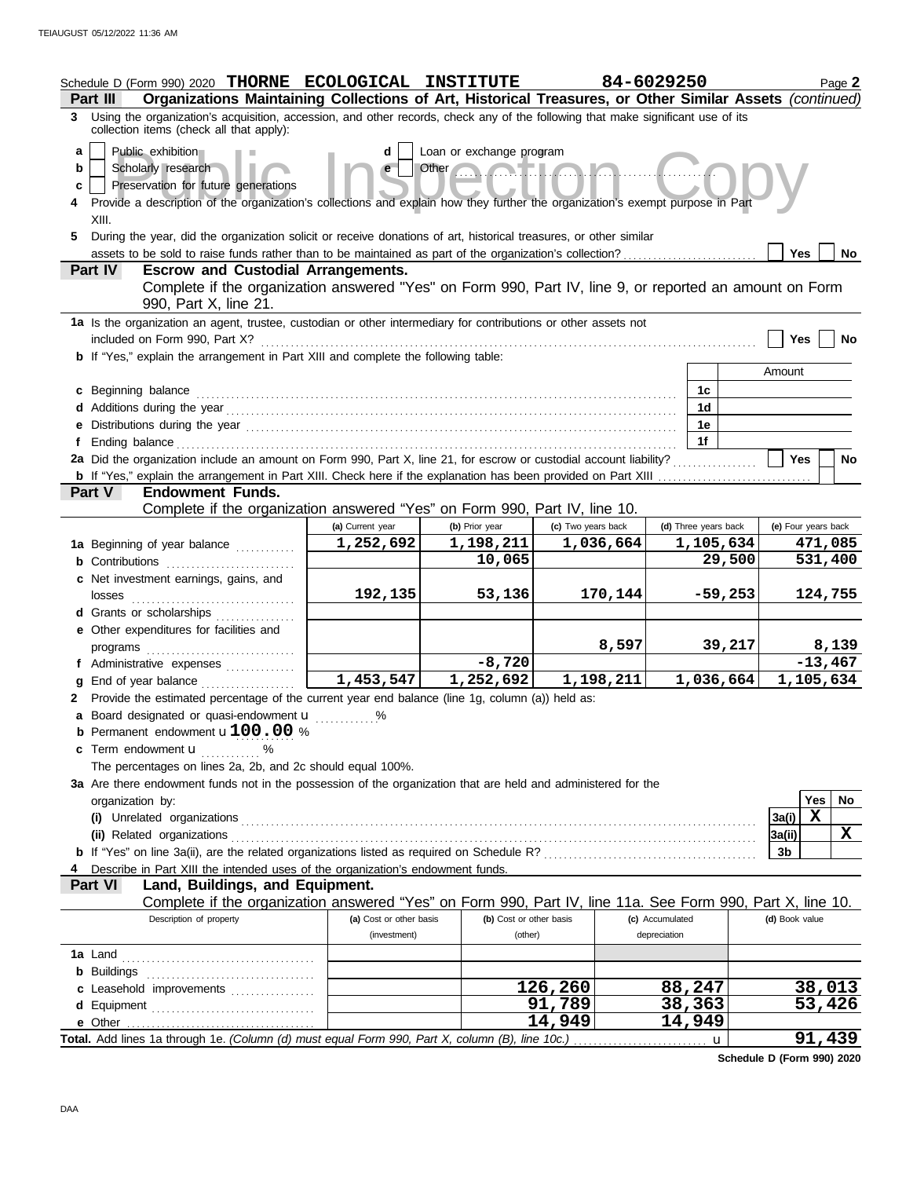| Schedule D (Form 990) 2020 THORNE ECOLOGICAL INSTITUTE<br>Part III                                                                                                                                                                                                                                                                                                                                                                                                                                                                                                                                                                                                                                                                                                                                                                                                                      |                                         |                                    |                    | 84-6029250                      | Page 2               |  |
|-----------------------------------------------------------------------------------------------------------------------------------------------------------------------------------------------------------------------------------------------------------------------------------------------------------------------------------------------------------------------------------------------------------------------------------------------------------------------------------------------------------------------------------------------------------------------------------------------------------------------------------------------------------------------------------------------------------------------------------------------------------------------------------------------------------------------------------------------------------------------------------------|-----------------------------------------|------------------------------------|--------------------|---------------------------------|----------------------|--|
| Organizations Maintaining Collections of Art, Historical Treasures, or Other Similar Assets (continued)<br>3 Using the organization's acquisition, accession, and other records, check any of the following that make significant use of its                                                                                                                                                                                                                                                                                                                                                                                                                                                                                                                                                                                                                                            |                                         |                                    |                    |                                 |                      |  |
| collection items (check all that apply):<br>Public exhibition<br>Loan or exchange program<br>a<br>d<br>Other Company of the Company of the Company of the Company of the Company of the Company of the Company of the Company of the Company of the Company of the Company of the Company of the Company of the Company of the Compan<br>Scholarly research<br>b<br>Preservation for future generations<br>c<br>Provide a description of the organization's collections and explain how they further the organization's exempt purpose in Part<br>XIII.<br>During the year, did the organization solicit or receive donations of art, historical treasures, or other similar<br>5.<br><b>Yes</b><br><b>No</b><br><b>Escrow and Custodial Arrangements.</b><br><b>Part IV</b><br>Complete if the organization answered "Yes" on Form 990, Part IV, line 9, or reported an amount on Form |                                         |                                    |                    |                                 |                      |  |
| 990, Part X, line 21.                                                                                                                                                                                                                                                                                                                                                                                                                                                                                                                                                                                                                                                                                                                                                                                                                                                                   |                                         |                                    |                    |                                 |                      |  |
| 1a Is the organization an agent, trustee, custodian or other intermediary for contributions or other assets not<br>included on Form 990, Part X?<br><b>b</b> If "Yes," explain the arrangement in Part XIII and complete the following table:                                                                                                                                                                                                                                                                                                                                                                                                                                                                                                                                                                                                                                           |                                         |                                    |                    |                                 | <b>Yes</b><br>No     |  |
|                                                                                                                                                                                                                                                                                                                                                                                                                                                                                                                                                                                                                                                                                                                                                                                                                                                                                         |                                         |                                    |                    |                                 | Amount               |  |
| c Beginning balance                                                                                                                                                                                                                                                                                                                                                                                                                                                                                                                                                                                                                                                                                                                                                                                                                                                                     |                                         |                                    |                    | 1c<br>1d                        |                      |  |
|                                                                                                                                                                                                                                                                                                                                                                                                                                                                                                                                                                                                                                                                                                                                                                                                                                                                                         |                                         |                                    |                    | 1e                              |                      |  |
| f                                                                                                                                                                                                                                                                                                                                                                                                                                                                                                                                                                                                                                                                                                                                                                                                                                                                                       |                                         |                                    |                    | 1f                              |                      |  |
| 2a Did the organization include an amount on Form 990, Part X, line 21, for escrow or custodial account liability?                                                                                                                                                                                                                                                                                                                                                                                                                                                                                                                                                                                                                                                                                                                                                                      |                                         |                                    |                    |                                 | <b>Yes</b><br>No     |  |
| <b>b</b> If "Yes," explain the arrangement in Part XIII. Check here if the explanation has been provided on Part XIII <i>mummmmmmmmmmmm</i>                                                                                                                                                                                                                                                                                                                                                                                                                                                                                                                                                                                                                                                                                                                                             |                                         |                                    |                    |                                 |                      |  |
| <b>Endowment Funds.</b><br><b>Part V</b>                                                                                                                                                                                                                                                                                                                                                                                                                                                                                                                                                                                                                                                                                                                                                                                                                                                |                                         |                                    |                    |                                 |                      |  |
| Complete if the organization answered "Yes" on Form 990, Part IV, line 10.                                                                                                                                                                                                                                                                                                                                                                                                                                                                                                                                                                                                                                                                                                                                                                                                              |                                         |                                    |                    |                                 |                      |  |
|                                                                                                                                                                                                                                                                                                                                                                                                                                                                                                                                                                                                                                                                                                                                                                                                                                                                                         | (a) Current year                        | (b) Prior year                     | (c) Two years back | (d) Three years back            | (e) Four years back  |  |
| 1a Beginning of year balance                                                                                                                                                                                                                                                                                                                                                                                                                                                                                                                                                                                                                                                                                                                                                                                                                                                            | 1,252,692                               | 1,198,211                          | 1,036,664          | 1,105,634                       | 471,085              |  |
|                                                                                                                                                                                                                                                                                                                                                                                                                                                                                                                                                                                                                                                                                                                                                                                                                                                                                         |                                         | 10,065                             |                    | 29,500                          | 531,400              |  |
| c Net investment earnings, gains, and                                                                                                                                                                                                                                                                                                                                                                                                                                                                                                                                                                                                                                                                                                                                                                                                                                                   | 192,135                                 | 53,136                             | 170,144            | $-59,253$                       | 124,755              |  |
| losses<br>d Grants or scholarships                                                                                                                                                                                                                                                                                                                                                                                                                                                                                                                                                                                                                                                                                                                                                                                                                                                      |                                         |                                    |                    |                                 |                      |  |
| e Other expenditures for facilities and                                                                                                                                                                                                                                                                                                                                                                                                                                                                                                                                                                                                                                                                                                                                                                                                                                                 |                                         |                                    |                    |                                 |                      |  |
|                                                                                                                                                                                                                                                                                                                                                                                                                                                                                                                                                                                                                                                                                                                                                                                                                                                                                         |                                         |                                    | 8,597              | 39,217                          | 8,139                |  |
| f Administrative expenses                                                                                                                                                                                                                                                                                                                                                                                                                                                                                                                                                                                                                                                                                                                                                                                                                                                               |                                         | $-8,720$                           |                    |                                 | $-13,467$            |  |
| End of year balance<br>g                                                                                                                                                                                                                                                                                                                                                                                                                                                                                                                                                                                                                                                                                                                                                                                                                                                                | 1,453,547                               | 1,252,692                          | 1,198,211          | 1,036,664                       | 1,105,634            |  |
| 2 Provide the estimated percentage of the current year end balance (line 1g, column (a)) held as:<br>a Board designated or quasi-endowment u<br><b>b</b> Permanent endowment $u100.00%$<br><b>c</b> Term endowment $\mathbf{u}$ %<br>The percentages on lines 2a, 2b, and 2c should equal 100%.<br>3a Are there endowment funds not in the possession of the organization that are held and administered for the                                                                                                                                                                                                                                                                                                                                                                                                                                                                        |                                         |                                    |                    |                                 |                      |  |
| organization by:                                                                                                                                                                                                                                                                                                                                                                                                                                                                                                                                                                                                                                                                                                                                                                                                                                                                        |                                         |                                    |                    |                                 | Yes<br>No            |  |
|                                                                                                                                                                                                                                                                                                                                                                                                                                                                                                                                                                                                                                                                                                                                                                                                                                                                                         |                                         |                                    |                    |                                 | $\mathbf x$<br>3a(i) |  |
|                                                                                                                                                                                                                                                                                                                                                                                                                                                                                                                                                                                                                                                                                                                                                                                                                                                                                         |                                         |                                    |                    |                                 | X<br>3a(ii)          |  |
|                                                                                                                                                                                                                                                                                                                                                                                                                                                                                                                                                                                                                                                                                                                                                                                                                                                                                         |                                         |                                    |                    |                                 | 3b                   |  |
| Describe in Part XIII the intended uses of the organization's endowment funds.                                                                                                                                                                                                                                                                                                                                                                                                                                                                                                                                                                                                                                                                                                                                                                                                          |                                         |                                    |                    |                                 |                      |  |
| Land, Buildings, and Equipment.<br><b>Part VI</b>                                                                                                                                                                                                                                                                                                                                                                                                                                                                                                                                                                                                                                                                                                                                                                                                                                       |                                         |                                    |                    |                                 |                      |  |
| Complete if the organization answered "Yes" on Form 990, Part IV, line 11a. See Form 990, Part X, line 10.                                                                                                                                                                                                                                                                                                                                                                                                                                                                                                                                                                                                                                                                                                                                                                              |                                         |                                    |                    |                                 |                      |  |
| Description of property                                                                                                                                                                                                                                                                                                                                                                                                                                                                                                                                                                                                                                                                                                                                                                                                                                                                 | (a) Cost or other basis<br>(investment) | (b) Cost or other basis<br>(other) |                    | (c) Accumulated<br>depreciation | (d) Book value       |  |
|                                                                                                                                                                                                                                                                                                                                                                                                                                                                                                                                                                                                                                                                                                                                                                                                                                                                                         |                                         |                                    |                    |                                 |                      |  |
|                                                                                                                                                                                                                                                                                                                                                                                                                                                                                                                                                                                                                                                                                                                                                                                                                                                                                         |                                         |                                    |                    |                                 |                      |  |
| c Leasehold improvements                                                                                                                                                                                                                                                                                                                                                                                                                                                                                                                                                                                                                                                                                                                                                                                                                                                                |                                         |                                    | 126,260            | 88,247                          | 38,013               |  |
|                                                                                                                                                                                                                                                                                                                                                                                                                                                                                                                                                                                                                                                                                                                                                                                                                                                                                         |                                         |                                    | 91,789             | 38,363                          | 53,426               |  |
|                                                                                                                                                                                                                                                                                                                                                                                                                                                                                                                                                                                                                                                                                                                                                                                                                                                                                         |                                         |                                    | 14,949             | 14,949                          |                      |  |

Total. Add lines 1a through 1e. *(Column (d) must equal Form 990, Part X, column (B), line 10c.)* u **91,439**

**Schedule D (Form 990) 2020**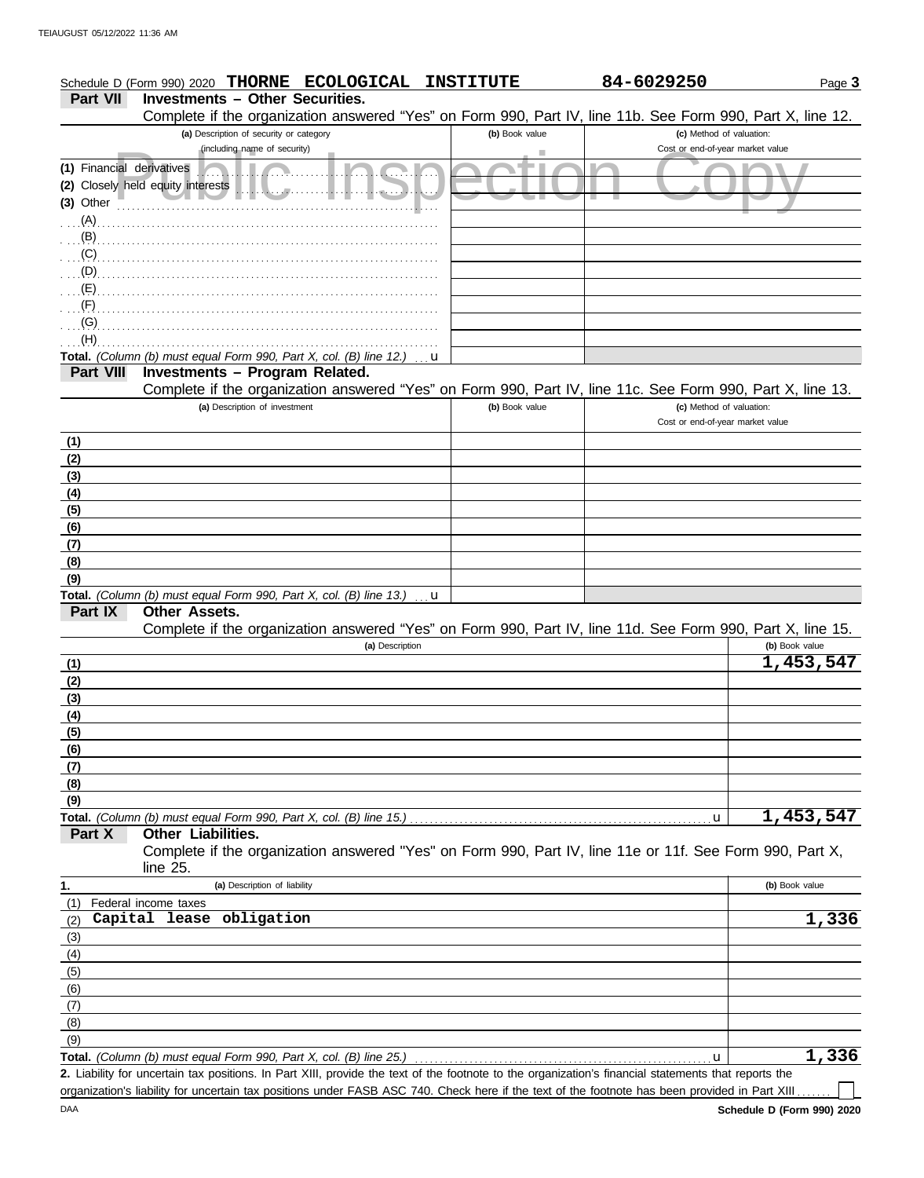|                           | <b>ECOLOGICAL</b><br>Schedule D (Form 990) 2020 THORNE                                                                                                | <b>INSTITUTE</b> | 84-6029250                                                   | Page 3         |
|---------------------------|-------------------------------------------------------------------------------------------------------------------------------------------------------|------------------|--------------------------------------------------------------|----------------|
| <b>Part VII</b>           | <b>Investments - Other Securities.</b>                                                                                                                |                  |                                                              |                |
|                           | Complete if the organization answered "Yes" on Form 990, Part IV, line 11b. See Form 990, Part X, line 12.<br>(a) Description of security or category | (b) Book value   | (c) Method of valuation:                                     |                |
|                           | (including name of security)                                                                                                                          |                  | Cost or end-of-year market value                             |                |
| (1) Financial derivatives |                                                                                                                                                       |                  |                                                              |                |
|                           | (2) Closely held equity interests                                                                                                                     |                  |                                                              |                |
| (3) Other                 |                                                                                                                                                       |                  |                                                              |                |
| $(A)$ .                   |                                                                                                                                                       |                  |                                                              |                |
| (B)                       |                                                                                                                                                       |                  |                                                              |                |
| (C)                       |                                                                                                                                                       |                  |                                                              |                |
| (D)                       |                                                                                                                                                       |                  |                                                              |                |
| (E)<br>(F)                |                                                                                                                                                       |                  |                                                              |                |
| (G)                       |                                                                                                                                                       |                  |                                                              |                |
| (H)                       |                                                                                                                                                       |                  |                                                              |                |
|                           | Total. (Column (b) must equal Form 990, Part X, col. (B) line 12.)<br>u                                                                               |                  |                                                              |                |
| <b>Part VIII</b>          | Investments - Program Related.                                                                                                                        |                  |                                                              |                |
|                           | Complete if the organization answered "Yes" on Form 990, Part IV, line 11c. See Form 990, Part X, line 13.                                            |                  |                                                              |                |
|                           | (a) Description of investment                                                                                                                         | (b) Book value   | (c) Method of valuation:<br>Cost or end-of-year market value |                |
|                           |                                                                                                                                                       |                  |                                                              |                |
| (1)<br>(2)                |                                                                                                                                                       |                  |                                                              |                |
| (3)                       |                                                                                                                                                       |                  |                                                              |                |
| (4)                       |                                                                                                                                                       |                  |                                                              |                |
| (5)                       |                                                                                                                                                       |                  |                                                              |                |
| (6)                       |                                                                                                                                                       |                  |                                                              |                |
| (7)                       |                                                                                                                                                       |                  |                                                              |                |
| (8)                       |                                                                                                                                                       |                  |                                                              |                |
| (9)                       |                                                                                                                                                       |                  |                                                              |                |
| Part IX                   | Total. (Column (b) must equal Form 990, Part X, col. (B) line 13.)<br>u<br><b>Other Assets.</b>                                                       |                  |                                                              |                |
|                           | Complete if the organization answered "Yes" on Form 990, Part IV, line 11d. See Form 990, Part X, line 15.                                            |                  |                                                              |                |
|                           | (a) Description                                                                                                                                       |                  |                                                              | (b) Book value |
| (1)                       |                                                                                                                                                       |                  |                                                              | 1,453,547      |
| (2)                       |                                                                                                                                                       |                  |                                                              |                |
| (3)                       |                                                                                                                                                       |                  |                                                              |                |
| (4)                       |                                                                                                                                                       |                  |                                                              |                |
| (5)                       |                                                                                                                                                       |                  |                                                              |                |
| (6)<br>(7)                |                                                                                                                                                       |                  |                                                              |                |
| (8)                       |                                                                                                                                                       |                  |                                                              |                |
| (9)                       |                                                                                                                                                       |                  |                                                              |                |
|                           | Total. (Column (b) must equal Form 990, Part X, col. (B) line 15.)                                                                                    |                  | u                                                            | 1,453,547      |
| Part X                    | Other Liabilities.                                                                                                                                    |                  |                                                              |                |
|                           | Complete if the organization answered "Yes" on Form 990, Part IV, line 11e or 11f. See Form 990, Part X,<br>line $25$ .                               |                  |                                                              |                |
| 1.                        | (a) Description of liability                                                                                                                          |                  |                                                              | (b) Book value |
| (1)                       | Federal income taxes                                                                                                                                  |                  |                                                              |                |
| (2)                       | Capital lease obligation                                                                                                                              |                  |                                                              | 1,336          |
| (3)                       |                                                                                                                                                       |                  |                                                              |                |
| (4)<br>(5)                |                                                                                                                                                       |                  |                                                              |                |
| (6)                       |                                                                                                                                                       |                  |                                                              |                |
| (7)                       |                                                                                                                                                       |                  |                                                              |                |
| (8)                       |                                                                                                                                                       |                  |                                                              |                |

Liability for uncertain tax positions. In Part XIII, provide the text of the footnote to the organization's financial statements that reports the **2.** Total. *(Column (b) must equal Form 990, Part X, col. (B) line 25.)* u

organization's liability for uncertain tax positions under FASB ASC 740. Check here if the text of the footnote has been provided in Part XIII..

**1,336**

l L

(9)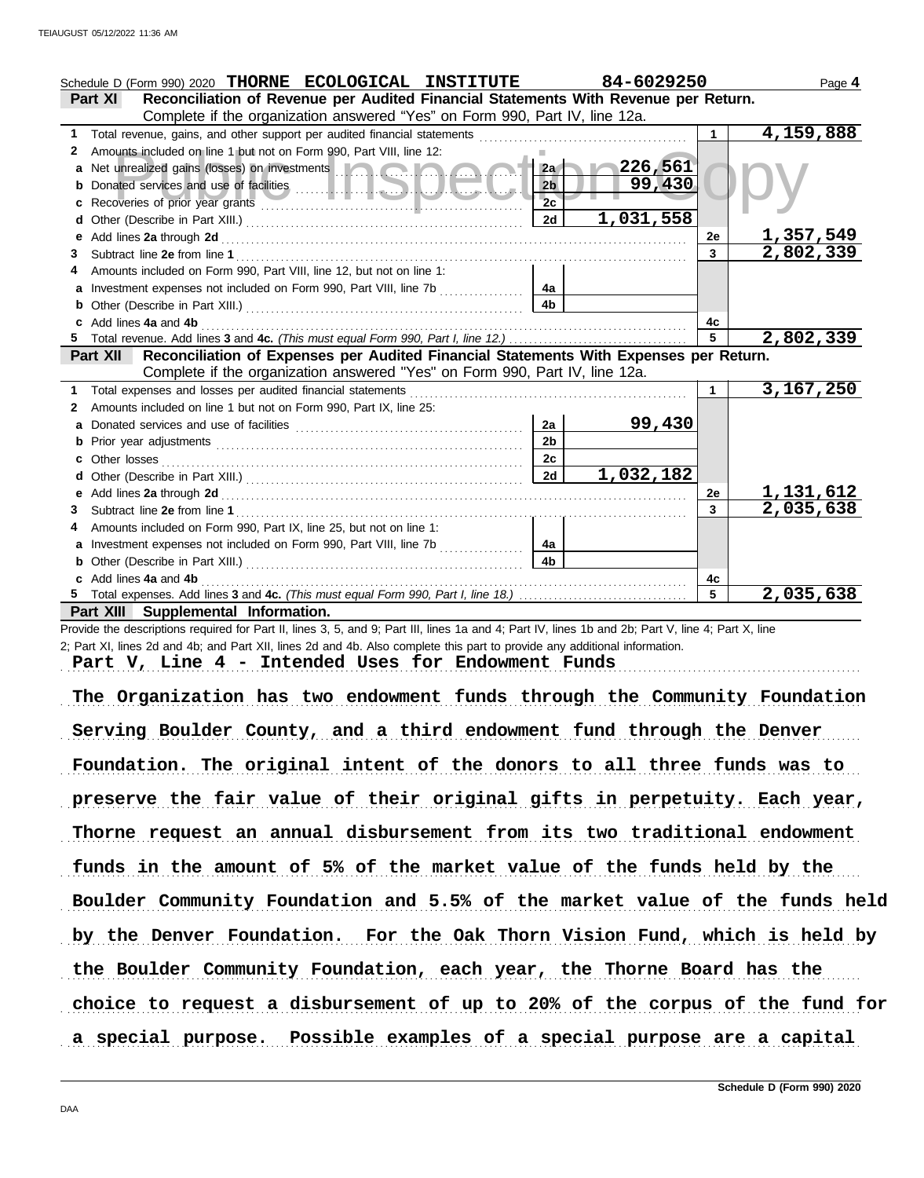|   | Schedule D (Form 990) 2020 THORNE ECOLOGICAL INSTITUTE                                                                                                                                                                               |                | 84-6029250 |    | Page 4           |
|---|--------------------------------------------------------------------------------------------------------------------------------------------------------------------------------------------------------------------------------------|----------------|------------|----|------------------|
|   | Reconciliation of Revenue per Audited Financial Statements With Revenue per Return.<br><b>Part XI</b>                                                                                                                                |                |            |    |                  |
|   | Complete if the organization answered "Yes" on Form 990, Part IV, line 12a.                                                                                                                                                          |                |            |    |                  |
| 1 | Total revenue, gains, and other support per audited financial statements                                                                                                                                                             |                |            | 1  | 4,159,888        |
| 2 | Amounts included on line 1 but not on Form 990, Part VIII, line 12:                                                                                                                                                                  |                |            |    |                  |
| a | Net unrealized gains (losses) on investments <b>Alternative and alternative and alternative and alternative and alternative and alternative and alternative and alternative and alternative and alternative and alternative and </b> | 2a             | 226,561    |    |                  |
|   |                                                                                                                                                                                                                                      | 2 <sub>b</sub> | 99,430     |    |                  |
| c |                                                                                                                                                                                                                                      | 2 <sub>c</sub> |            |    |                  |
|   |                                                                                                                                                                                                                                      | 2d             | 1,031,558  |    |                  |
|   |                                                                                                                                                                                                                                      |                |            | 2e | <u>1,357,549</u> |
| 3 |                                                                                                                                                                                                                                      |                |            | 3  | 2,802,339        |
|   | Amounts included on Form 990, Part VIII, line 12, but not on line 1:                                                                                                                                                                 |                |            |    |                  |
| a | Investment expenses not included on Form 990, Part VIII, line 7b                                                                                                                                                                     | 4a             |            |    |                  |
| b |                                                                                                                                                                                                                                      | 4 <sub>b</sub> |            |    |                  |
|   | Add lines 4a and 4b                                                                                                                                                                                                                  |                |            | 4c |                  |
|   |                                                                                                                                                                                                                                      |                |            | 5  | 2,802,339        |
|   | Reconciliation of Expenses per Audited Financial Statements With Expenses per Return.<br><b>Part XII</b>                                                                                                                             |                |            |    |                  |
|   | Complete if the organization answered "Yes" on Form 990, Part IV, line 12a.                                                                                                                                                          |                |            |    |                  |
| 1 | Total expenses and losses per audited financial statements                                                                                                                                                                           |                |            |    | 3,167,250        |
| 2 | Amounts included on line 1 but not on Form 990, Part IX, line 25:                                                                                                                                                                    |                |            |    |                  |
| a |                                                                                                                                                                                                                                      | 2a             | 99,430     |    |                  |
| b |                                                                                                                                                                                                                                      | 2 <sub>b</sub> |            |    |                  |
|   | Other losses                                                                                                                                                                                                                         | 2c             |            |    |                  |
|   |                                                                                                                                                                                                                                      | 2d             | 1,032,182  |    |                  |
|   |                                                                                                                                                                                                                                      |                |            | 2e | <u>1,131,612</u> |
|   |                                                                                                                                                                                                                                      |                |            | 3  | 2,035,638        |
|   | Amounts included on Form 990, Part IX, line 25, but not on line 1:                                                                                                                                                                   |                |            |    |                  |
| a | Investment expenses not included on Form 990, Part VIII, line 7b                                                                                                                                                                     | 4а             |            |    |                  |
|   | <b>b</b> Other (Describe in Part XIII.) <b>CONSIDENT DESCRIPTION DESCRIPTION DESCRIPTION DESCRIPTION DESCRIPTION DESCRIPTION DESCRIPTION DESCRIPTION DESCRIPTION DESCRIPTION DESCRIPTION DESCRIPTION DESCRI</b>                      | 4 <sub>b</sub> |            |    |                  |
|   | Add lines 4a and 4b                                                                                                                                                                                                                  |                |            | 4с |                  |
|   |                                                                                                                                                                                                                                      |                |            | 5  | 2,035,638        |

**Part XIII Supplemental Information.**

Provide the descriptions required for Part II, lines 3, 5, and 9; Part III, lines 1a and 4; Part IV, lines 1b and 2b; Part V, line 4; Part X, line 2; Part XI, lines 2d and 4b; and Part XII, lines 2d and 4b. Also complete this part to provide any additional information.

Part V, Line 4 - Intended Uses for Endowment Funds

The Organization has two endowment funds through the Community Foundation Serving Boulder County, and a third endowment fund through the Denver Foundation. The original intent of the donors to all three funds was to preserve the fair value of their original gifts in perpetuity. Each year, Thorne request an annual disbursement from its two traditional endowment funds in the amount of 5% of the market value of the funds held by the the Boulder Community Foundation, each year, the Thorne Board has the Boulder Community Foundation and 5.5% of the market value of the funds held by the Denver Foundation. For the Oak Thorn Vision Fund, which is held by choice to request a disbursement of up to 20% of the corpus of the fund for a special purpose. Possible examples of a special purpose are a capital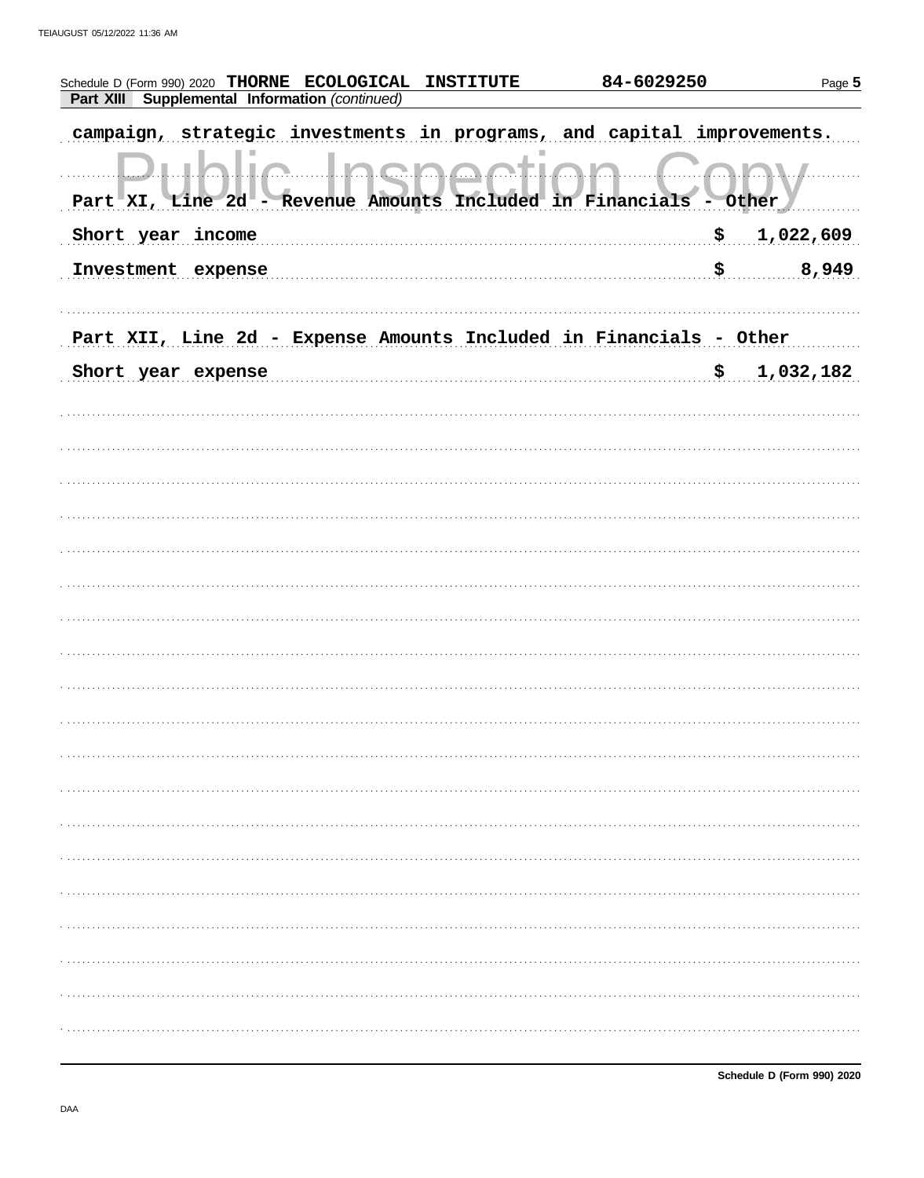| Schedule D (Form 990) 2020 THORNE ECOLOGICAL INSTITUTE                      | 84-6029250 | Page 5    |
|-----------------------------------------------------------------------------|------------|-----------|
| Supplemental Information (continued)<br>Part XIII                           |            |           |
| strategic investments in programs, and capital improvements.<br>campaign,   |            |           |
| (1, 1)<br>Part XI, Line 2d - Revenue Amounts Included in Financials - Other |            |           |
| Short year income                                                           | \$         | 1,022,609 |
| Investment expense                                                          | \$         | 8,949     |
|                                                                             |            |           |
| Part XII, Line 2d - Expense Amounts Included in Financials - Other          |            |           |
| Short year expense                                                          | \$         | 1,032,182 |
|                                                                             |            |           |
|                                                                             |            |           |
|                                                                             |            |           |
|                                                                             |            |           |
|                                                                             |            |           |
|                                                                             |            |           |
|                                                                             |            |           |
|                                                                             |            |           |
|                                                                             |            |           |
|                                                                             |            |           |
|                                                                             |            |           |
|                                                                             |            |           |
|                                                                             |            |           |
|                                                                             |            |           |
|                                                                             |            |           |
|                                                                             |            |           |
|                                                                             |            |           |
|                                                                             |            |           |
|                                                                             |            |           |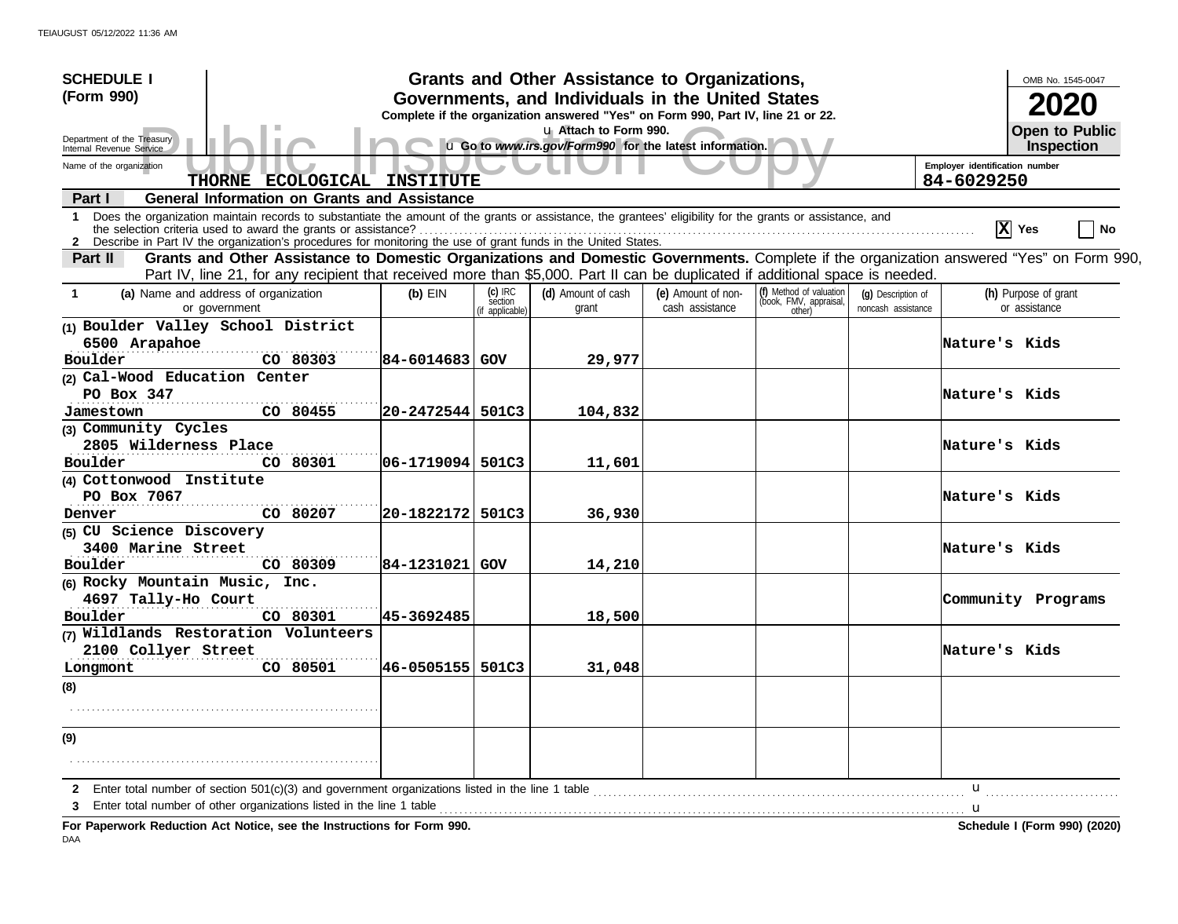| <b>SCHEDULE I</b>                                                                                                                                                                                                                                                                            |                                                                                                                                       |                    |                                     | Grants and Other Assistance to Organizations,                                    |                                       |                                                             |                                          |                                | OMB No. 1545-0047                     |
|----------------------------------------------------------------------------------------------------------------------------------------------------------------------------------------------------------------------------------------------------------------------------------------------|---------------------------------------------------------------------------------------------------------------------------------------|--------------------|-------------------------------------|----------------------------------------------------------------------------------|---------------------------------------|-------------------------------------------------------------|------------------------------------------|--------------------------------|---------------------------------------|
| (Form 990)                                                                                                                                                                                                                                                                                   | Governments, and Individuals in the United States<br>Complete if the organization answered "Yes" on Form 990, Part IV, line 21 or 22. |                    |                                     |                                                                                  |                                       |                                                             |                                          |                                |                                       |
| Department of the Treasury<br>Internal Revenue Service                                                                                                                                                                                                                                       |                                                                                                                                       |                    |                                     | u Attach to Form 990.<br>u Go to www.irs.gov/Form990 for the latest information. |                                       |                                                             |                                          |                                | <b>Open to Public</b><br>Inspection   |
| Name of the organization                                                                                                                                                                                                                                                                     |                                                                                                                                       |                    |                                     |                                                                                  |                                       |                                                             |                                          | Employer identification number |                                       |
|                                                                                                                                                                                                                                                                                              | THORNE ECOLOGICAL INSTITUTE                                                                                                           |                    |                                     |                                                                                  |                                       |                                                             |                                          | 84-6029250                     |                                       |
| <b>General Information on Grants and Assistance</b><br>Part I                                                                                                                                                                                                                                |                                                                                                                                       |                    |                                     |                                                                                  |                                       |                                                             |                                          |                                |                                       |
| Does the organization maintain records to substantiate the amount of the grants or assistance, the grantees' eligibility for the grants or assistance, and<br>$\mathbf 1$<br>2 Describe in Part IV the organization's procedures for monitoring the use of grant funds in the United States. |                                                                                                                                       |                    |                                     |                                                                                  |                                       |                                                             |                                          |                                | $ \mathbf{X} $ Yes<br>No              |
| Grants and Other Assistance to Domestic Organizations and Domestic Governments. Complete if the organization answered "Yes" on Form 990,<br>Part II                                                                                                                                          |                                                                                                                                       |                    |                                     |                                                                                  |                                       |                                                             |                                          |                                |                                       |
| Part IV, line 21, for any recipient that received more than \$5,000. Part II can be duplicated if additional space is needed.                                                                                                                                                                |                                                                                                                                       |                    |                                     |                                                                                  |                                       |                                                             |                                          |                                |                                       |
| (a) Name and address of organization<br>$\mathbf 1$<br>or government                                                                                                                                                                                                                         |                                                                                                                                       | $(b)$ EIN          | (c) IRC<br>section<br>f applicable) | (d) Amount of cash<br>grant                                                      | (e) Amount of non-<br>cash assistance | (f) Method of valuation<br>(book, FMV, appraisal,<br>other) | (g) Description of<br>noncash assistance |                                | (h) Purpose of grant<br>or assistance |
| (1) Boulder Valley School District                                                                                                                                                                                                                                                           |                                                                                                                                       |                    |                                     |                                                                                  |                                       |                                                             |                                          |                                |                                       |
| 6500 Arapahoe                                                                                                                                                                                                                                                                                |                                                                                                                                       |                    |                                     |                                                                                  |                                       |                                                             |                                          | Nature's Kids                  |                                       |
| Boulder                                                                                                                                                                                                                                                                                      | CO 80303                                                                                                                              | 84-6014683 GOV     |                                     | 29,977                                                                           |                                       |                                                             |                                          |                                |                                       |
| (2) Cal-Wood Education Center<br>PO Box $347$                                                                                                                                                                                                                                                |                                                                                                                                       |                    |                                     |                                                                                  |                                       |                                                             |                                          | Nature's Kids                  |                                       |
| Jamestown                                                                                                                                                                                                                                                                                    | CO 80455                                                                                                                              | 20-2472544 501C3   |                                     | 104,832                                                                          |                                       |                                                             |                                          |                                |                                       |
| (3) Community Cycles                                                                                                                                                                                                                                                                         |                                                                                                                                       |                    |                                     |                                                                                  |                                       |                                                             |                                          |                                |                                       |
| 2805 Wilderness Place                                                                                                                                                                                                                                                                        |                                                                                                                                       |                    |                                     |                                                                                  |                                       |                                                             |                                          | Nature's Kids                  |                                       |
| Boulder                                                                                                                                                                                                                                                                                      | CO 80301                                                                                                                              | 106-1719094  501C3 |                                     | 11,601                                                                           |                                       |                                                             |                                          |                                |                                       |
| (4) Cottonwood Institute                                                                                                                                                                                                                                                                     |                                                                                                                                       |                    |                                     |                                                                                  |                                       |                                                             |                                          |                                |                                       |
| PO Box 7067                                                                                                                                                                                                                                                                                  |                                                                                                                                       |                    |                                     |                                                                                  |                                       |                                                             |                                          | Nature's Kids                  |                                       |
| Denver                                                                                                                                                                                                                                                                                       | CO 80207                                                                                                                              | 20-1822172         | 501C3                               | 36,930                                                                           |                                       |                                                             |                                          |                                |                                       |
| (5) CU Science Discovery                                                                                                                                                                                                                                                                     |                                                                                                                                       |                    |                                     |                                                                                  |                                       |                                                             |                                          |                                |                                       |
| 3400 Marine Street                                                                                                                                                                                                                                                                           |                                                                                                                                       |                    |                                     |                                                                                  |                                       |                                                             |                                          | Nature's Kids                  |                                       |
| Boulder                                                                                                                                                                                                                                                                                      | CO 80309                                                                                                                              | 84-1231021         | GOV                                 | 14,210                                                                           |                                       |                                                             |                                          |                                |                                       |
| (6) Rocky Mountain Music, Inc.                                                                                                                                                                                                                                                               |                                                                                                                                       |                    |                                     |                                                                                  |                                       |                                                             |                                          |                                |                                       |
| 4697 Tally-Ho Court<br>Boulder                                                                                                                                                                                                                                                               |                                                                                                                                       | 45-3692485         |                                     |                                                                                  |                                       |                                                             |                                          |                                | Community Programs                    |
| (7) Wildlands Restoration Volunteers                                                                                                                                                                                                                                                         | CO 80301                                                                                                                              |                    |                                     | 18,500                                                                           |                                       |                                                             |                                          |                                |                                       |
| 2100 Collyer Street                                                                                                                                                                                                                                                                          |                                                                                                                                       |                    |                                     |                                                                                  |                                       |                                                             |                                          | Nature's Kids                  |                                       |
| Longmont                                                                                                                                                                                                                                                                                     | CO 80501                                                                                                                              | 46-0505155 501C3   |                                     | 31,048                                                                           |                                       |                                                             |                                          |                                |                                       |
| (8)                                                                                                                                                                                                                                                                                          |                                                                                                                                       |                    |                                     |                                                                                  |                                       |                                                             |                                          |                                |                                       |
|                                                                                                                                                                                                                                                                                              |                                                                                                                                       |                    |                                     |                                                                                  |                                       |                                                             |                                          |                                |                                       |
| (9)                                                                                                                                                                                                                                                                                          |                                                                                                                                       |                    |                                     |                                                                                  |                                       |                                                             |                                          |                                |                                       |
|                                                                                                                                                                                                                                                                                              |                                                                                                                                       |                    |                                     |                                                                                  |                                       |                                                             |                                          | u                              |                                       |
| Enter total number of other organizations listed in the line 1 table <i>manufacture manufacture manufacture manufacture manufacture manufacture manufacture manufacture manufacture manufacture manufacture manufacture manufact</i>                                                         |                                                                                                                                       |                    |                                     |                                                                                  |                                       |                                                             |                                          |                                |                                       |
| For Paperwork Reduction Act Notice, see the Instructions for Form 990.                                                                                                                                                                                                                       |                                                                                                                                       |                    |                                     |                                                                                  |                                       |                                                             |                                          |                                | Schedule I (Form 990) (2020)          |

DAA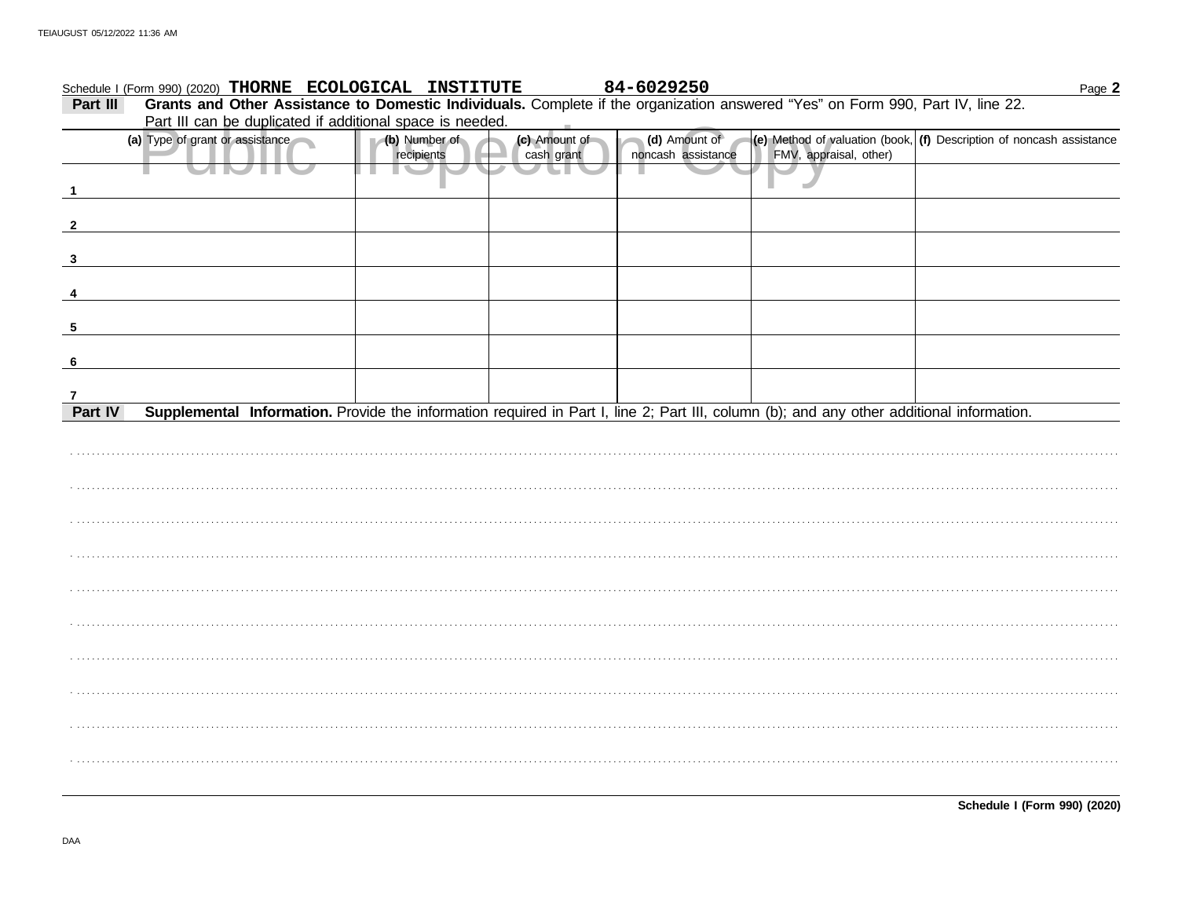|              | Schedule I (Form 990) (2020) THORNE ECOLOGICAL INSTITUTE                                                                                  |                             |                             | 84-6029250                          |                        | Page 2                                                                 |
|--------------|-------------------------------------------------------------------------------------------------------------------------------------------|-----------------------------|-----------------------------|-------------------------------------|------------------------|------------------------------------------------------------------------|
| Part III     | Grants and Other Assistance to Domestic Individuals. Complete if the organization answered "Yes" on Form 990, Part IV, line 22.           |                             |                             |                                     |                        |                                                                        |
|              | Part III can be duplicated if additional space is needed.                                                                                 |                             |                             |                                     |                        |                                                                        |
|              | (a) Type of grant or assistance                                                                                                           | (b) Number of<br>recipients | (c) Amount of<br>cash grant | (d) Amount of<br>noncash assistance | FMV, appraisal, other) | (e) Method of valuation (book, $(f)$ Description of noncash assistance |
| -1           |                                                                                                                                           |                             |                             |                                     |                        |                                                                        |
| $\mathbf{2}$ |                                                                                                                                           |                             |                             |                                     |                        |                                                                        |
| $\mathbf{3}$ |                                                                                                                                           |                             |                             |                                     |                        |                                                                        |
|              |                                                                                                                                           |                             |                             |                                     |                        |                                                                        |
| 5            |                                                                                                                                           |                             |                             |                                     |                        |                                                                        |
| 6            |                                                                                                                                           |                             |                             |                                     |                        |                                                                        |
|              |                                                                                                                                           |                             |                             |                                     |                        |                                                                        |
| Part IV      | Supplemental Information. Provide the information required in Part I, line 2; Part III, column (b); and any other additional information. |                             |                             |                                     |                        |                                                                        |
|              |                                                                                                                                           |                             |                             |                                     |                        |                                                                        |
|              |                                                                                                                                           |                             |                             |                                     |                        |                                                                        |
|              |                                                                                                                                           |                             |                             |                                     |                        |                                                                        |
|              |                                                                                                                                           |                             |                             |                                     |                        |                                                                        |
|              |                                                                                                                                           |                             |                             |                                     |                        |                                                                        |
|              |                                                                                                                                           |                             |                             |                                     |                        |                                                                        |
|              |                                                                                                                                           |                             |                             |                                     |                        |                                                                        |
|              |                                                                                                                                           |                             |                             |                                     |                        |                                                                        |
|              |                                                                                                                                           |                             |                             |                                     |                        |                                                                        |
|              |                                                                                                                                           |                             |                             |                                     |                        |                                                                        |
|              |                                                                                                                                           |                             |                             |                                     |                        |                                                                        |

Schedule I (Form 990) (2020)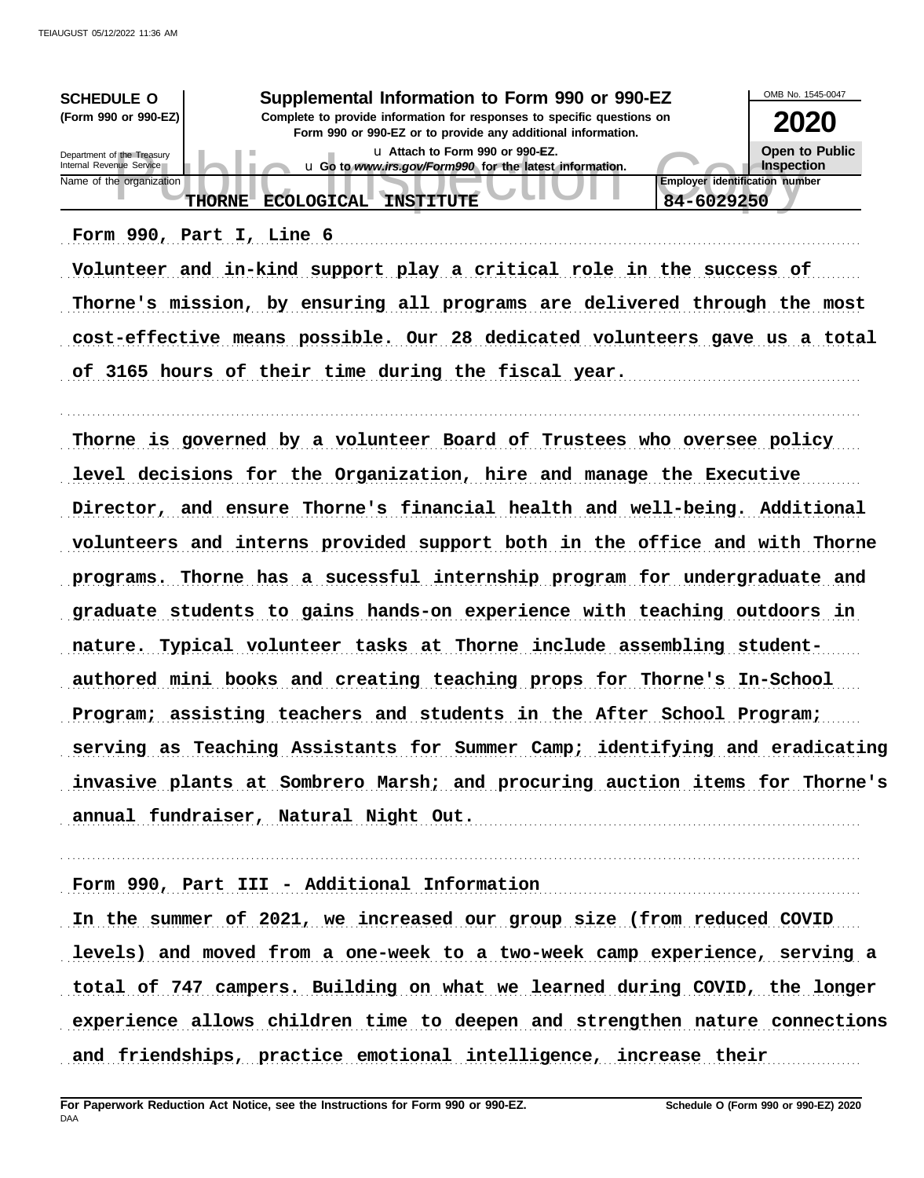| <b>SCHEDULE O</b><br>(Form 990 or 990-EZ)              | Supplemental Information to Form 990 or 990-EZ<br>Complete to provide information for responses to specific questions on<br>Form 990 or 990-EZ or to provide any additional information. | OMB No. 1545-0047<br>2020                           |                              |
|--------------------------------------------------------|------------------------------------------------------------------------------------------------------------------------------------------------------------------------------------------|-----------------------------------------------------|------------------------------|
| Department of the Treasury<br>Internal Revenue Service | La Attach to Form 990 or 990-EZ.<br>u Go to www.irs.gov/Form990 for the latest information.                                                                                              |                                                     | Open to Public<br>Inspection |
| Name of the organization                               | <b>INSTITUTE</b><br>ECOLOGICAL.<br><b>THORNE</b>                                                                                                                                         | <b>Employer identification number</b><br>84-6029250 |                              |
|                                                        | Form 990, Part I, Line 6                                                                                                                                                                 |                                                     |                              |

Volunteer and in-kind support play a critical role in the success of Thorne's mission, by ensuring all programs are delivered through the most cost-effective means possible. Our 28 dedicated volunteers gave us a total of 3165 hours of their time during the fiscal year.

. . . . . . . . . . . . . . . . . . . . . . . . . . . . . . . . . . . . . . . . . . . . . . . . . . . . . . . . . . . . . . . . . . . . . . . . . . . . . . . . . . . . . . . . . . . . . . . . . . . . . . . . . . . . . . . . . . . . . . . . . . . . . . . . . . . . . . . . . . . . . . . . . . . . . . . . . . . . . . . . .

Thorne is governed by a volunteer Board of Trustees who oversee policy level decisions for the Organization, hire and manage the Executive Director, and ensure Thorne's financial health and well-being. Additional volunteers and interns provided support both in the office and with Thorne programs. Thorne has a sucessful internship program for undergraduate and graduate students to gains hands-on experience with teaching outdoors in nature. Typical volunteer tasks at Thorne include assembling studentauthored mini books and creating teaching props for Thorne's In-School Program; assisting teachers and students in the After School Program; serving as Teaching Assistants for Summer Camp; identifying and eradicating invasive plants at Sombrero Marsh; and procuring auction items for Thorne's annual fundraiser, Natural Night Out. The contract of the set of the set of the set of the set of the set of t

Form 990, Part III - Additional Information

In the summer of 2021, we increased our group size (from reduced COVID levels) and moved from a one-week to a two-week camp experience, serving a total of 747 campers. Building on what we learned during COVID, the longer experience allows children time to deepen and strengthen nature connections and friendships, practice emotional intelligence, increase their

. . . . . . . . . . . . . . . . . . . . . . . . . . . . . . . . . . . . . . . . . . . . . . . . . . . . . . . . . . . . . . . . . . . . . . . . . . . . . . . . . . . . . . . . . . . . . . . . . . . . . . . . . . . . . . . . . . . . . . . . . . . . . . . . . . . . . . . . . . . . . . . . . . . . . . . . . . . . . . . . .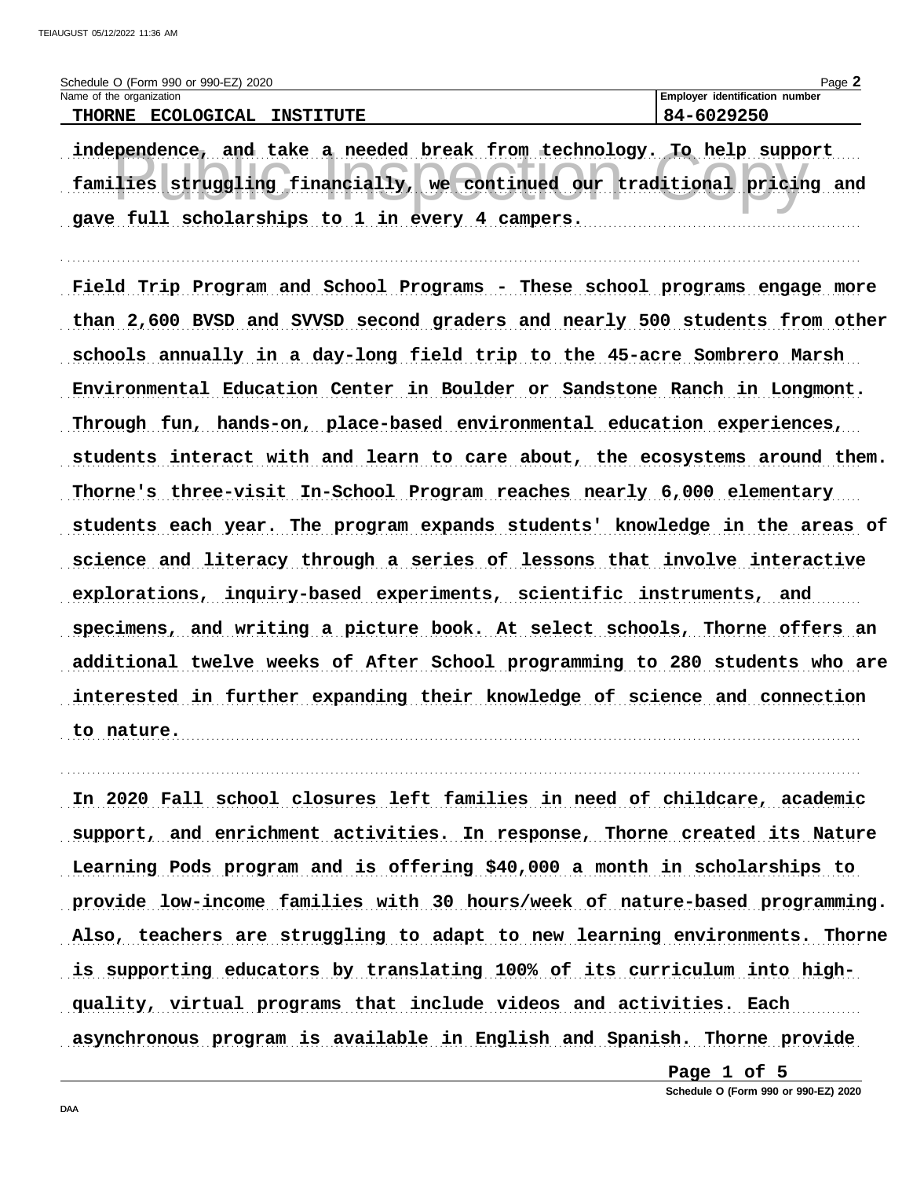| Schedule O (Form 990 or 990-EZ) 2020                   | $P$ ade                               |
|--------------------------------------------------------|---------------------------------------|
| Name of the organization                               | <b>Employer identification number</b> |
| <b>ECOLOGICAL</b><br><b>THORNE</b><br><b>INSTITUTE</b> | 84-6029250                            |

independence, and take a needed break from technology. To help support families struggling financially, we continued our traditional pricing and gave full scholarships to 1 in every 4 campers.

Field Trip Program and School Programs - These school programs engage more than 2,600 BVSD and SVVSD second graders and nearly 500 students from other schools annually in a day-long field trip to the 45-acre Sombrero Marsh Environmental Education Center in Boulder or Sandstone Ranch in Longmont. Through fun, hands-on, place-based environmental education experiences, students interact with and learn to care about, the ecosystems around them. Thorne's three-visit In-School Program reaches nearly 6,000 elementary students each year. The program expands students' knowledge in the areas of science and literacy through a series of lessons that involve interactive explorations, inquiry-based experiments, scientific instruments, and specimens, and writing a picture book. At select schools, Thorne offers an additional twelve weeks of After School programming to 280 students who are interested in further expanding their knowledge of science and connection to nature. <u>The communication of the communication</u> of the communication of the communication of the communication

In 2020 Fall school closures left families in need of childcare, academic support, and enrichment activities. In response, Thorne created its Nature Learning Pods program and is offering \$40,000 a month in scholarships to provide low-income families with 30 hours/week of nature-based programming. Also, teachers are struggling to adapt to new learning environments. Thorne is supporting educators by translating 100% of its curriculum into highquality, virtual programs that include videos and activities. Each asynchronous program is available in English and Spanish. Thorne provide

> Page 1 of 5 Schedule O (Form 990 or 990-EZ) 2020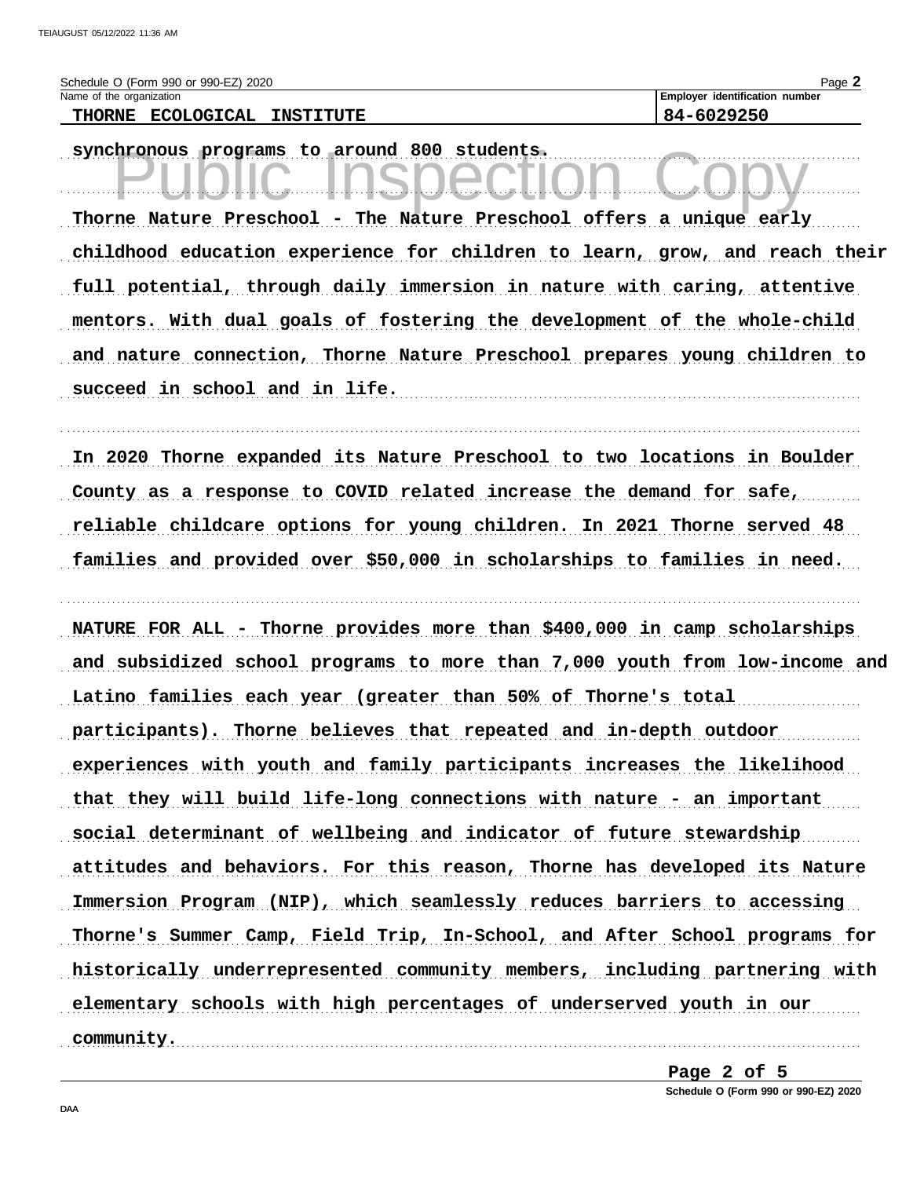| Schedule O (Form 990 or 990-EZ) 2020     | Page                                  |
|------------------------------------------|---------------------------------------|
| Name of the organization                 | <b>Employer identification number</b> |
| ECOLOGICAL<br><b>THORNE</b><br>TNSTTTITR | 84-6029250                            |

synchronous programs to around 800 students.

Thorne Nature Preschool - The Nature Preschool offers a unique early childhood education experience for children to learn, grow, and reach their full potential, through daily immersion in nature with caring, attentive mentors. With dual goals of fostering the development of the whole-child and nature connection, Thorne Nature Preschool prepares young children to succeed in school and in life.

In 2020 Thorne expanded its Nature Preschool to two locations in Boulder County as a response to COVID related increase the demand for safe, reliable childcare options for young children. In 2021 Thorne served 48 families and provided over \$50,000 in scholarships to families in need.

NATURE FOR ALL - Thorne provides more than \$400,000 in camp scholarships and subsidized school programs to more than 7,000 youth from low-income and Latino families each year (greater than 50% of Thorne's total participants). Thorne believes that repeated and in-depth outdoor experiences with youth and family participants increases the likelihood that they will build life-long connections with nature - an important social determinant of wellbeing and indicator of future stewardship attitudes and behaviors. For this reason, Thorne has developed its Nature Immersion Program (NIP), which seamlessly reduces barriers to accessing Thorne's Summer Camp, Field Trip, In-School, and After School programs for historically underrepresented community members, including partnering with elementary schools with high percentages of underserved youth in our community.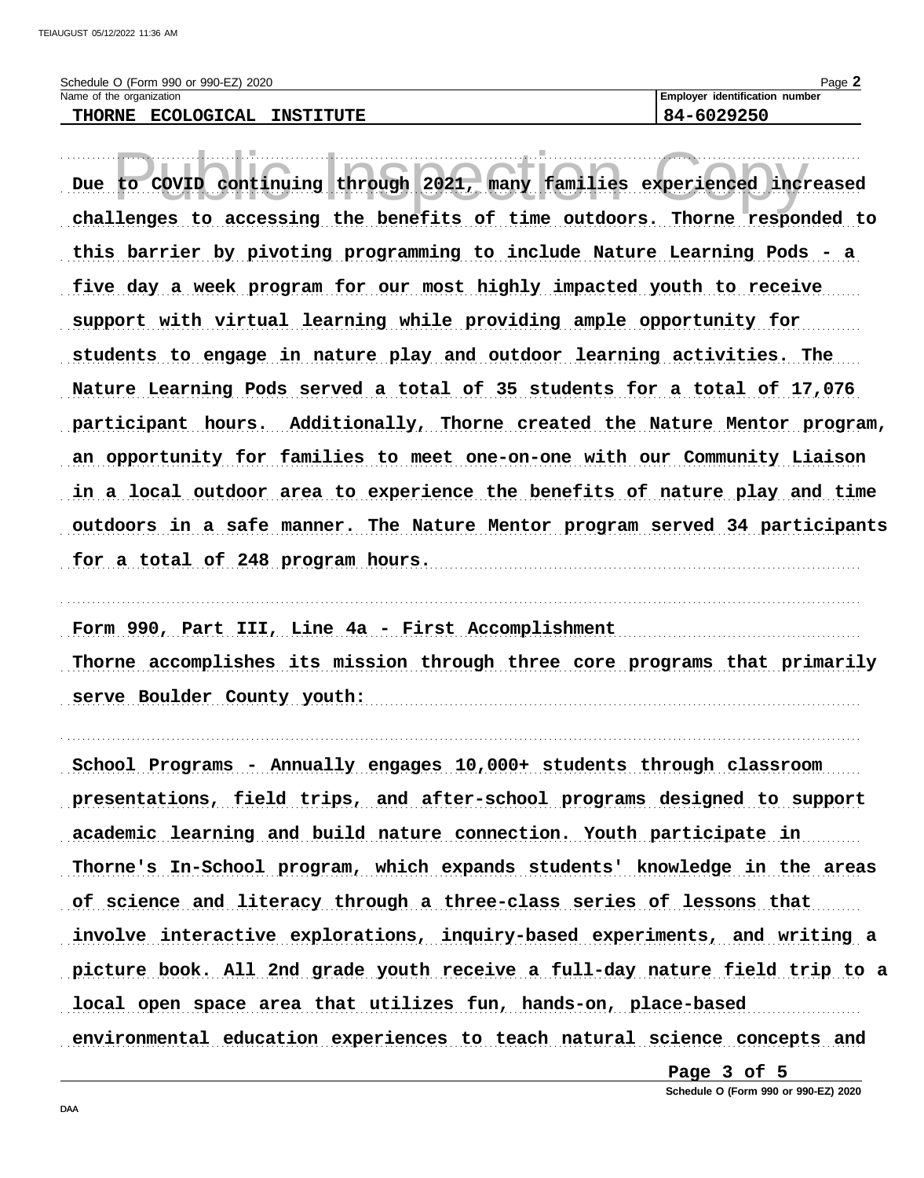Schedule O (Form 990 or 990-EZ) 2020 Name of the organization

THORNE ECOLOGICAL INSTITUTE

Page 2

| Due to COVID continuing through 2021, many families experienced increased   |  |  |
|-----------------------------------------------------------------------------|--|--|
| challenges to accessing the benefits of time outdoors. Thorne responded to  |  |  |
| this barrier by pivoting programming to include Nature Learning Pods - a    |  |  |
| five day a week program for our most highly impacted youth to receive       |  |  |
| support with virtual learning while providing ample opportunity for         |  |  |
| students to engage in nature play and outdoor learning activities. The      |  |  |
| Nature Learning Pods served a total of 35 students for a total of 17,076    |  |  |
| participant hours. Additionally, Thorne created the Nature Mentor program,  |  |  |
| an opportunity for families to meet one-on-one with our Community Liaison   |  |  |
| in a local outdoor area to experience the benefits of nature play and time  |  |  |
| outdoors in a safe manner. The Nature Mentor program served 34 participants |  |  |
| for a total of 248 program hours.                                           |  |  |

Form 990, Part III, Line 4a - First Accomplishment Thorne accomplishes its mission through three core programs that primarily serve Boulder County youth:

School Programs - Annually engages 10,000+ students through classroom presentations, field trips, and after-school programs designed to support academic learning and build nature connection. Youth participate in Thorne's In-School program, which expands students' knowledge in the areas of science and literacy through a three-class series of lessons that involve interactive explorations, inquiry-based experiments, and writing a picture book. All 2nd grade youth receive a full-day nature field trip to a local open space area that utilizes fun, hands-on, place-based environmental education experiences to teach natural science concepts and

> Page 3 of 5 Schedule O (Form 990 or 990-EZ) 2020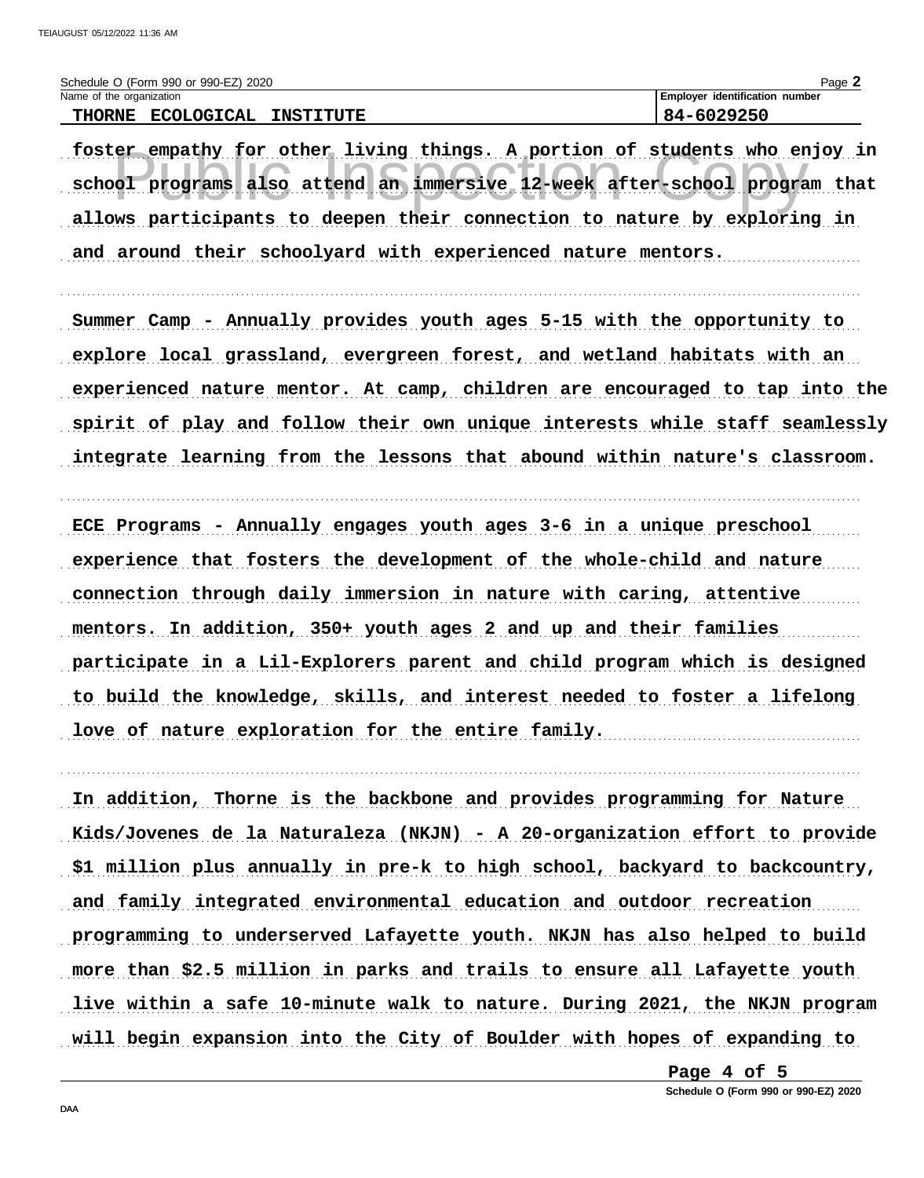| Schedule O (Form 990 or 990-EZ) 2020                   | Page                           |
|--------------------------------------------------------|--------------------------------|
| Name of the organization                               | Employer identification number |
| <b>ECOLOGICAL</b><br><b>THORNE</b><br><b>INSTITUTE</b> | 84-6029250                     |

foster empathy for other living things. A portion of students who enjoy in school programs also attend an immersive 12-week after-school program that allows participants to deepen their connection to nature by exploring in and around their schoolyard with experienced nature mentors.

Summer Camp - Annually provides youth ages 5-15 with the opportunity to explore local grassland, evergreen forest, and wetland habitats with an experienced nature mentor. At camp, children are encouraged to tap into the spirit of play and follow their own unique interests while staff seamlessly integrate learning from the lessons that abound within nature's classroom.

ECE Programs - Annually engages youth ages 3-6 in a unique preschool experience that fosters the development of the whole-child and nature connection through daily immersion in nature with caring, attentive mentors. In addition, 350+ youth ages 2 and up and their families participate in a Lil-Explorers parent and child program which is designed to build the knowledge, skills, and interest needed to foster a lifelong love of nature exploration for the entire family.

In addition, Thorne is the backbone and provides programming for Nature Kids/Jovenes de la Naturaleza (NKJN) - A 20-organization effort to provide \$1 million plus annually in pre-k to high school, backyard to backcountry, and family integrated environmental education and outdoor recreation programming to underserved Lafayette youth. NKJN has also helped to build more than \$2.5 million in parks and trails to ensure all Lafayette youth live within a safe 10-minute walk to nature. During 2021, the NKJN program will begin expansion into the City of Boulder with hopes of expanding to

> Page 4 of 5 Schedule O (Form 990 or 990-EZ) 2020